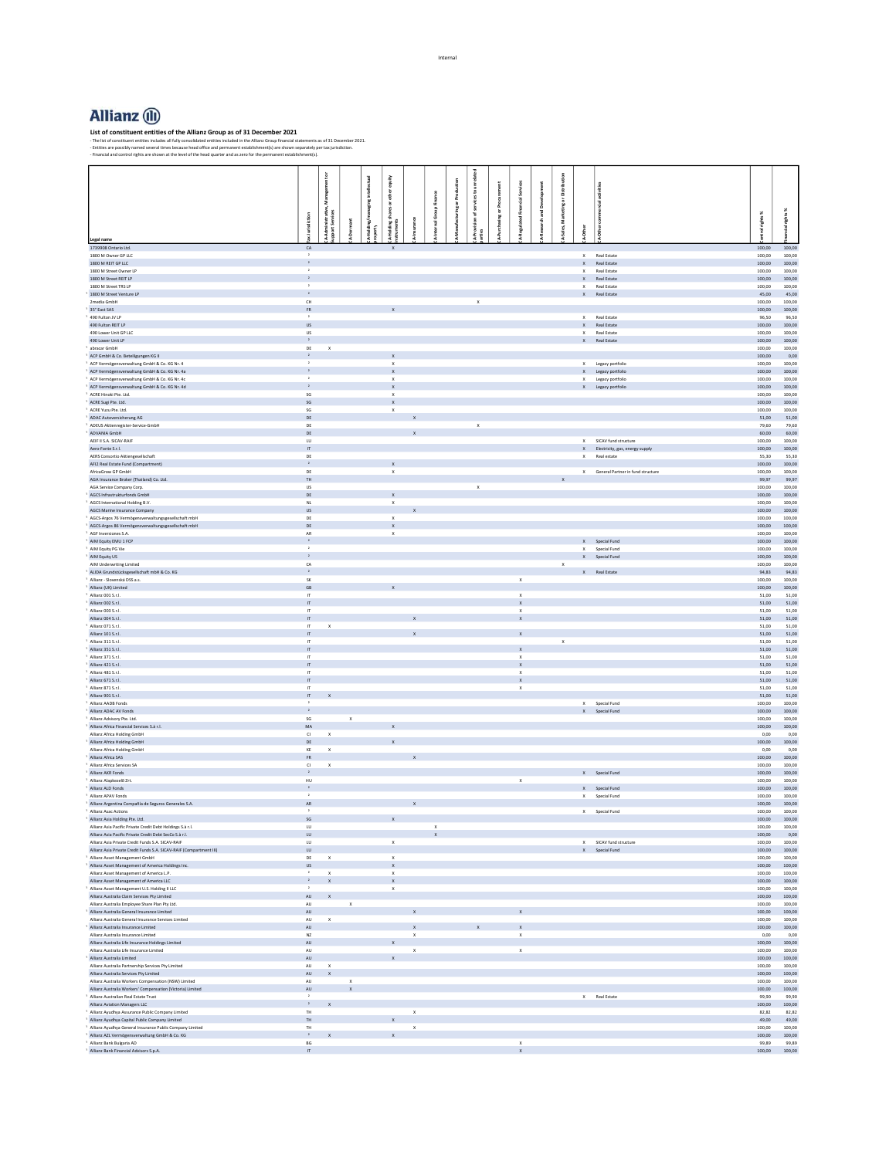## **Allianz** (1)

List of constituent entities of the Allianz Group<br>- The list of constituent entities includes all fully consolidated entities included in the Allian; Group financial statements as of 31 December 2021.<br>- The list are possib

|                                                                                                                    |                                         |                             | ntelle ctua | equity                                |                              |              |                      |                              |                                          |                |                                   |         |                                              |                         |                       |
|--------------------------------------------------------------------------------------------------------------------|-----------------------------------------|-----------------------------|-------------|---------------------------------------|------------------------------|--------------|----------------------|------------------------------|------------------------------------------|----------------|-----------------------------------|---------|----------------------------------------------|-------------------------|-----------------------|
|                                                                                                                    |                                         | 킃                           |             | die                                   |                              |              |                      |                              |                                          |                |                                   |         |                                              |                         |                       |
|                                                                                                                    |                                         |                             |             | es or                                 |                              |              | <b>Ifacturing</b> or | ofservices<br>sing or Procur |                                          | archand Develo |                                   |         |                                              |                         |                       |
|                                                                                                                    | å                                       | iinistrative,<br>t Services |             |                                       |                              |              |                      |                              |                                          |                |                                   |         |                                              | rights %                | cial rights %         |
|                                                                                                                    |                                         |                             | È           | -Holding shar-<br>truments            |                              |              |                      | A-Pro<br>arties              |                                          |                | -Sales, Marketing or Distribution | v-Other |                                              |                         |                       |
| Legal name                                                                                                         | $\frac{1}{2}$                           |                             |             |                                       |                              |              |                      |                              |                                          |                |                                   |         |                                              |                         |                       |
| 1739908 Ontario Ltd.<br>1800 M Owner GP LLC                                                                        | ${\sf CA}$<br>$\,$ $\,$                 |                             |             | $\mathbf x$                           |                              |              |                      |                              |                                          |                |                                   |         | X Real Estate                                | 100,00<br>100.00        | 100,00<br>100.00      |
| 1800 M REIT GP LLC                                                                                                 | $\rightarrow$                           |                             |             |                                       |                              |              |                      |                              |                                          |                |                                   |         | $\ensuremath{\mathsf{X}}\xspace$ Real Estate | 100,00                  | 100,00                |
| 1800 M Street Owner LP<br>1800 M Street REIT LP                                                                    | $\,$ $\,$<br>$\rightarrow$              |                             |             |                                       |                              |              |                      |                              |                                          |                |                                   |         | X Real Estate<br>$\mathsf{X}$ Real Estate    | 100.00<br>100,00        | 100.00<br>100,00      |
| 1800 M Street TRS LP                                                                                               | $\,$ $\,$                               |                             |             |                                       |                              |              |                      |                              |                                          |                |                                   |         | X Real Estate                                | 100.00                  | 100.00                |
| 1800 M Street Venture LP<br>2media GmbH                                                                            | $\cdot$ 2<br>CH                         |                             |             |                                       |                              |              |                      | $\mathbf{x}$                 |                                          |                |                                   |         | $\mathsf{X}$ Real Estate                     | 100.00                  | 45,00 45,00<br>100.00 |
| 35° East SAS                                                                                                       | ${\sf FR}$                              |                             |             |                                       |                              |              |                      |                              |                                          |                |                                   |         |                                              | 100,00                  | 100,00                |
| 490 Fulton JV LP<br>490 Fulton REIT LP                                                                             | $\,$ $\,$                               |                             |             |                                       |                              |              |                      |                              |                                          |                |                                   |         | X Real Estate<br>$\mathsf{X}$ Real Estate    | 96.50<br>100,00         | 96.50                 |
| 490 Lower Unit GP LLC                                                                                              | $\ensuremath{\mathsf{US}}$<br><b>US</b> |                             |             |                                       |                              |              |                      |                              |                                          |                |                                   |         | X Real Estate                                | 100,00                  | 100,00<br>100,00      |
| 490 Lower Unit LP                                                                                                  | $\,$ $\,$ $\,$                          |                             |             |                                       |                              |              |                      |                              |                                          |                |                                   |         | X Real Estate                                | 100,00                  | 100,00                |
| abracar GmbH<br>ACP GmbH & Co. Beteiligungen KG II                                                                 | DE<br>$\mathbf{2}$                      | $\mathbf{x}$                |             | $\mathbf{x}$                          |                              |              |                      |                              |                                          |                |                                   |         |                                              | 100,00<br>$100,00$ 0,00 | 100,00                |
| ACP Vermögensverwaltung GmbH & Co. KG Nr. 4                                                                        | $\rightarrow$                           |                             |             | $\boldsymbol{\chi}$                   |                              |              |                      |                              |                                          |                |                                   |         | X Legacy portfolio                           | 100,00                  | 100.00                |
| ACP Vermögensverwaltung GmbH & Co. KG Nr. 4a                                                                       | $\mathbf{2}^-$<br>$\,$ $\,$             |                             |             | $\mathbf{x}$<br>$\mathbf{x}$          |                              |              |                      |                              |                                          |                |                                   |         | X Legacy portfolio                           | 100,00                  | 100,00<br>100.00      |
| ACP Vermögensverwaltung GmbH & Co. KG Nr. 4c<br>ACP Vermögensverwaltung GmbH & Co. KG Nr. 4d                       | $\,$ $\,$ $\,$                          |                             |             | $\mathbf x$                           |                              |              |                      |                              |                                          |                |                                   |         | X Legacy portfolio<br>X Legacy portfolio     | 100,00<br>100,00        | 100,00                |
| ACRE Hinoki Pte. Ltd.                                                                                              | $\mathsf{SG}$                           |                             |             | $\mathbf x$                           |                              |              |                      |                              |                                          |                |                                   |         |                                              | 100,00                  | 100,00                |
| ACRE Sugi Pte. Ltd.<br>ACRE Yuzu Pte. Ltd.                                                                         | $\mathsf{SG}$<br>SG                     |                             |             | $\mathbf{x}$<br>$\mathbf{x}$          |                              |              |                      |                              |                                          |                |                                   |         |                                              | 100,00<br>100.00        | 100,00<br>100.00      |
| ADAC Autoversicherung AG                                                                                           | DE                                      |                             |             |                                       |                              |              |                      |                              |                                          |                |                                   |         |                                              | 51,00                   | 51,00                 |
| ADEUS Aktienregister-Service-GmbH                                                                                  | DE                                      |                             |             |                                       |                              |              |                      | $\mathbf{x}$                 |                                          |                |                                   |         |                                              | 79,60                   | 79,60                 |
| ADVANIA GmbH<br>AEIF II S.A. SICAV-RAIF                                                                            | DE<br>LU                                |                             |             |                                       | $\mathbf{x}$                 |              |                      |                              |                                          |                |                                   |         | X SICAV fund structure                       | 60,00<br>100,00         | 60.00<br>100,00       |
| Aero-Fonte S.r.L                                                                                                   | $\mathbf{u}$                            |                             |             |                                       |                              |              |                      |                              |                                          |                |                                   |         | X Electricity, gas, energy supply            | 100,00                  | 100.00                |
| AERS Consortio Aktiengesellschaft                                                                                  | $\mathsf{DE}$                           |                             |             |                                       |                              |              |                      |                              |                                          |                |                                   |         | $\mathsf{X}$ Real estate                     | 55,30                   | 55,30                 |
| AFI2 Real Estate Fund (Compartment)<br>AfricaGrow GP GmbH                                                          | $\,$ $\,$ $\,$<br>DE                    |                             |             | $\mathbf{x}$<br>$\boldsymbol{\times}$ |                              |              |                      |                              |                                          |                |                                   |         | X General Partner in fund structure          | 100,00<br>100,00        | 100.00<br>100,00      |
| AGA Insurance Broker (Thailand) Co. Ltd.                                                                           | TH                                      |                             |             |                                       |                              |              |                      |                              |                                          |                |                                   |         |                                              | 99,97                   | 99,97                 |
| AGA Service Company Corp.<br>AGCS Infrastrukturfonds GmbH                                                          | $\ensuremath{\mathsf{US}}$<br>DE        |                             |             | $\mathbf{x}$                          |                              |              |                      | $\mathbf{x}$                 |                                          |                |                                   |         |                                              | 100,00<br>100,00        | 100,00<br>100.00      |
| AGCS International Holding B.V.                                                                                    | $_{\rm NL}$                             |                             |             | $\boldsymbol{\times}$                 |                              |              |                      |                              |                                          |                |                                   |         |                                              | 100,00                  | 100,00                |
| AGCS Marine Insurance Company                                                                                      | <b>US</b>                               |                             |             |                                       |                              |              |                      |                              |                                          |                |                                   |         |                                              | 100,00                  | 100,00                |
| AGCS-Argos 76 Vermögensverwaltungsgesellschaft mbH<br>AGCS-Argos 86 Vermögensverwaltungsgesellschaft mbH           | $\mathsf{DE}$<br>DE                     |                             |             | $\mathbf{x}$<br>$\mathbf{x}$          |                              |              |                      |                              |                                          |                |                                   |         |                                              | 100,00<br>100,00        | 100,00<br>100,00      |
| AGF Inversiones S.A.                                                                                               | ${\sf AR}$                              |                             |             | $\mathbf x$                           |                              |              |                      |                              |                                          |                |                                   |         |                                              | 100,00                  | 100,00                |
| AIM Equity EMU 1 FCP                                                                                               | $\overline{2}$<br>$\,$ $\,$             |                             |             |                                       |                              |              |                      |                              |                                          |                |                                   |         | X Special Fund<br>X Special Fund             | 100,00                  | 100,00                |
| AIM Equity PG Vie<br>AIM Equity US                                                                                 | $\overline{2}$                          |                             |             |                                       |                              |              |                      |                              |                                          |                |                                   |         | X Special Fund                               | 100,00<br>100,00        | 100,00<br>100,00      |
| AIM Underwriting Limited                                                                                           | ${\sf CA}$                              |                             |             |                                       |                              |              |                      |                              |                                          |                | $\mathsf X$                       |         |                                              | 100,00                  | 100,00                |
| ALIDA Grundstücksgesellschaft mbH & Co. KG<br>Allianz - Slovenská DSS a.s.                                         | $\rightarrow$<br>${\sf SK}$             |                             |             |                                       |                              |              |                      |                              | $\mathbf x$                              |                |                                   |         | X Real Estate                                | 94,83<br>100,00         | 94,83<br>100,00       |
| Allianz (UK) Limited                                                                                               | $\mathsf{GB}$                           |                             |             | $\mathbf x$                           |                              |              |                      |                              |                                          |                |                                   |         |                                              | 100,00                  | 100,00                |
| Allianz 001 S.r.l.                                                                                                 | $\,$ $\,$ $\,$ $\,$                     |                             |             |                                       |                              |              |                      |                              | $\boldsymbol{\mathsf{x}}$                |                |                                   |         |                                              | 51,00                   | 51,00                 |
| Allianz 002 S.r.l.<br>Allianz 003 S.r.l.                                                                           | $\,$ IT<br>$\, \Pi \,$                  |                             |             |                                       |                              |              |                      |                              | $\mathsf X$<br>$\boldsymbol{\mathsf{x}}$ |                |                                   |         |                                              | 51,00<br>51,00          | 51,00<br>51,00        |
| Allianz 004 S.r.l.                                                                                                 | $\mathsf{r}$                            |                             |             |                                       |                              |              |                      |                              |                                          |                |                                   |         |                                              |                         | $51,00$ $51,00$       |
| Allianz 071 S.r.l.                                                                                                 | $\mathsf{I} \mathsf{T}$                 | $\mathbf{x}$                |             |                                       |                              |              |                      |                              |                                          |                |                                   |         |                                              | 51.00                   | 51.00                 |
| Allianz 101 S.r.l.<br>Allianz 311 S.r.l.                                                                           | $\,$ $\,$ $\,$ $\,$<br>$\mathbb{F}$     |                             |             |                                       |                              |              |                      |                              |                                          |                | $\mathbf{x}$                      |         |                                              | 51,00<br>51.00          | 51,00<br>51.00        |
| Allianz 351 S.r.l.                                                                                                 | $\,$ $\,$ $\,$ $\,$                     |                             |             |                                       |                              |              |                      |                              |                                          |                |                                   |         |                                              | 51,00                   | 51,00                 |
| Allianz 371 S.r.l.                                                                                                 | $\mathbf{u}$                            |                             |             |                                       |                              |              |                      |                              | $\mathsf{x}$                             |                |                                   |         |                                              | 51.00                   | 51.00                 |
| Allianz 421 S.r.l.<br>Allianz 481 S.r.l.                                                                           | $\,$ IT<br>$\mathsf{H}$                 |                             |             |                                       |                              |              |                      |                              | $\mathsf X$<br>$\mathbf{x}$              |                |                                   |         |                                              | 51,00<br>51.00          | 51,00<br>51.00        |
| Allianz 671 S.r.l.                                                                                                 | $\,$ IT                                 |                             |             |                                       |                              |              |                      |                              | $\mathsf X$                              |                |                                   |         |                                              |                         | $51,00$ $51,00$       |
| Allianz 871 S.r.l.<br>Allianz 901 S.r.l.                                                                           | $\mathbb{F}$                            |                             |             |                                       |                              |              |                      |                              | $\mathbf{x}$                             |                |                                   |         |                                              | 51.00<br>51,00          | 51.00<br>51,00        |
| Allianz AADB Fonds                                                                                                 | $\pi$<br>$\,$ $\,$                      | $\boldsymbol{\mathsf{x}}$   |             |                                       |                              |              |                      |                              |                                          |                |                                   |         | X Special Fund                               | 100.00                  | 100.00                |
| Allianz ADAC AV Fonds                                                                                              | $\cdot$ 2 $\cdot$                       |                             |             |                                       |                              |              |                      |                              |                                          |                |                                   |         | $X$ Special Fund                             | 100,00                  | 100,00                |
| Allianz Advisory Pte. Ltd.<br>Allianz Africa Financial Services S.à r.l.                                           | $\mathsf{SG}$<br>$\mathsf{MA}$          | $\mathbf x$                 |             |                                       |                              |              |                      |                              |                                          |                |                                   |         |                                              | 100,00<br>100,00        | 100,00<br>100,00      |
| Allianz Africa Holding GmbH                                                                                        | $\alpha$                                | $\mathbf{x}$                |             |                                       |                              |              |                      |                              |                                          |                |                                   |         |                                              | 0,00                    | 0,00                  |
| Allianz Africa Holding GmbH                                                                                        | $DE$                                    |                             |             |                                       |                              |              |                      |                              |                                          |                |                                   |         |                                              | 100,00                  | 100,00                |
| Allianz Africa Holding GmbH<br>Allianz Africa SAS                                                                  | KE<br>${\sf FR}$                        | $\mathbf x$                 |             |                                       |                              |              |                      |                              |                                          |                |                                   |         |                                              | 0,00<br>100,00          | 0,00<br>100,00        |
| Allianz Africa Services SA                                                                                         | C1                                      | $\mathbf{x}$                |             |                                       |                              |              |                      |                              |                                          |                |                                   |         |                                              | 100,00                  | 100.00                |
| Allianz AKR Fonds                                                                                                  | $\mathbf{z}$                            |                             |             |                                       |                              |              |                      |                              |                                          |                |                                   |         | X Special Fund                               | 100,00                  | 100,00                |
| Allianz Alapkezelő Zrt.<br>Allianz ALD Fonds                                                                       | HU<br>$\mathbf{2}$                      |                             |             |                                       |                              |              |                      |                              | $\mathbf{x}$                             |                |                                   |         | X Special Fund                               | 100,00<br>100,00        | 100,00<br>100,00      |
| Allianz APAV Fonds                                                                                                 | $\cdot$ $\,$                            |                             |             |                                       |                              |              |                      |                              |                                          |                |                                   |         | X Special Fund                               | 100.00                  | 100,00                |
| Allianz Argentina Compañía de Seguros Generales S.A.                                                               | $\mathsf{AR}$<br>$\cdot$                |                             |             |                                       |                              |              |                      |                              |                                          |                |                                   |         |                                              | 100,00                  | 100,00                |
| Allianz Asac Actions<br>Allianz Asia Holding Pte. Ltd.                                                             | $\sf SG$                                |                             |             | $\mathbf x$                           |                              |              |                      |                              |                                          |                |                                   |         | $X$ Special Fund                             | 100,00<br>100.00        | 100,00<br>100.00      |
| Allianz Asia Pacific Private Credit Debt Holdings S.à r.l.                                                         | $\mathsf{L}\mathsf{U}$                  |                             |             |                                       |                              | $\mathbf x$  |                      |                              |                                          |                |                                   |         |                                              | 100,00                  | 100,00                |
| Allianz Asia Pacific Private Credit Debt SecCo S.à r.l.<br>Allianz Asia Private Credit Funds S.A. SICAV-RAIF       | LU<br>$\mathsf{L}\mathsf{U}$            |                             |             | $\mathbf{x}$                          |                              | $\mathbf{x}$ |                      |                              |                                          |                |                                   |         | X SICAV fund structure                       | 100.00 0.00<br>100,00   | 100,00                |
| Allianz Asia Private Credit Funds S.A. SICAV-RAIF (Compartment III)                                                | LU <sub>1</sub>                         |                             |             |                                       |                              |              |                      |                              |                                          |                |                                   |         | X Special Fund                               | 100.00                  | 100.00                |
| Allianz Asset Management GmbH                                                                                      | DE                                      | $\boldsymbol{\times}$       |             | $\mathbf x$                           |                              |              |                      |                              |                                          |                |                                   |         |                                              | 100,00                  | 100,00                |
| Allianz Asset Management of America Holdings Inc.<br>Allianz Asset Management of America L.P.                      | <b>US</b><br>$\,$ $\,$                  | $\,$ X                      |             | $\mathbf{x}$<br>$\mathsf X$           |                              |              |                      |                              |                                          |                |                                   |         |                                              | 100,00<br>100,00        | 100.00<br>100,00      |
| Allianz Asset Management of America LLC                                                                            | $\mathbf{z}$ .                          | $\mathbf{x}$                |             | $\mathbf{x}$                          |                              |              |                      |                              |                                          |                |                                   |         |                                              | 100,00 100,00           |                       |
| Allianz Asset Management U.S. Holding II LLC                                                                       | $\rightarrow$                           |                             |             |                                       |                              |              |                      |                              |                                          |                |                                   |         |                                              | 100,00                  | 100,00                |
| Allianz Australia Claim Services Pty Limited<br>Allianz Australia Employee Share Plan Pty Ltd.                     | $\mathsf{AU}$                           | AU X<br>$\mathbf x$         |             |                                       |                              |              |                      |                              |                                          |                |                                   |         |                                              | 100,00<br>100,00        | 100,00<br>100,00      |
| Allianz Australia General Insurance Limited                                                                        | AU                                      |                             |             |                                       |                              |              |                      |                              |                                          |                |                                   |         |                                              | 100,00                  | 100,00                |
| Allianz Australia General Insurance Services Limited                                                               | AU                                      | $\mathsf X$                 |             |                                       |                              |              |                      |                              |                                          |                |                                   |         |                                              | 100,00                  | 100,00                |
| Allianz Australia Insurance Limited<br>Allianz Australia Insurance Limited                                         | AU<br>NZ                                |                             |             |                                       | $\mathbf{x}$<br>$\mathsf{x}$ |              |                      |                              | $\mathsf{x}$<br>$\mathsf{x}$             |                |                                   |         |                                              | 100,00<br>0,00          | 100,00<br>0,00        |
| Allianz Australia Life Insurance Holdings Limited                                                                  | AU                                      |                             |             |                                       |                              |              |                      |                              |                                          |                |                                   |         |                                              | 100,00                  | 100,00                |
| Allianz Australia Life Insurance Limited                                                                           | $\mathsf{AU}$                           |                             |             | $\mathbf{x}$                          | $\mathsf{x}$                 |              |                      |                              | $\mathbf x$                              |                |                                   |         |                                              | 100,00                  | 100,00<br>100,00      |
| Allianz Australia Limited<br>Allianz Australia Partnership Services Pty Limited                                    | $\mathsf{A}\mathsf{U}$<br>AU            | $\mathbf{x}$                |             |                                       |                              |              |                      |                              |                                          |                |                                   |         |                                              | 100,00<br>100,00        | 100,00                |
| Allianz Australia Services Pty Limited                                                                             | AU                                      | $\mathbf{x}$                |             |                                       |                              |              |                      |                              |                                          |                |                                   |         |                                              | 100,00                  | 100,00                |
| Allianz Australia Workers Compensation (NSW) Limited<br>Allianz Australia Workers' Compensation (Victoria) Limited | $\mathsf{AU}$<br>$\mathsf{A}\mathsf{U}$ | $\mathsf X$<br>$\mathbf x$  |             |                                       |                              |              |                      |                              |                                          |                |                                   |         |                                              | 100,00<br>100,00        | 100,00<br>100,00      |
| Allianz Australian Real Estate Trust                                                                               | $\,$ $\,$                               |                             |             |                                       |                              |              |                      |                              |                                          |                |                                   |         | X Real Estate                                | 99,90                   | 99,90                 |
| Allianz Aviation Managers LLC                                                                                      | $2 -$                                   | $\mathsf X$                 |             |                                       |                              |              |                      |                              |                                          |                |                                   |         |                                              | 100,00                  | 100,00                |
| Allianz Ayudhya Assurance Public Company Limited<br>Allianz Ayudhya Capital Public Company Limited                 | TH<br>TH                                |                             |             |                                       | $\mathsf{x}$                 |              |                      |                              |                                          |                |                                   |         |                                              | 82.82<br>49,00          | 82.82<br>49,00        |
| Allianz Avudhya General Insurance Public Company Limited                                                           | TH                                      |                             |             |                                       | $\times$                     |              |                      |                              |                                          |                |                                   |         |                                              | 100.00                  | 100.00                |
| Allianz AZL Vermögensverwaltung GmbH & Co. KG                                                                      | $2 -$<br>BG                             |                             |             | $\mathbf{x}$                          |                              |              |                      |                              |                                          |                |                                   |         |                                              | 100,00                  | 100,00                |
| Allianz Bank Bulgaria AD<br>Allianz Bank Financial Advisors S.p.A.                                                 | $\ensuremath{\mathsf{IT}}$ .            |                             |             |                                       |                              |              |                      |                              | $\mathsf{x}$<br>$\mathbf x$              |                |                                   |         |                                              | 99.89<br>100,00         | 99.89<br>100,00       |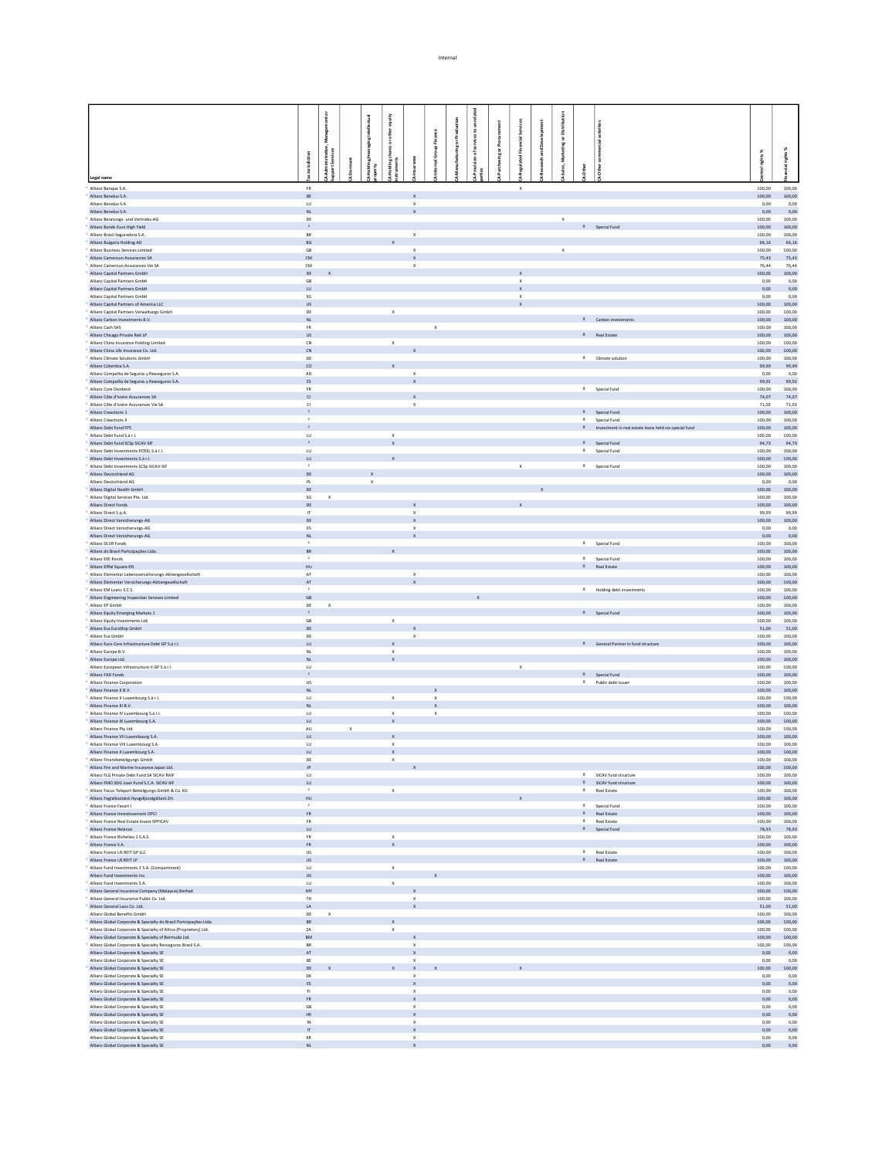|                                                                                                     |                                     |                                                               | ı           | equity                    |                                           |                           |                       |   |                           |   |             |                                                         |                       |                  |
|-----------------------------------------------------------------------------------------------------|-------------------------------------|---------------------------------------------------------------|-------------|---------------------------|-------------------------------------------|---------------------------|-----------------------|---|---------------------------|---|-------------|---------------------------------------------------------|-----------------------|------------------|
|                                                                                                     | Management or                       |                                                               |             | xther                     |                                           |                           |                       | ε |                           |   | ä           |                                                         |                       |                  |
|                                                                                                     |                                     |                                                               |             |                           |                                           | Finance                   | <b>Iring or Prode</b> | ã |                           | å | ŏ.          |                                                         |                       |                  |
|                                                                                                     |                                     |                                                               |             | haresor                   |                                           | hal Group                 |                       |   |                           | , | Ř           |                                                         | rights%               | ×<br>rights      |
|                                                                                                     | lurisdiction                        | Administrative,<br>port Services<br>$\overline{\overline{a}}$ |             |                           |                                           |                           |                       |   |                           |   |             |                                                         |                       |                  |
| Legal name                                                                                          |                                     |                                                               |             |                           |                                           |                           |                       |   |                           |   |             |                                                         |                       |                  |
| Allianz Banque S.A.                                                                                 | $_{\rm FR}$                         |                                                               |             |                           |                                           |                           |                       |   | $\boldsymbol{\mathsf{x}}$ |   |             |                                                         | 100,00                | 100,00           |
| Allianz Benelux S.A.                                                                                | BE                                  |                                                               |             |                           | $\mathbf{x}$                              |                           |                       |   |                           |   |             |                                                         | 100,00                | 100,00           |
| Allianz Benelux S.A.<br>Allianz Benelux S.A.                                                        | $U$<br>NL                           |                                                               |             |                           | $\mathsf X$<br>$\mathbf{x}$               |                           |                       |   |                           |   |             |                                                         | 0,00<br>0,00          | 0,00<br>0,00     |
| Allianz Beratungs- und Vertriebs-AG                                                                 | DE                                  |                                                               |             |                           |                                           |                           |                       |   |                           |   | $\mathsf X$ |                                                         | 100,00                | 100,00           |
| Allianz Bonds Euro High Yield<br>Allianz Brasil Seguradora S.A.                                     | $\mathbf{2}$<br><b>BR</b>           |                                                               |             |                           |                                           |                           |                       |   |                           |   |             | X Special Fund                                          | 100,00<br>100,00      | 100,00<br>100,00 |
| Allianz Bulgaria Holding AD                                                                         | BG                                  |                                                               |             |                           | $\mathsf X$                               |                           |                       |   |                           |   |             |                                                         | 66,16                 | 66,16            |
| Allianz Business Services Limited                                                                   | $\mathsf{GB}$                       |                                                               |             |                           | $\mathsf X$                               |                           |                       |   |                           |   | $\mathsf X$ |                                                         | 100,00                | 100,00           |
| Allianz Cameroun Assurances SA<br>Allianz Cameroun Assurances Vie SA                                | CM<br>CM                            |                                                               |             |                           | $\boldsymbol{\mathsf{x}}$                 |                           |                       |   |                           |   |             |                                                         | 75,43<br>76,44        | 75,43<br>76,44   |
| Allianz Capital Partners GmbH                                                                       | DE                                  |                                                               |             |                           | $\boldsymbol{\mathsf{x}}$                 |                           |                       |   |                           |   |             |                                                         | 100,00                | 100,00           |
| Allianz Capital Partners GmbH                                                                       | GB                                  |                                                               |             |                           |                                           |                           |                       |   | $\mathbf{x}$              |   |             |                                                         | 0,00                  | 0.00             |
| Allianz Capital Partners GmbH<br>Allianz Capital Partners GmbH                                      | ${\sf LU}$<br>SG                    |                                                               |             |                           |                                           |                           |                       |   | $\mathbf{x}$              |   |             |                                                         | 0,00<br>0.00          | 0,00<br>0.00     |
| Allianz Capital Partners of America LLC                                                             | $\mathsf{US}$                       |                                                               |             |                           |                                           |                           |                       |   | $\mathsf x$               |   |             |                                                         | 100,00                | 100,00           |
| Allianz Capital Partners Verwaltungs GmbH                                                           | DE                                  |                                                               |             | $\mathbf{x}$              |                                           |                           |                       |   |                           |   |             |                                                         | 100.00                | 100.00           |
| Allianz Carbon Investments B.V.<br>Allianz Cash SAS                                                 | NL.<br><b>FR</b>                    |                                                               |             |                           |                                           | $\mathsf{x}$              |                       |   |                           |   |             | X Carbon investments                                    | 100,00<br>100.00      | 100,00<br>100.00 |
| Allianz Chicago Private Reit LP                                                                     | $\ensuremath{\mathsf{US}}$          |                                                               |             |                           |                                           |                           |                       |   |                           |   |             | X Real Estate                                           | 100,00                | 100,00           |
| Allianz China Insurance Holding Limited                                                             | CN                                  |                                                               |             | $\mathbf{x}$              |                                           |                           |                       |   |                           |   |             |                                                         | 100.00                | 100.00           |
| Allianz China Life Insurance Co. Ltd.<br>Allianz Climate Solutions GmbH                             | ${\sf CN}$<br>DE                    |                                                               |             |                           |                                           |                           |                       |   |                           |   |             | X Climate solution                                      | 100,00<br>100.00      | 100,00<br>100.00 |
| Allianz Colombia S.A.                                                                               | $_{\rm CO}$                         |                                                               |             |                           |                                           |                           |                       |   |                           |   |             |                                                         | 99,99                 | 99,99            |
| Allianz Compañía de Seguros y Reaseguros S.A.                                                       | AD                                  |                                                               |             |                           | $\mathsf{x}$                              |                           |                       |   |                           |   |             |                                                         | 0.00                  | 0.00             |
| Allianz Compañía de Seguros y Reaseguros S.A.<br>Allianz Core Dividend                              | ES<br><b>FR</b>                     |                                                               |             |                           | $\mathsf X$                               |                           |                       |   |                           |   |             | X Special fund                                          | 99,92<br>100,00       | 99,92<br>100.00  |
| Allianz Côte d'Ivoire Assurances SA                                                                 | $\mathsf{C}\mathsf{I}$              |                                                               |             |                           | $\mathbf{x}$                              |                           |                       |   |                           |   |             |                                                         | 74,07                 | 74,07            |
| Allianz Côte d'Ivoire Assurances Vie SA                                                             | $\alpha$<br>$\mathbf{z}$            |                                                               |             |                           | $\mathbf x$                               |                           |                       |   |                           |   |             |                                                         | 71,03                 | 71,03            |
| Allianz Creactions 1<br>Allianz Creactions II                                                       | $\,$ $\,$                           |                                                               |             |                           |                                           |                           |                       |   |                           |   |             | X Special Fund<br>X Special Fund                        | 100,00<br>100,00      | 100,00<br>100,00 |
| Allianz Debt Fund FPS                                                                               | $\mathbf{z}$                        |                                                               |             |                           |                                           |                           |                       |   |                           |   |             | X Investment in real estate loans held via special fund | 100,00                | 100,00           |
| Allianz Debt Fund S.à r.l.<br>Allianz Debt Fund SCSp SICAV-SIF                                      | LU<br>$\mathbf{z}$                  |                                                               |             | $\mathbf{x}$              |                                           |                           |                       |   |                           |   |             | X Special Fund                                          | 100,00<br>94,73       | 100.00<br>94,73  |
| Allianz Debt Investments PCREL S.à r.l.                                                             | LU                                  |                                                               |             | $\mathsf{x}$              |                                           |                           |                       |   |                           |   |             | X Special Fund                                          | 100,00                | 100.00           |
| Allianz Debt Investments S.à r.l.                                                                   | LU                                  |                                                               |             |                           |                                           |                           |                       |   |                           |   |             |                                                         | 100,00                | 100,00           |
| Allianz Debt Investments SCSp SICAV-SIF<br>Allianz Deutschland AG                                   | $\overline{a}$<br>DE                |                                                               |             |                           |                                           |                           |                       |   | $\mathsf{x}$              |   |             | X Special Fund                                          | 100,00                | 100,00<br>100.00 |
| Allianz Deutschland AG                                                                              | $\mathsf{PL}$                       |                                                               | $\mathsf x$ |                           |                                           |                           |                       |   |                           |   |             |                                                         | 100,00<br>0,00        | 0,00             |
| Allianz Digital Health GmbH                                                                         | DE                                  |                                                               |             |                           |                                           |                           |                       |   |                           |   |             |                                                         | 100,00                | 100.00           |
| Allianz Digital Services Pte. Ltd.<br>Allianz Direct Fonds                                          | $\sf SG$<br>DE                      | $\boldsymbol{\mathsf{x}}$                                     |             |                           | $\mathbf{x}$                              |                           |                       |   |                           |   |             |                                                         | 100,00<br>100,00      | 100,00<br>100.00 |
| Allianz Direct S.p.A.                                                                               | $\bar{\Pi}$                         |                                                               |             |                           | $\mathsf x$                               |                           |                       |   |                           |   |             |                                                         | 99,99                 | 99,99            |
| Allianz Direct Versicherungs-AG                                                                     | DE                                  |                                                               |             |                           | $\mathbf{x}$                              |                           |                       |   |                           |   |             |                                                         | 100,00                | 100.00           |
| Allianz Direct Versicherungs-AG<br>Allianz Direct Versicherungs-AG                                  | <b>ES</b><br><b>NL</b>              |                                                               |             |                           | X                                         |                           |                       |   |                           |   |             |                                                         | 0,00<br>0,00          | 0,00<br>0,00     |
| Allianz DLVR Fonds                                                                                  | $\mathbf{2}$                        |                                                               |             |                           |                                           |                           |                       |   |                           |   |             | X Special Fund                                          | 100,00                | 100,00           |
| Allianz do Brasil Participações Ltda.                                                               | <b>BR</b>                           |                                                               |             | $\boldsymbol{\mathsf{x}}$ |                                           |                           |                       |   |                           |   |             |                                                         | 100.00                | 100.00           |
| Allianz EEE Fonds<br>Allianz Eiffel Square Kft.                                                     | HU                                  |                                                               |             |                           |                                           |                           |                       |   |                           |   |             | $X$ Special Fund<br>X Real Estate                       | 100,00<br>100,00      | 100,00<br>100.00 |
| Allianz Elementar Lebensversicherungs-Aktiengesellschaft                                            | $\mathsf{AT}$                       |                                                               |             |                           | $\,x\,$                                   |                           |                       |   |                           |   |             |                                                         | 100,00                | 100,00           |
| Allianz Elementar Versicherungs-Aktiengesellschaft                                                  | AT                                  |                                                               |             |                           | $\boldsymbol{\mathsf{x}}$                 |                           |                       |   |                           |   |             |                                                         | 100,00                | 100,00           |
| Allianz EM Loans S.C.S.                                                                             | $\mathbf{r}$<br>GB                  |                                                               |             |                           |                                           |                           |                       |   |                           |   |             | X Holding debt investments                              | 100,00<br>100,00      | 100,00<br>100,00 |
| Allianz Engineering Inspection Services Limited<br>Allianz EP GmbH                                  | DE                                  | $\mathbf x$                                                   |             |                           |                                           |                           |                       |   |                           |   |             |                                                         | 100,00                | 100,00           |
| Allianz Equity Emerging Markets 1                                                                   | $\mathbf{2}$                        |                                                               |             |                           |                                           |                           |                       |   |                           |   |             | X Special Fund                                          | 100,00                | 100,00           |
| Allianz Equity Investments Ltd.                                                                     | $\mathsf{GB}$                       |                                                               |             | $\boldsymbol{\mathsf{X}}$ |                                           |                           |                       |   |                           |   |             |                                                         | 100,00                | 100,00           |
| Allianz Esa EuroShip GmbH<br>Allianz Esa GmbH                                                       | $\mathsf{DE}$<br>DE                 |                                                               |             |                           | $\mathsf X$                               |                           |                       |   |                           |   |             |                                                         | 51,00<br>100,00       | 51,00<br>100,00  |
| Allianz Euro Core Infrastructure Debt GP S.à r.l.                                                   | LU                                  |                                                               |             |                           |                                           |                           |                       |   |                           |   |             | X General Partner in fund structure                     | 100,00                | 100,00           |
| Allianz Europe B.V.                                                                                 | NL<br>NL                            |                                                               |             | $\mathbf x$               |                                           |                           |                       |   |                           |   |             |                                                         | 100,00                | 100,00           |
| Allianz Europe Ltd.                                                                                 | U                                   |                                                               |             |                           |                                           |                           |                       |   | $\mathbf{x}$              |   |             |                                                         | 100,00<br>100.00      | 100,00<br>100.00 |
| Allianz European Infrastructure II GP S.à r.l.                                                      | $\mathbf{2}^-$                      |                                                               |             |                           |                                           |                           |                       |   |                           |   |             | X Special Fund                                          | 100,00                | 100,00           |
| Allianz FAD Fonds                                                                                   |                                     |                                                               |             |                           |                                           |                           |                       |   |                           |   |             | X Public debt issuer                                    | 100.00                | 100.00           |
| Allianz Finance Corporation                                                                         | US                                  |                                                               |             |                           |                                           |                           |                       |   |                           |   |             |                                                         |                       | 100,00           |
| Allianz Finance II B.V.                                                                             | NL<br>LU.                           |                                                               |             | $\mathbf{x}$              |                                           | $\boldsymbol{\mathsf{x}}$ |                       |   |                           |   |             |                                                         | 100,00<br>100.00      | 100.00           |
| Allianz Finance II Luxembourg S.à r.l.<br>Allianz Finance III B.V.                                  | NL.                                 |                                                               |             |                           |                                           |                           |                       |   |                           |   |             |                                                         | 100,00                | 100,00           |
| Allianz Finance IV Luxembourg S.à r.l.                                                              | LU.                                 |                                                               |             | $\mathbf{x}$              |                                           | $\boldsymbol{\mathsf{x}}$ |                       |   |                           |   |             |                                                         | 100.00                | 100.00           |
| Allianz Finance IX Luxembourg S.A.<br>Allianz Finance Ptv Ltd.                                      | ${\sf LU}$<br>AU                    | $\mathbf{x}$                                                  |             | $\mathbb X$               |                                           |                           |                       |   |                           |   |             |                                                         | 100,00<br>100.00      | 100,00<br>100.00 |
| Allianz Finance VII Luxembourg S.A.                                                                 | ${\sf LU}$                          |                                                               |             |                           |                                           |                           |                       |   |                           |   |             |                                                         | 100,00                | 100,00           |
| Allianz Finance VIII Luxembourg S.A.                                                                | LU.                                 |                                                               |             | $\mathbf x$               |                                           |                           |                       |   |                           |   |             |                                                         | 100.00                | 100.00           |
| Allianz Finance X Luxembourg S.A.<br>Allianz Finz<br>beteiligungs GmbH                              | ${\sf LU}$<br>DE                    |                                                               |             |                           |                                           |                           |                       |   |                           |   |             |                                                         | 100,00<br>100.00      | 100,00<br>100.00 |
| Allianz Fire and Marine Insurance Japan Ltd.                                                        | $\mathsf{JP}^-$                     |                                                               |             |                           | $\boldsymbol{\mathsf{x}}$                 |                           |                       |   |                           |   |             |                                                         | $100,00$ $100,00$     |                  |
| Allianz FLG Private Debt Fund SA SICAV-RAIF                                                         | $\mathsf{L}\mathsf{U}$              |                                                               |             |                           |                                           |                           |                       |   |                           |   |             | X SICAV fund structure                                  | 100,00                | 100.00           |
| Allianz FMO SDG Loan Fund S.C.A. SICAV-SIF                                                          | $\mathsf{L}\mathsf{U}$<br>$\,$ $\,$ |                                                               |             |                           |                                           |                           |                       |   |                           |   |             | X SICAV fund structure                                  | 100,00                | 100,00           |
| Allianz Focus Teleport Beteiligungs-GmbH & Co. KG<br>Allianz Foglalkoztatói Nyugdíjszolgáltató Zrt. | HU                                  |                                                               |             | $\mathbf{x}$              |                                           |                           |                       |   |                           |   |             | X Real Estate                                           | 100,00<br>100,00      | 100.00<br>100,00 |
| Allianz France Favart I                                                                             | $\,$ $\,$                           |                                                               |             |                           |                                           |                           |                       |   |                           |   |             | X Special Fund                                          | 100,00                | 100,00           |
| Allianz France Investissement OPCI                                                                  | ${\sf FR}$                          |                                                               |             |                           |                                           |                           |                       |   |                           |   |             | X Real Estate                                           | 100,00                | 100,00           |
| Allianz France Real Estate Invest SPPICAV<br>Allianz France Relance                                 | <b>FR</b><br>$\mathsf{L}\mathsf{U}$ |                                                               |             |                           |                                           |                           |                       |   |                           |   |             | X Real Estate<br>X Special Fund                         | 100,00<br>78,93 78,93 | 100.00           |
| Allianz France Richelieu 1 S.A.S.                                                                   | <b>FR</b>                           |                                                               |             | $\mathsf x$               |                                           |                           |                       |   |                           |   |             |                                                         | 100,00                | 100.00           |
| Allianz France S.A.                                                                                 | ${\sf FR}$                          |                                                               |             | $\boldsymbol{\mathsf{x}}$ |                                           |                           |                       |   |                           |   |             |                                                         | 100,00                | 100,00           |
| Allianz France US REIT GP LLC<br>Allianz France US REIT LP                                          | US<br><b>US</b>                     |                                                               |             |                           |                                           |                           |                       |   |                           |   |             | X Real Estate<br>X Real Estate                          | 100,00<br>100.00      | 100.00<br>100.00 |
| Allianz Fund Investments 2 S.A. (Compartment)                                                       | $\mathsf{L}\mathsf{U}$              |                                                               |             | $\mathbf{x}$              |                                           |                           |                       |   |                           |   |             |                                                         | 100,00                | 100,00           |
| Allianz Fund Investments Inc.                                                                       | <b>US</b>                           |                                                               |             |                           |                                           |                           |                       |   |                           |   |             |                                                         | 100.00                | 100.00           |
| Allianz Fund Investments S.A.<br>Allianz General Insurance Company (Malaysia) Berhad                | ${\sf LU}$<br>MY                    |                                                               |             | $\mathbf x$               | X                                         |                           |                       |   |                           |   |             |                                                         | 100,00<br>100.00      | 100,00<br>100.00 |
| Allianz General Insurance Public Co. Ltd.                                                           | TH                                  |                                                               |             |                           | X                                         |                           |                       |   |                           |   |             |                                                         | 100,00                | 100,00           |
| Allianz General Laos Co. Ltd.                                                                       | LA                                  |                                                               |             |                           | X                                         |                           |                       |   |                           |   |             |                                                         | 51,00 51,00           |                  |
| Allianz Global Benefits GmbH<br>Allianz Global Corporate & Specialty do Brasil Participações Ltda.  | DE<br><b>BR</b>                     | $\boldsymbol{\times}$                                         |             | $\boldsymbol{\mathsf{x}}$ |                                           |                           |                       |   |                           |   |             |                                                         | 100,00<br>100.00      | 100,00<br>100.00 |
| Allianz Global Corporate & Specialty of Africa (Proprietary) Ltd.                                   | ZA                                  |                                                               |             | $\,$ X                    |                                           |                           |                       |   |                           |   |             |                                                         | 100,00                | 100,00           |
| Allianz Global Corporate & Specialty of Bermuda Ltd.                                                | BM                                  |                                                               |             |                           | X                                         |                           |                       |   |                           |   |             |                                                         | 100,00                | 100.00           |
| Allianz Global Corporate & Specialty Resseguros Brasil S.A.                                         | BR<br>AT                            |                                                               |             |                           | $\mathbf{x}$                              |                           |                       |   |                           |   |             |                                                         | 100,00<br>0,00        | 100,00<br>0,00   |
| Allianz Global Corporate & Specialty SE<br>Allianz Global Corporate & Specialty SE                  | BE                                  |                                                               |             |                           | $\boldsymbol{\mathsf{x}}$                 |                           |                       |   |                           |   |             |                                                         | 0,00                  | 0,00             |
| Allianz Global Corporate & Specialty SE                                                             | DE                                  |                                                               |             | $\mathbf{x}$              | $\mathbf x$                               |                           |                       |   |                           |   |             |                                                         | 100,00                | 100,00           |
| Allianz Global Corporate & Specialty SE                                                             | DK<br>ES                            |                                                               |             |                           | $\boldsymbol{\mathsf{x}}$<br>$\mathbf{x}$ |                           |                       |   |                           |   |             |                                                         | 0,00                  | 0,00             |
| Allianz Global Corporate & Specialty SE<br>Allianz Global Corporate & Specialty SE                  | $\mathsf{F} \mathsf{I}$             |                                                               |             |                           | $\,x\,$                                   |                           |                       |   |                           |   |             |                                                         | 0,00<br>0,00          | 0,00<br>0,00     |
| Allianz Global Corporate & Specialty SE                                                             | FR                                  |                                                               |             |                           | $\mathbf{x}$                              |                           |                       |   |                           |   |             |                                                         | 0,00                  | 0,00             |
| Allianz Global Corporate & Specialty SE<br>Allianz Global Corporate & Specialty SE                  | GB<br>HK                            |                                                               |             |                           | $\boldsymbol{\mathsf{x}}$<br>$\mathsf{x}$ |                           |                       |   |                           |   |             |                                                         | 0,00<br>0,00          | 0,00<br>0,00     |
| Allianz Global Corporate & Specialty SE                                                             | IN                                  |                                                               |             |                           | $\,x\,$                                   |                           |                       |   |                           |   |             |                                                         | 0,00                  | 0,00             |
| Allianz Global Corporate & Specialty SE<br>Allianz Global Corporate & Specialty SE                  | $\mathsf{IT}^-$<br>KR               |                                                               |             |                           | $\mathsf X$<br>$\boldsymbol{\mathsf{x}}$  |                           |                       |   |                           |   |             |                                                         | 0,00<br>0,00          | 0,00<br>0,00     |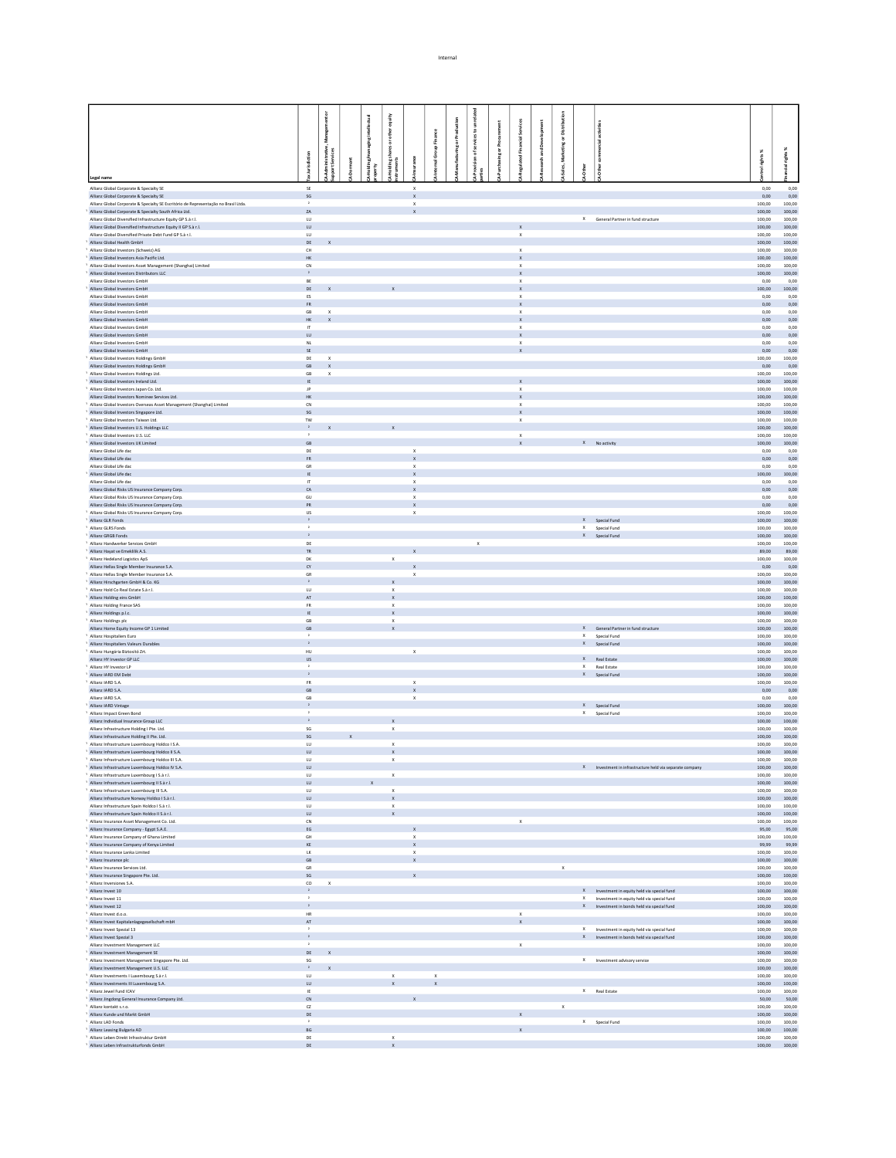|                                                                                                                                |                                         | $\overline{5}$                   |  |                             |                                           |                                                        |             |               |  |                                           |             |                                  |                                                          |                  |                       |
|--------------------------------------------------------------------------------------------------------------------------------|-----------------------------------------|----------------------------------|--|-----------------------------|-------------------------------------------|--------------------------------------------------------|-------------|---------------|--|-------------------------------------------|-------------|----------------------------------|----------------------------------------------------------|------------------|-----------------------|
|                                                                                                                                |                                         |                                  |  | equity                      |                                           |                                                        |             |               |  |                                           |             |                                  |                                                          |                  |                       |
|                                                                                                                                |                                         | Manager                          |  | ether                       |                                           |                                                        |             | $\frac{5}{8}$ |  |                                           | ä           |                                  |                                                          |                  |                       |
|                                                                                                                                |                                         |                                  |  | hares or                    |                                           | oup Finance                                            | ng or Produ |               |  |                                           |             |                                  |                                                          |                  | ×                     |
|                                                                                                                                |                                         | Administrative,<br>port Services |  |                             |                                           | ô                                                      |             |               |  |                                           |             |                                  |                                                          | rights%          | £                     |
|                                                                                                                                | Jurisdiction                            |                                  |  |                             |                                           |                                                        |             |               |  |                                           |             |                                  |                                                          |                  |                       |
| Legal name                                                                                                                     |                                         |                                  |  |                             |                                           |                                                        |             |               |  |                                           |             |                                  |                                                          |                  |                       |
| Allianz Global Cornorate & Specialty SF                                                                                        | SE                                      |                                  |  |                             | $\boldsymbol{\mathsf{x}}$                 |                                                        |             |               |  |                                           |             |                                  |                                                          | 0.00             | 0.00                  |
| Allianz Global Corporate & Specialty SE<br>Allianz Global Corporate & Specialty SE Escritório de Representação no Brasil Ltda. | $\mathsf{SG}$                           |                                  |  |                             | $\mathsf{x}$<br>$\boldsymbol{\mathsf{x}}$ |                                                        |             |               |  |                                           |             |                                  |                                                          | 0,00<br>100.00   | 0,00<br>100.00        |
| Allianz Global Corporate & Specialty South Africa Ltd.                                                                         | 2A                                      |                                  |  |                             | $\mathsf{x}$                              |                                                        |             |               |  |                                           |             |                                  |                                                          | 100,00           | 100,00                |
| Allianz Global Diversified Infrastructure Equity GP S.à r.l.                                                                   | LU.<br>${\sf LU}$                       |                                  |  |                             |                                           |                                                        |             |               |  |                                           |             |                                  | X General Partner in fund structure                      | 100.00           | 100.00<br>100,00      |
| Allianz Global Diversified Infrastructure Equity II GP S.à r.l.<br>Allianz Global Diversified Private Debt Fund GP S.à r.l.    | LU.                                     |                                  |  |                             |                                           |                                                        |             |               |  | $\boldsymbol{\mathsf{x}}$                 |             |                                  |                                                          | 100,00<br>100.00 | 100.00                |
| Allianz Global Health GmbH                                                                                                     | $\mathsf{DE}$                           |                                  |  |                             |                                           |                                                        |             |               |  |                                           |             |                                  |                                                          | 100,00           | 100,00                |
| Allianz Global Investors (Schweiz) AG<br>Allianz Global Investors Asia Pacific Ltd.                                            | CH<br>HK                                |                                  |  |                             |                                           |                                                        |             |               |  | $\times$<br>$\mathsf X$                   |             |                                  |                                                          | 100.00<br>100,00 | 100.00<br>100,00      |
| Allianz Global Investors Asset Management (Shanghai) Limited                                                                   | CN                                      |                                  |  |                             |                                           |                                                        |             |               |  | $\mathbf{x}$                              |             |                                  |                                                          | 100.00           | 100.00                |
| Allianz Global Investors Distributors LLC                                                                                      | $\rightarrow$                           |                                  |  |                             |                                           |                                                        |             |               |  | $\mathsf x$                               |             |                                  |                                                          | 100,00           | 100,00                |
| Allianz Global Investors GmbH<br>Allianz Global Investors GmbH                                                                 | BE<br>DE                                |                                  |  |                             |                                           |                                                        |             |               |  | $\mathbf{x}$<br>$\boldsymbol{\mathsf{x}}$ |             |                                  |                                                          | 0,00<br>100,00   | 0,00<br>100,00        |
| Allianz Global Investors GmbH                                                                                                  | $\mathsf{ES}\xspace$                    |                                  |  |                             |                                           |                                                        |             |               |  | $\boldsymbol{\mathsf{x}}$                 |             |                                  |                                                          | 0,00             | 0,00                  |
| Allianz Global Investors GmbH                                                                                                  | ${\sf FR}$                              |                                  |  |                             |                                           |                                                        |             |               |  | $\mathbf x$                               |             |                                  |                                                          | 0,00             | 0,00                  |
| Allianz Global Investors GmbH<br>Allianz Global Investors GmbH                                                                 | GB<br>$\mathsf{HK}$                     | $\mathbf{x}$<br>$\mathbf{x}$     |  |                             |                                           |                                                        |             |               |  | $\mathbf{x}$<br>$\mathbf{x}$              |             |                                  |                                                          | 0,00<br>0,00     | 0,00<br>0,00          |
| Allianz Global Investors GmbH                                                                                                  | IT.                                     |                                  |  |                             |                                           |                                                        |             |               |  | $\boldsymbol{\mathsf{x}}$                 |             |                                  |                                                          | 0,00             | 0.00                  |
| Allianz Global Investors GmbH                                                                                                  | $L U$                                   |                                  |  |                             |                                           |                                                        |             |               |  | $\boldsymbol{\mathsf{x}}$                 |             |                                  |                                                          | 0,00             | 0,00                  |
| Allianz Global Investors GmbH<br>Allianz Global Investors GmbH                                                                 | NL<br>$\mathsf{SE}$                     |                                  |  |                             |                                           |                                                        |             |               |  | $\mathbf{x}$                              |             |                                  |                                                          | 0,00<br>0,00     | 0.00<br>0,00          |
| Allianz Global Investors Holdings GmbH                                                                                         | DE                                      | $\mathbf{x}$                     |  |                             |                                           |                                                        |             |               |  |                                           |             |                                  |                                                          | 100,00           | 100.00                |
| Allianz Global Investors Holdings GmbH                                                                                         | GB                                      | $\mathbf{x}$                     |  |                             |                                           |                                                        |             |               |  |                                           |             |                                  |                                                          | 0,00             | 0,00                  |
| Allianz Global Investors Holdings Ltd.<br>Allianz Global Investors Ireland Ltd.                                                | GB<br>IE.                               | $\mathsf{x}$                     |  |                             |                                           |                                                        |             |               |  | $\mathbf{x}$                              |             |                                  |                                                          | 100,00<br>100.00 | 100.00<br>100.00      |
| Allianz Global Investors Japan Co. Ltd.                                                                                        | JP                                      |                                  |  |                             |                                           |                                                        |             |               |  | $\boldsymbol{\mathsf{x}}$                 |             |                                  |                                                          | 100,00           | 100,00                |
| Allianz Global Investors Nominee Services Ltd.                                                                                 | HK.                                     |                                  |  |                             |                                           |                                                        |             |               |  | $\mathbf{x}$                              |             |                                  |                                                          | 100.00           | 100.00                |
| Allianz Global Investors Overseas Asset Management (Shanghai) Limited<br>Allianz Global Investors Singapore Ltd.               | ${\sf CN}$<br>SG                        |                                  |  |                             |                                           |                                                        |             |               |  | $\boldsymbol{\mathsf{x}}$<br>$\mathbf{x}$ |             |                                  |                                                          | 100,00<br>100.00 | 100,00<br>100.00      |
| Allianz Global Investors Taiwan Ltd.                                                                                           | $\mathsf{TW}$                           |                                  |  |                             |                                           |                                                        |             |               |  | $\boldsymbol{\mathsf{x}}$                 |             |                                  |                                                          | 100,00           | 100,00                |
| Allianz Global Investors U.S. Holdings LLC                                                                                     | $\mathbf{2}$<br>$\,$ $\,$               |                                  |  |                             |                                           |                                                        |             |               |  |                                           |             |                                  |                                                          | 100.00           | 100.00                |
| Allianz Global Investors U.S. LLC<br>Allianz Global Investors UK Limited                                                       | GB                                      |                                  |  |                             |                                           |                                                        |             |               |  | $\mathsf X$<br>$\mathbf{x}$               |             | X No activity                    |                                                          | 100,00<br>100,00 | 100,00<br>100.00      |
| Allianz Global Life dac                                                                                                        | DE                                      |                                  |  |                             | $\mathsf x$                               |                                                        |             |               |  |                                           |             |                                  |                                                          | 0,00             | 0,00                  |
| Allianz Global Life dag                                                                                                        | <b>FR</b>                               |                                  |  |                             | $\mathbf{x}$                              |                                                        |             |               |  |                                           |             |                                  |                                                          | 0,00             | 0.00                  |
| Allianz Global Life dac<br>Allianz Global Life dac                                                                             | ${\sf GR}$<br>IE.                       |                                  |  |                             | X<br>$\mathbf{x}$                         |                                                        |             |               |  |                                           |             |                                  |                                                          | 0,00<br>100,00   | 0,00<br>100,00        |
| Allianz Global Life dac                                                                                                        | $\bar{\Pi}$                             |                                  |  |                             | $\boldsymbol{\mathsf{x}}$                 |                                                        |             |               |  |                                           |             |                                  |                                                          | 0,00             | 0,00                  |
| Allianz Global Risks US Insurance Company Corp.                                                                                | CA                                      |                                  |  |                             | $\mathbf{x}$                              |                                                        |             |               |  |                                           |             |                                  |                                                          | 0,00             | 0,00                  |
| Allianz Global Risks US Insurance Company Corp.<br>Allianz Global Risks US Insurance Company Corp.                             | GU<br>PR                                |                                  |  |                             | $\boldsymbol{\mathsf{x}}$<br>$\mathsf X$  |                                                        |             |               |  |                                           |             |                                  |                                                          | 0,00<br>0,00     | 0,00<br>0,00          |
| Allianz Global Risks US Insurance Company Corp.                                                                                | <b>US</b>                               |                                  |  |                             | $\,x\,$                                   |                                                        |             |               |  |                                           |             |                                  |                                                          | 100,00           | 100,00                |
| Allianz GLR Fonds                                                                                                              | $\mathbf{2}$<br>$\,$ $\,$               |                                  |  |                             |                                           |                                                        |             |               |  |                                           |             | X Special Fund                   |                                                          | 100,00           | 100,00                |
| Allianz GLRS Fonds<br>Allianz GRGB Fonds                                                                                       | $\mathbf{2}$                            |                                  |  |                             |                                           |                                                        |             |               |  |                                           |             | X Special Fund<br>X Special Fund |                                                          | 100,00<br>100,00 | 100,00<br>100,00      |
| Allianz Handwerker Services GmbH                                                                                               | DE                                      |                                  |  |                             |                                           |                                                        |             | $\mathbf x$   |  |                                           |             |                                  |                                                          | 100,00           | 100,00                |
| Allianz Hayat ve Emeklilik A.S.                                                                                                | <b>TR</b>                               |                                  |  |                             |                                           |                                                        |             |               |  |                                           |             |                                  |                                                          | 89,00            | 89,00                 |
| Allianz Hedeland Logistics ApS<br>Allianz Hellas Single Member Insurance S.A.                                                  | DK<br>CY                                |                                  |  | $\boldsymbol{\times}$       |                                           |                                                        |             |               |  |                                           |             |                                  |                                                          | 100,00<br>0,00   | 100,00<br>0,00        |
| Allianz Hellas Single Member Insurance S.A.                                                                                    | GR                                      |                                  |  |                             | $\mathbf{x}$                              |                                                        |             |               |  |                                           |             |                                  |                                                          | 100.00           | 100.00                |
| Allianz Hirschgarten GmbH & Co. KG                                                                                             | $\mathbf{2}^-$                          |                                  |  |                             |                                           |                                                        |             |               |  |                                           |             |                                  |                                                          | 100,00           | 100,00                |
| Allianz Hold Co Real Estate S.à r.l.                                                                                           | LU.<br>AT                               |                                  |  | $\mathbf x$                 |                                           |                                                        |             |               |  |                                           |             |                                  |                                                          | 100.00           | 100.00<br>100,00      |
| Allianz Holding eins GmbH<br>Allianz Holding France SAS                                                                        | <b>FR</b>                               |                                  |  | $\mathbf{x}$                |                                           |                                                        |             |               |  |                                           |             |                                  |                                                          | 100,00<br>100.00 | 100.00                |
| Allianz Holdings p.l.c.                                                                                                        | IE                                      |                                  |  |                             |                                           |                                                        |             |               |  |                                           |             |                                  |                                                          | 100,00           | 100,00                |
| Allianz Holdings plc                                                                                                           | <b>GB</b><br>$\mathsf{GB}$              |                                  |  | $\mathbf x$<br>$\mathbb X$  |                                           |                                                        |             |               |  |                                           |             |                                  |                                                          | 100.00           | 100.00<br>100,00      |
| Allianz Home Equity Income GP 1 Limited<br>Allianz Hospitaliers Euro                                                           |                                         |                                  |  |                             |                                           |                                                        |             |               |  |                                           |             | X Special Fund                   | X General Partner in fund structure                      | 100,00<br>100.00 | 100.00                |
| Allianz Hospitaliers Valeurs Durables                                                                                          | $\mathbf{2}$                            |                                  |  |                             |                                           |                                                        |             |               |  |                                           |             | $X$ Special Fund                 |                                                          | 100,00           | 100,00                |
| Allianz Hungária Biztosító Zrt.                                                                                                | <b>HU</b>                               |                                  |  |                             | $\mathsf{X}$                              |                                                        |             |               |  |                                           |             |                                  |                                                          | 100.00           | 100.00                |
| Allianz HY Investor GP LLC<br>Allianz HY Investor LP                                                                           | $\ensuremath{\mathsf{US}}$<br>$\,$ $\,$ |                                  |  |                             |                                           |                                                        |             |               |  |                                           |             | X Real Estate<br>X Real Estate   |                                                          | 100,00<br>100,00 | 100,00<br>100.00      |
| Allianz IARD EM Debt                                                                                                           | $\,$ $\,$                               |                                  |  |                             |                                           |                                                        |             |               |  |                                           |             | X Special Fund                   |                                                          | 100,00           | 100,00                |
| Allianz IARD S.A.                                                                                                              | <b>FR</b>                               |                                  |  |                             | $\mathsf X$                               |                                                        |             |               |  |                                           |             |                                  |                                                          | 100,00           | 100.00                |
| Allianz IARD S.A.<br>Allianz IARD S.A.                                                                                         | $\mathsf{GB}$<br>GB                     |                                  |  |                             | $\mathsf X$<br>$\mathbf{x}$               |                                                        |             |               |  |                                           |             |                                  |                                                          | 0,00<br>0.00     | 0,00<br>0.00          |
| Allianz IARD Vintage                                                                                                           | $\mathbf{z}$                            |                                  |  |                             |                                           |                                                        |             |               |  |                                           |             | X Special Fund                   |                                                          | 100,00           | 100,00                |
| Allianz Impact Green Bond                                                                                                      | $\,$ $\,$                               |                                  |  |                             |                                           |                                                        |             |               |  |                                           |             | X Special Fund                   |                                                          | 100.00           | 100.00                |
| Allianz Individual Insurance Group LLC<br>Allianz Infrastructure Holding I Pte. Ltd.                                           | $\,$ $\,$<br>SG                         |                                  |  | $\mathbf x$                 |                                           |                                                        |             |               |  |                                           |             |                                  |                                                          | 100,00<br>100.00 | 100,00<br>100.00      |
| Allianz Infrastructure Holding II Pte. Ltd.                                                                                    | SG                                      |                                  |  |                             |                                           |                                                        |             |               |  |                                           |             |                                  |                                                          | 100,00           | 100,00                |
| Allianz Infrastructure Luxembourg Holdco I S.A.                                                                                | LU                                      |                                  |  | $\mathbb X$                 |                                           |                                                        |             |               |  |                                           |             |                                  |                                                          | 100.00           | 100.00                |
| Allianz Infrastructure Luxembourg Holdco II S.A.<br>Allians Infrastructura Lu                                                  | ${\sf LU}$                              |                                  |  |                             |                                           |                                                        |             |               |  |                                           |             |                                  |                                                          | 100,00<br>100.00 | 100,00<br>100,00      |
| Allianz Infrastructure Luxembourg Holdco IV S.A.                                                                               | LU                                      |                                  |  |                             |                                           |                                                        |             |               |  |                                           |             |                                  | X Investment in infrastructure held via separate company |                  | 100,00 100,00         |
| Allianz Infrastructure Luxembourg I S.à r.l.                                                                                   | $\overline{\omega}$                     |                                  |  | $\mathbf x$                 |                                           |                                                        |             |               |  |                                           |             |                                  |                                                          | 100,00           | 100,00                |
| Allianz Infrastructure Luxembourg II S.à r.l.                                                                                  | LU.                                     |                                  |  |                             |                                           |                                                        |             |               |  |                                           |             |                                  |                                                          |                  | 100.00 100.00         |
| Allianz Infrastructure Luxembourg III S.A.<br>Allianz Infrastructure Norway Holdco I S.à r.l.                                  | ${\sf LU}$<br>LU <sub>1</sub>           |                                  |  | $\mathsf X$<br>$\mathbf{x}$ |                                           |                                                        |             |               |  |                                           |             |                                  |                                                          | 100,00<br>100,00 | 100,00<br>100.00      |
| Allianz Infrastructure Spain Holdco I S.à r.l.                                                                                 | $\cup$                                  |                                  |  | $\mathsf X$                 |                                           |                                                        |             |               |  |                                           |             |                                  |                                                          | 100,00           | 100,00                |
| Allianz Infrastructure Spain Holdco II S.à r.l.                                                                                | LU.                                     |                                  |  | $\mathbf{x}$                |                                           |                                                        |             |               |  |                                           |             |                                  |                                                          | 100,00           | 100.00                |
| Allianz Insurance Asset Management Co. Ltd.<br>Allianz Insurance Company - Egypt S.A.E.                                        | ${\sf CN}$<br>EG                        |                                  |  |                             | $\mathbf{x}$                              |                                                        |             |               |  | $\boldsymbol{\chi}$                       |             |                                  |                                                          | 100,00           | 100,00<br>95,00 95,00 |
| Allianz Insurance Company of Ghana Limited                                                                                     | $\mathsf{GH}$                           |                                  |  |                             | $\mathsf x$                               |                                                        |             |               |  |                                           |             |                                  |                                                          | 100,00           | 100,00                |
| Allianz Insurance Company of Kenya Limited                                                                                     | KE                                      |                                  |  |                             | $\mathbf{x}$                              |                                                        |             |               |  |                                           |             |                                  |                                                          |                  | 99,99 99,99           |
| Allianz Insurance Lanka Limited<br>Allianz Insurance plc                                                                       | LK<br>GB                                |                                  |  |                             | $\mathsf x$<br>$\mathbf{x}$               |                                                        |             |               |  |                                           |             |                                  |                                                          | 100,00<br>100,00 | 100,00<br>100,00      |
| Allianz Insurance Services Ltd.                                                                                                | ${\sf GR}$                              |                                  |  |                             |                                           |                                                        |             |               |  |                                           | $\mathbf x$ |                                  |                                                          | 100,00           | 100,00                |
| Allianz Insurance Singapore Pte. Ltd.                                                                                          | SG                                      |                                  |  |                             |                                           |                                                        |             |               |  |                                           |             |                                  |                                                          | 100,00           | 100,00                |
| Allianz Inversiones S.A.<br>Allianz Invest 10                                                                                  | co<br>2                                 | $\mathbf{x}$                     |  |                             |                                           |                                                        |             |               |  |                                           |             |                                  | X Investment in equity held via special fund             | 100,00<br>100,00 | 100,00<br>100,00      |
| Allianz Invest 11                                                                                                              | $\,$ $\,$                               |                                  |  |                             |                                           |                                                        |             |               |  |                                           |             |                                  | X Investment in equity held via special fund             | 100,00           | 100,00                |
| Allianz Invest 12                                                                                                              | $\mathbf{2}$                            |                                  |  |                             |                                           |                                                        |             |               |  |                                           |             |                                  | X Investment in bonds held via special fund              | 100,00           | 100,00                |
| Allianz Invest d.o.o.<br>Allianz Invest Kapitalanlagegesellschaft mbH                                                          | $_{\rm HR}$<br>AT                       |                                  |  |                             |                                           |                                                        |             |               |  | $\boldsymbol{\mathsf{x}}$<br>$\mathbf x$  |             |                                  |                                                          | 100,00<br>100,00 | 100,00<br>100,00      |
| Allianz Invest Spezial 13                                                                                                      | $\,$ $\,$                               |                                  |  |                             |                                           |                                                        |             |               |  |                                           |             |                                  | X Investment in equity held via special fund             | 100,00           | 100,00                |
| Allianz Invest Spezial 3                                                                                                       | $\,$ $\,$                               |                                  |  |                             |                                           |                                                        |             |               |  |                                           |             |                                  | X Investment in bonds held via special fund              | 100,00           | 100,00                |
| Allianz Investment Management LLC                                                                                              | $\mathbf{r}$                            |                                  |  |                             |                                           |                                                        |             |               |  | $\mathbf{x}$                              |             |                                  |                                                          | 100,00           | 100,00                |
| Allianz Investment Management SE<br>Allianz Investment Management Singapore Pte. Ltd.                                          | DE<br>SG                                |                                  |  |                             |                                           |                                                        |             |               |  |                                           |             |                                  | X Investment advisory service                            | 100,00<br>100.00 | 100,00<br>100.00      |
| Allianz Investment Management U.S. LLC                                                                                         | $\,$ 2 $\,$                             |                                  |  |                             |                                           |                                                        |             |               |  |                                           |             |                                  |                                                          |                  | $100,00$ $100,00$     |
| Allianz Investments   Luxembourg S.à r.l.<br>Allianz Investments III Luxembourg S.A.                                           | LU.<br>${\sf LU}$                       |                                  |  | $\mathbb X$                 | $\mathbf x$                               | $\boldsymbol{\mathsf{x}}$<br>$\boldsymbol{\mathsf{x}}$ |             |               |  |                                           |             |                                  |                                                          | 100.00<br>100,00 | 100.00<br>100,00      |
| Allianz Jewel Fund ICAV                                                                                                        | IE                                      |                                  |  |                             |                                           |                                                        |             |               |  |                                           |             | X Real Estate                    |                                                          | 100.00           | 100.00                |
| Allianz Jingdong General Insurance Company Ltd.                                                                                | ${\sf CN}$                              |                                  |  |                             |                                           |                                                        |             |               |  |                                           |             |                                  |                                                          |                  | 50,00 50,00           |
| Allianz kontakt s.r.o.<br>Allianz Kunde und Markt GmbH                                                                         | CZ<br>$\mathsf{DE}$                     |                                  |  |                             |                                           |                                                        |             |               |  |                                           | $\times$    |                                  |                                                          | 100.00<br>100,00 | 100.00<br>100,00      |
| Allianz LAD Fonds                                                                                                              |                                         |                                  |  |                             |                                           |                                                        |             |               |  |                                           |             | X Special Fund                   |                                                          | 100.00           | 100.00                |
| Allianz Leasing Bulgaria AD                                                                                                    | BG                                      |                                  |  |                             |                                           |                                                        |             |               |  |                                           |             |                                  |                                                          |                  | $100,00$ $100,00$     |
| Allianz Leben Direkt Infrastruktur GmbH<br>Allianz Leben Infrastrukturfonds GmbH                                               | DE<br>$\mathsf{DE}$                     |                                  |  | $\mathbf x$                 |                                           |                                                        |             |               |  |                                           |             |                                  |                                                          | 100.00<br>100,00 | 100.00<br>100,00      |
|                                                                                                                                |                                         |                                  |  |                             |                                           |                                                        |             |               |  |                                           |             |                                  |                                                          |                  |                       |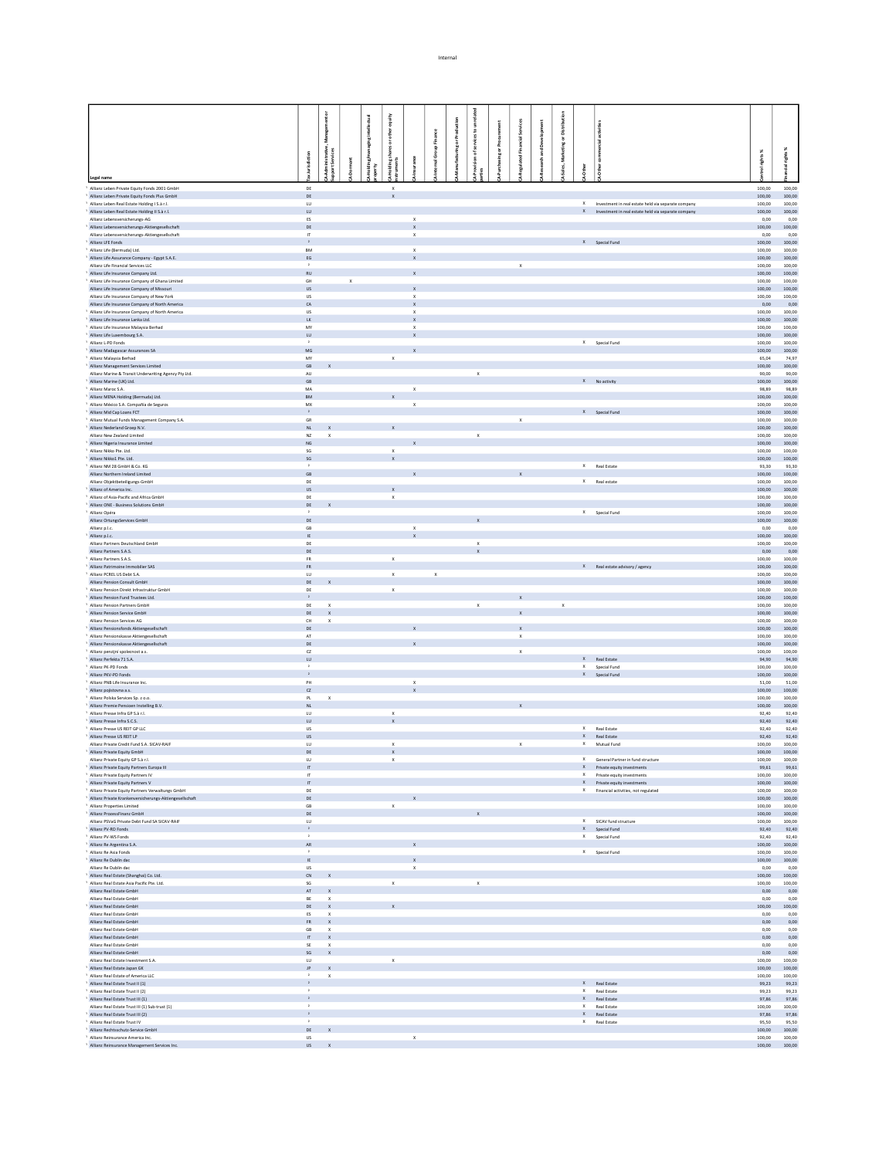|                                                                                               |                                         | ŏ                                |             | equity                    |                                           |             |                 |                       |   |              |   |        |          |                              |                                                                                                                  |                  |                         |
|-----------------------------------------------------------------------------------------------|-----------------------------------------|----------------------------------|-------------|---------------------------|-------------------------------------------|-------------|-----------------|-----------------------|---|--------------|---|--------|----------|------------------------------|------------------------------------------------------------------------------------------------------------------|------------------|-------------------------|
|                                                                                               |                                         |                                  |             |                           |                                           |             |                 |                       |   |              |   |        |          |                              |                                                                                                                  |                  |                         |
|                                                                                               |                                         | Manager                          |             | other                     |                                           | Finance     |                 | £                     |   |              |   | Ж      |          |                              |                                                                                                                  |                  |                         |
|                                                                                               |                                         |                                  |             | resor                     |                                           | 을           | ring or Product |                       | ō |              | క |        |          |                              |                                                                                                                  |                  |                         |
|                                                                                               | Jurisdiction                            | Administrative,<br>port Services |             |                           |                                           | $rac{G}{a}$ |                 |                       |   |              |   |        |          |                              |                                                                                                                  | irights%         | ł                       |
|                                                                                               |                                         |                                  |             |                           |                                           |             |                 |                       |   |              |   |        |          |                              |                                                                                                                  |                  |                         |
| Legal name                                                                                    |                                         |                                  |             |                           |                                           |             |                 |                       |   |              |   |        |          |                              |                                                                                                                  |                  |                         |
| Allianz Leben Private Equity Fonds 2001 GmbH                                                  | $\mathsf{DE}$                           |                                  |             | $\,$ $\,$                 |                                           |             |                 |                       |   |              |   |        |          |                              |                                                                                                                  | 100,00           | 100,00                  |
| Allianz Leben Private Equity Fonds Plus GmbH                                                  | DE                                      |                                  |             | $\mathbf{x}$              |                                           |             |                 |                       |   |              |   |        |          |                              |                                                                                                                  | 100.00           | 100.00                  |
| Allianz Leben Real Estate Holding I S.à r.l.<br>Allianz Leben Real Estate Holding II S.à r.l. | ${\sf LU}$<br>LU.                       |                                  |             |                           |                                           |             |                 |                       |   |              |   |        |          |                              | $X$ Investment in real estate held via separate company<br>X Investment in real estate held via separate company | 100,00<br>100,00 | 100,00<br>100.00        |
| Allianz Lebensversicherungs-AG                                                                | $_{\rm ES}$                             |                                  |             |                           | $\,$ $\,$                                 |             |                 |                       |   |              |   |        |          |                              |                                                                                                                  | 0,00             | 0,00                    |
| Allianz Lebensversicherungs-Aktiengesellschaft                                                | DE                                      |                                  |             |                           | $\mathbf{x}$                              |             |                 |                       |   |              |   |        |          |                              |                                                                                                                  | 100,00           | 100.00                  |
| Allianz Lebensversicherungs-Aktiengesellschaft<br>Allianz LFE Fonds                           | $\mathsf{IT}$<br>$\,$ $\,$              |                                  |             |                           | $\mathsf x$                               |             |                 |                       |   |              |   |        |          | X Special Fund               |                                                                                                                  | 0,00<br>100,00   | 0,00<br>100.00          |
| Allianz Life (Bermuda) Ltd.                                                                   | ${\sf BM}$                              |                                  |             |                           | $\,$ X                                    |             |                 |                       |   |              |   |        |          |                              |                                                                                                                  | 100,00           | 100,00                  |
| Allianz Life Assurance Company - Egypt S.A.E.                                                 | $\mathsf{EG}$                           |                                  |             |                           | $\mathbf{x}$                              |             |                 |                       |   |              |   |        |          |                              |                                                                                                                  | 100,00           | 100.00                  |
| Allianz Life Financial Services LLC<br>Allianz Life Insurance Company Ltd.                    | $\cdot$<br>RU                           |                                  |             |                           | $\mathbf{x}$                              |             |                 |                       |   | $\mathbf x$  |   |        |          |                              |                                                                                                                  | 100,00<br>100,00 | 100,00<br>100.00        |
| Allianz Life Insurance Company of Ghana Limited                                               | GH                                      |                                  | $\mathsf X$ |                           |                                           |             |                 |                       |   |              |   |        |          |                              |                                                                                                                  | 100,00           | 100,00                  |
| Allianz Life Insurance Company of Missouri                                                    | <b>US</b>                               |                                  |             |                           | $\mathbf{x}$                              |             |                 |                       |   |              |   |        |          |                              |                                                                                                                  | 100,00           | 100,00                  |
| Allianz Life Insurance Company of New York<br>Allianz Life Insurance Company of North America | <b>US</b><br>CA                         |                                  |             |                           | $\mathsf{x}$<br>$\mathbf{x}$              |             |                 |                       |   |              |   |        |          |                              |                                                                                                                  | 100,00<br>0,00   | 100,00<br>0,00          |
| Allianz Life Insurance Company of North America                                               | US                                      |                                  |             |                           | $\,x\,$                                   |             |                 |                       |   |              |   |        |          |                              |                                                                                                                  | 100,00           | 100,00                  |
| Allianz Life Insurance Lanka Ltd.                                                             | LK                                      |                                  |             |                           | $\mathsf X$                               |             |                 |                       |   |              |   |        |          |                              |                                                                                                                  | 100,00           | 100,00                  |
| Allianz Life Insurance Malaysia Berhad                                                        | MY<br>LU                                |                                  |             |                           | $\boldsymbol{\mathsf{x}}$<br>$\mathbf{x}$ |             |                 |                       |   |              |   |        |          |                              |                                                                                                                  | 100,00<br>100,00 | 100,00<br>100,00        |
| Allianz Life Luxembourg S.A.<br>Allianz L-PD Fonds                                            | $\overline{1}$                          |                                  |             |                           |                                           |             |                 |                       |   |              |   |        |          | X Special Fund               |                                                                                                                  | 100,00           | 100,00                  |
| Allianz Madagascar Assurances SA                                                              | MG                                      |                                  |             |                           |                                           |             |                 |                       |   |              |   |        |          |                              |                                                                                                                  | 100,00           | 100,00                  |
| Allianz Malaysia Berhad                                                                       | MY                                      |                                  |             | $\boldsymbol{\mathsf{x}}$ |                                           |             |                 |                       |   |              |   |        |          |                              |                                                                                                                  | 65,04            | 74,97                   |
| Allianz Management Services Limited<br>Allianz Marine & Transit Underwriting Agency Pty Ltd.  | $\mathsf{GB}$<br>AU                     |                                  |             |                           |                                           |             |                 | $\mathbf x$           |   |              |   |        |          |                              |                                                                                                                  | 100,00<br>90,00  | 100,00<br>90,00         |
| Allianz Marine (UK) Ltd.                                                                      | $\mathsf{GB}$                           |                                  |             |                           |                                           |             |                 |                       |   |              |   |        |          | X No activity                |                                                                                                                  | 100,00           | 100,00                  |
| Allianz Maroc S.A.                                                                            | MA                                      |                                  |             |                           | $\,x\,$                                   |             |                 |                       |   |              |   |        |          |                              |                                                                                                                  | 98.89            | 98.89                   |
| Allianz MENA Holding (Bermuda) Ltd.<br>Allianz México S.A. Compañía de Seguros                | ${\sf BM}$<br>MX                        |                                  |             |                           | $\mathsf{x}$                              |             |                 |                       |   |              |   |        |          |                              |                                                                                                                  | 100,00<br>100.00 | 100,00<br>100.00        |
| Allianz Mid Cap Loans FCT                                                                     | $\mathbf{2}$                            |                                  |             |                           |                                           |             |                 |                       |   |              |   |        |          | $X$ Special Fund             |                                                                                                                  | 100,00           | 100,00                  |
| Allianz Mutual Funds Management Company S.A.                                                  | GR                                      |                                  |             |                           |                                           |             |                 |                       |   | $\mathbf{x}$ |   |        |          |                              |                                                                                                                  | 100.00           | 100.00                  |
| Allianz Nederland Groep N.V.<br>Allianz New Zealand Limited                                   | $\mathsf{NL}^-$<br>NZ                   | $\mathbf{x}$                     |             |                           |                                           |             |                 | $\mathbf{x}$          |   |              |   |        |          |                              |                                                                                                                  | 100,00<br>100.00 | 100,00<br>100.00        |
| Allianz Nigeria Insurance Limited                                                             | $_{\rm NG}$                             |                                  |             |                           |                                           |             |                 |                       |   |              |   |        |          |                              |                                                                                                                  | 100,00           | 100,00                  |
| Allianz Nikko Pte, Ltd.                                                                       | SG                                      |                                  |             | $\mathbf x$               |                                           |             |                 |                       |   |              |   |        |          |                              |                                                                                                                  | 100.00           | 100.00                  |
| Allianz Nikko1 Pte. Ltd.<br>Allianz NM 28 GmbH & Co. KG                                       | $\mathsf{SG}$                           |                                  |             | $\boldsymbol{\mathsf{x}}$ |                                           |             |                 |                       |   |              |   |        |          | X Real Estate                |                                                                                                                  | 100,00<br>93.30  | 100,00<br>93.30         |
| Allianz Northern Ireland Limited                                                              | $\mathsf{GB}$                           |                                  |             |                           |                                           |             |                 |                       |   |              |   |        |          |                              |                                                                                                                  | 100,00           | 100,00                  |
| Allianz Objektbeteiligungs-GmbH                                                               | DE                                      |                                  |             |                           |                                           |             |                 |                       |   |              |   |        |          | X Real estate                |                                                                                                                  | 100,00           | 100.00                  |
| Allianz of America Inc.<br>Allianz of Asia-Pacific and Africa GmbH                            | <b>US</b><br>DE                         |                                  |             | $\mathbf x$               |                                           |             |                 |                       |   |              |   |        |          |                              |                                                                                                                  | 100,00<br>100.00 | 100,00<br>100.00        |
| Allianz ONE - Business Solutions GmbH                                                         | $DE$                                    |                                  |             |                           |                                           |             |                 |                       |   |              |   |        |          |                              |                                                                                                                  | 100,00           | 100,00                  |
| Allianz Opéra                                                                                 | $\rightarrow$                           |                                  |             |                           |                                           |             |                 |                       |   |              |   |        |          | X Special Fund               |                                                                                                                  | 100,00           | 100.00                  |
| Allianz OrtungsServices GmbH<br>Allianz p.l.c.                                                | DE<br>GB                                |                                  |             |                           | $\mathbf{x}$                              |             |                 |                       |   |              |   |        |          |                              |                                                                                                                  | 100,00<br>0,00   | 100,00<br>0,00          |
| Allianz p.l.c.                                                                                | ΙE                                      |                                  |             |                           |                                           |             |                 |                       |   |              |   |        |          |                              |                                                                                                                  | 100,00           | 100,00                  |
| Allianz Partners Deutschland GmbH                                                             | DE                                      |                                  |             |                           |                                           |             |                 | $\mathbf x$           |   |              |   |        |          |                              |                                                                                                                  | 100,00           | 100,00                  |
| Allianz Partners S.A.S.<br>Allianz Partners S.A.S.                                            | DE<br><b>FR</b>                         |                                  |             | $\mathbf{x}$              |                                           |             |                 | $\mathbf{x}$          |   |              |   |        |          |                              |                                                                                                                  | 0,00<br>100.00   | 0,00<br>100.00          |
| Allianz Patrimoine Immobilier SAS                                                             | FR                                      |                                  |             |                           |                                           |             |                 |                       |   |              |   |        |          |                              | X Real estate advisory / agency                                                                                  | 100,00           | 100,00                  |
| Allianz PCREL US Debt S.A.                                                                    | LU                                      |                                  |             | $\,$ $\,$                 |                                           | $\mathsf X$ |                 |                       |   |              |   |        |          |                              |                                                                                                                  | 100,00           | 100,00                  |
| Allianz Pension Consult GmbH                                                                  | DE                                      | $\mathbf{x}$                     |             |                           |                                           |             |                 |                       |   |              |   |        |          |                              |                                                                                                                  | 100.00           | 100.00                  |
| Allianz Pension Direkt Infrastruktur GmbH<br>Allianz Pension Fund Trustees Ltd.               | $\mathsf{DE}$<br>$\,$ $\,$              |                                  |             | $\mathsf X$               |                                           |             |                 |                       |   |              |   |        |          |                              |                                                                                                                  | 100,00<br>100.00 | 100,00<br>100.00        |
| Allianz Pension Partners GmbH                                                                 | $\mathsf{DE}$                           | $\mathbf{x}$                     |             |                           |                                           |             |                 | $\boldsymbol{\times}$ |   |              |   | $\,$ X |          |                              |                                                                                                                  | 100,00           | 100,00                  |
| Allianz Pension Service GmbH                                                                  | DE                                      | $\mathbf{x}$                     |             |                           |                                           |             |                 |                       |   | $\mathsf{x}$ |   |        |          |                              |                                                                                                                  | 100.00           | 100.00                  |
| Allianz Pension Services AG<br>Allianz Pensionsfonds Aktiengesellschaft                       | $\mathsf{CH}%$<br>DE                    | $\mathsf X$                      |             |                           |                                           |             |                 |                       |   | $\mathbf{x}$ |   |        |          |                              |                                                                                                                  | 100,00<br>100.00 | 100,00<br>100.00        |
| Allianz Pensionskasse Aktiengesellschaft                                                      | $\mathsf{AT}$                           |                                  |             |                           |                                           |             |                 |                       |   | $\,$ X       |   |        |          |                              |                                                                                                                  | 100,00           | 100,00                  |
| Allianz Pensionskasse Aktiengesellschaft                                                      | DE                                      |                                  |             |                           |                                           |             |                 |                       |   |              |   |        |          |                              |                                                                                                                  | 100,00           | 100.00                  |
| Allianz penzijní spolecnost a.s.<br>Allianz Perfekta 71 S.A.                                  | $_{\rm CZ}$<br>LU.                      |                                  |             |                           |                                           |             |                 |                       |   | $\mathbf x$  |   |        |          | X Real Estate                |                                                                                                                  | 100,00<br>94,90  | 100,00<br>94,90         |
| Allianz PK-PD Fonds                                                                           | $\,$ $\,$                               |                                  |             |                           |                                           |             |                 |                       |   |              |   |        |          | X Special Fund               |                                                                                                                  | 100,00           | 100,00                  |
| Allianz PKV-PD Fonds                                                                          | $\,$ $\,$                               |                                  |             |                           |                                           |             |                 |                       |   |              |   |        |          | X Special Fund               |                                                                                                                  | 100,00           | 100,00                  |
| Allianz PNB Life Insurance Inc.                                                               | $\mathsf{PH}$                           |                                  |             |                           | $\mathsf X$                               |             |                 |                       |   |              |   |        |          |                              |                                                                                                                  | 51,00            | 51,00                   |
| Allianz pojistovna a.s.<br>Allianz Polska Services Sp. z o.o.                                 | CZ<br>PL                                | $\mathsf X$                      |             |                           | $\mathsf X$                               |             |                 |                       |   |              |   |        |          |                              |                                                                                                                  | 100,00<br>100,00 | 100,00<br>100,00        |
| Allianz Premie Pensioen Instelling B.V.                                                       | NL.                                     |                                  |             |                           |                                           |             |                 |                       |   | $\mathbf{x}$ |   |        |          |                              |                                                                                                                  | 100,00           | 100,00                  |
| Allianz Presse Infra GP S.à r.l.                                                              | LU                                      |                                  |             | $\mathbb X$               |                                           |             |                 |                       |   |              |   |        |          |                              |                                                                                                                  | 92,40            | 92,40                   |
| Allianz Presse Infra S.C.S.<br>Allianz Presse US REIT GP LLC                                  | LU<br>US                                |                                  |             | $\boldsymbol{\mathsf{x}}$ |                                           |             |                 |                       |   |              |   |        |          | X Real Estate                |                                                                                                                  | 92,40<br>92,40   | 92,40<br>92,40          |
| Allianz Presse US REIT LP                                                                     | <b>US</b>                               |                                  |             |                           |                                           |             |                 |                       |   |              |   |        |          | X Real Estate                |                                                                                                                  | 92,40            | 92,40                   |
| Allianz Private Credit Fund S.A. SICAV-RAIF                                                   | LU                                      |                                  |             | $\mathbb X$               |                                           |             |                 |                       |   | $\mathsf{x}$ |   |        |          | X Mutual Fund                |                                                                                                                  | 100,00           | 100,00                  |
| Allianz Private Equity GmbH<br>Allianz Private Equity GP S.à r.l.                             | $\mathsf{DE}$<br><b>LU</b>              |                                  |             | $\mathbf x$               |                                           |             |                 |                       |   |              |   |        |          |                              | X General Partner in fund strue                                                                                  | 100,00<br>100.00 | 100,00<br>100.00        |
| Allianz Private Equity Partners Europa III                                                    | $\bar{\Pi}$                             |                                  |             |                           |                                           |             |                 |                       |   |              |   |        |          |                              | X Private equity investments                                                                                     |                  | 99,61 99,61             |
| Allianz Private Equity Partners IV                                                            | IT.                                     |                                  |             |                           |                                           |             |                 |                       |   |              |   |        |          |                              | X Private equity investments                                                                                     | 100.00           | 100.00                  |
| Allianz Private Equity Partners V<br>Allianz Private Equity Partners Verwaltungs GmbH         | $\ensuremath{\mathsf{T}}$<br>DE         |                                  |             |                           |                                           |             |                 |                       |   |              |   |        |          |                              | X Private equity investments<br>X Financial activities, not regulated                                            | 100,00<br>100.00 | 100,00<br>100.00        |
| Allianz Private Krankenversicherungs-Aktiengesellschaft                                       | DE                                      |                                  |             |                           |                                           |             |                 |                       |   |              |   |        |          |                              |                                                                                                                  | 100,00           | 100,00                  |
| Allianz Properties Limited                                                                    | GB                                      |                                  |             | $\mathbf{x}$              |                                           |             |                 |                       |   |              |   |        |          |                              |                                                                                                                  | 100.00           | 100.00                  |
| Allianz ProzessFinanz GmbH<br>Allianz PSVaG Private Debt Fund SA SICAV-RAIF                   | $\mathsf{DE}$<br>LU.                    |                                  |             |                           |                                           |             |                 |                       |   |              |   |        |          |                              | X SICAV fund structure                                                                                           | 100,00<br>100.00 | 100,00<br>100.00        |
| Allianz PV-RD Fonds                                                                           | $\mathbf{2}$                            |                                  |             |                           |                                           |             |                 |                       |   |              |   |        |          | X Special Fund               |                                                                                                                  | 92,40            | 92,40                   |
| Allianz PV-WS Fonds                                                                           | $\,$ $\,$                               |                                  |             |                           |                                           |             |                 |                       |   |              |   |        |          | X Special Fund               |                                                                                                                  | 92.40            | 92.40                   |
| Allianz Re Argentina S.A.<br>Allianz Re Asia Fonds                                            | ${\sf AR}$<br>$\,$ $\,$                 |                                  |             |                           |                                           |             |                 |                       |   |              |   |        |          | X Special Fund               |                                                                                                                  | 100,00<br>100.00 | 100,00<br>100.00        |
| Allianz Re Dublin dac                                                                         | IE                                      |                                  |             |                           |                                           |             |                 |                       |   |              |   |        |          |                              |                                                                                                                  | 100,00           | 100,00                  |
| Allianz Re Dublin dac                                                                         | <b>US</b>                               |                                  |             |                           | $\,$ X                                    |             |                 |                       |   |              |   |        |          |                              |                                                                                                                  | 0,00             | 0,00                    |
| Allianz Real Estate (Shanghai) Co. Ltd.                                                       | CN                                      |                                  |             |                           |                                           |             |                 |                       |   |              |   |        |          |                              |                                                                                                                  | 100,00           | 100,00                  |
| Allianz Real Estate Asia Pacific Pte. Ltd.<br>Allianz Real Estate GmbH                        | SG<br>AT                                | $\mathbf{x}$                     |             | $\mathbf{x}$              |                                           |             |                 | $\mathbf{x}$          |   |              |   |        |          |                              |                                                                                                                  | 100.00<br>0,00   | 100.00<br>0,00          |
| Allianz Real Estate GmbH                                                                      | BE                                      | $\mathbf x$                      |             |                           |                                           |             |                 |                       |   |              |   |        |          |                              |                                                                                                                  | 0.00             | 0.00                    |
| Allianz Real Estate GmbH                                                                      | $DE$                                    | $\mathbf{x}$                     |             |                           |                                           |             |                 |                       |   |              |   |        |          |                              |                                                                                                                  | 100,00           | 100,00                  |
| Allianz Real Estate GmbH<br>Allianz Real Estate GmbH                                          | ES<br>$FR$ $\qquad$ $\,$ X $\,$         | $\mathbf{x}$                     |             |                           |                                           |             |                 |                       |   |              |   |        |          |                              |                                                                                                                  | 0,00<br>0,00     | 0,00<br>0,00            |
| Allianz Real Estate GmbH                                                                      | GB                                      | $\mathbf x$                      |             |                           |                                           |             |                 |                       |   |              |   |        |          |                              |                                                                                                                  | 0,00             | 0,00                    |
| Allianz Real Estate GmbH                                                                      | $\mathsf{IT}$ .<br><br>$\mathsf{X}$ .   |                                  |             |                           |                                           |             |                 |                       |   |              |   |        |          |                              |                                                                                                                  | 0,00             | 0,00                    |
| Allianz Real Estate GmbH<br>Allianz Real Estate GmbH                                          | SE<br>$SG$ $X$                          | $\mathbf{x}$                     |             |                           |                                           |             |                 |                       |   |              |   |        |          |                              |                                                                                                                  | 0,00<br>0,00     | 0,00<br>0,00            |
| Allianz Real Estate Investment S.A.                                                           | $\mathsf{L}\mathsf{U}$                  |                                  |             | $\mathbf x$               |                                           |             |                 |                       |   |              |   |        |          |                              |                                                                                                                  | 100,00           | 100,00                  |
| Allianz Real Estate Japan GK                                                                  | $JP$ $X$                                |                                  |             |                           |                                           |             |                 |                       |   |              |   |        |          |                              |                                                                                                                  | 100.00           | 100.00                  |
| Allianz Real Estate of America LLC<br>Allianz Real Estate Trust II (1)                        | 2<br>$\,$ $\,$                          | $\,$ $\,$ $\,$                   |             |                           |                                           |             |                 |                       |   |              |   |        |          | X Real Estate                |                                                                                                                  | 100,00<br>99,23  | 100,00<br>99,23         |
| Allianz Real Estate Trust II (2)                                                              | $\mathbf{2}$                            |                                  |             |                           |                                           |             |                 |                       |   |              |   |        |          | X Real Estate                |                                                                                                                  | 99,23            | 99,23                   |
| Allianz Real Estate Trust III (1)                                                             | $\,$ $\,$                               |                                  |             |                           |                                           |             |                 |                       |   |              |   |        |          | X Real Estate                |                                                                                                                  | 97,86            | 97.86                   |
| Allianz Real Estate Trust III (1) Sub-trust (1)<br>Allianz Real Estate Trust III (2)          | $\mathbf{2}$<br>$\,$ $\,$               |                                  |             |                           |                                           |             |                 |                       |   |              |   |        | $\times$ | Real Estate<br>X Real Estate |                                                                                                                  | 100,00<br>97,86  | 100,00<br>97,86         |
| Allianz Real Estate Trust IV                                                                  | $\cdot$                                 |                                  |             |                           |                                           |             |                 |                       |   |              |   |        |          | X Real Estate                |                                                                                                                  | 95,50            | 95,50                   |
| Allianz Rechtsschutz-Service GmbH                                                             | DE                                      | $\mathbf{x}$                     |             |                           |                                           |             |                 |                       |   |              |   |        |          |                              |                                                                                                                  | 100,00           | 100.00                  |
| Allianz Reinsurance America Inc.<br>Allianz Reinsurance Management Services Inc.              | $\ensuremath{\mathsf{US}}$<br><b>US</b> | $\mathbf{x}$                     |             |                           | $\mathsf x$                               |             |                 |                       |   |              |   |        |          |                              |                                                                                                                  | 100,00           | 100,00<br>100,00 100,00 |
|                                                                                               |                                         |                                  |             |                           |                                           |             |                 |                       |   |              |   |        |          |                              |                                                                                                                  |                  |                         |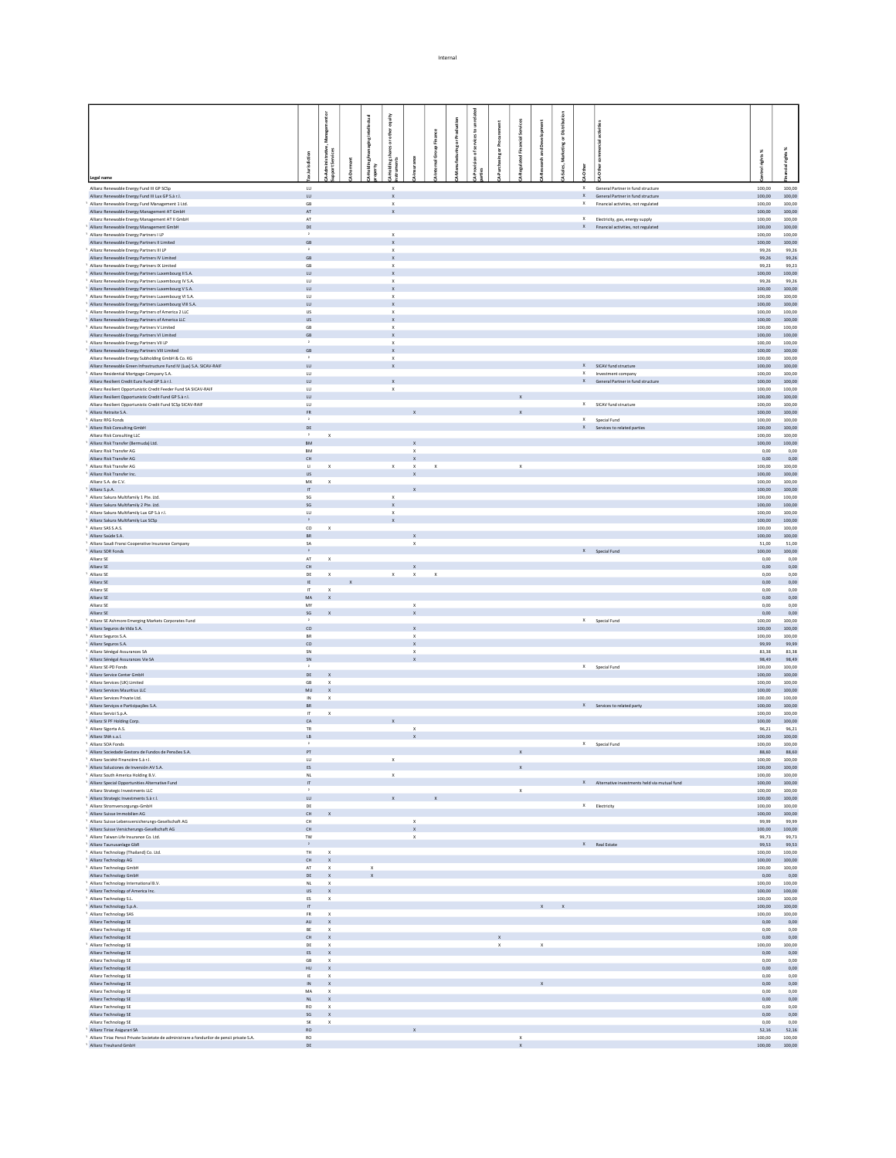|                                                                                                                            |                               |                                   |                           | equity                      |                                           |                           |               |   |              |              |              |        |             |                             |                                                                              |                  |                             |
|----------------------------------------------------------------------------------------------------------------------------|-------------------------------|-----------------------------------|---------------------------|-----------------------------|-------------------------------------------|---------------------------|---------------|---|--------------|--------------|--------------|--------|-------------|-----------------------------|------------------------------------------------------------------------------|------------------|-----------------------------|
|                                                                                                                            |                               |                                   |                           | other                       |                                           |                           |               | £ |              |              |              | ã      |             |                             |                                                                              |                  |                             |
|                                                                                                                            |                               | š                                 |                           | $\frac{5}{2}$               |                                           | Finance                   | ing or Produc |   |              |              |              | ŏ<br>š |             |                             |                                                                              |                  |                             |
|                                                                                                                            |                               | Administrative,<br>Iport Services |                           |                             |                                           | $\frac{6}{8}$<br>ā        |               |   | ă            |              |              | ţ      |             |                             |                                                                              | rights%          | - 98                        |
|                                                                                                                            | lurisdiction                  |                                   |                           |                             |                                           |                           |               |   |              |              |              |        |             |                             |                                                                              |                  |                             |
| Legal name                                                                                                                 |                               |                                   |                           |                             |                                           |                           |               |   |              |              |              |        |             |                             |                                                                              |                  |                             |
| Allianz Renewable Energy Fund III GP SCSp                                                                                  | $\mathsf{L}\mathsf{U}$        |                                   |                           | x                           |                                           |                           |               |   |              |              |              |        | $\mathsf X$ |                             | General Partner in fund structure                                            | 100,00           | 100,00                      |
| Allianz Renewable Energy Fund III Lux GP S.à r.l.<br>Allianz Renewable Energy Fund Management 1 Ltd.                       | LU<br>$\mathsf{GB}$           |                                   |                           | $\mathbf x$<br>$\,$ X       |                                           |                           |               |   |              |              |              |        |             |                             | X General Partner in fund structure<br>X Financial activities, not regulated | 100,00<br>100,00 | 100,00<br>100,00            |
| Allianz Renewable Energy Management AT GmbH<br>Allianz Renewable Energy Management AT II GmbH                              | AT<br>$\mathsf{AT}$           |                                   |                           | $\mathbb X$                 |                                           |                           |               |   |              |              |              |        |             |                             | X Electricity, gas, energy supply                                            | 100,00<br>100,00 | 100,00<br>100,00            |
| Allianz Renewable Energy Management GmbH                                                                                   | DE                            |                                   |                           |                             |                                           |                           |               |   |              |              |              |        |             |                             | X Financial activities, not regulated                                        | 100,00           | 100,00                      |
| Allianz Renewable Energy Partners I LP<br>Allianz Renewable Energy Partners II Limited                                     | $\overline{1}$<br>GB          |                                   |                           | $\,$ X<br>$\mathbf x$       |                                           |                           |               |   |              |              |              |        |             |                             |                                                                              | 100,00<br>100,00 | 100,00<br>100,00            |
| Allianz Renewable Energy Partners III LP                                                                                   |                               |                                   |                           | x                           |                                           |                           |               |   |              |              |              |        |             |                             |                                                                              | 99,26            | 99,26                       |
| Allianz Renewable Energy Partners IV Limited<br>Allianz Renewable Energy Partners IX Limited                               | GB<br>$\mathsf{GB}$           |                                   |                           | $\mathbf{x}$<br>$\mathbb X$ |                                           |                           |               |   |              |              |              |        |             |                             |                                                                              | 99,26<br>99,23   | 99,26<br>99,23              |
| Allianz Renewable Energy Partners Luxembourg II S.A.                                                                       | LU                            |                                   |                           | $\mathbf{x}$                |                                           |                           |               |   |              |              |              |        |             |                             |                                                                              | 100,00           | 100,00                      |
| Allianz Renewable Energy Partners Luxembourg IV S.A.<br>Allianz Renewable Energy Partners Luxembourg V S.A.                | <b>LU</b><br>${\sf LU}$       |                                   |                           | $\mathbf x$                 |                                           |                           |               |   |              |              |              |        |             |                             |                                                                              | 99,26<br>100,00  | 99.26<br>100,00             |
| Allianz Renewable Energy Partners Luxembourg VI S.A.                                                                       | LU.                           |                                   |                           | $\mathbf{x}$                |                                           |                           |               |   |              |              |              |        |             |                             |                                                                              | 100.00           | 100.00                      |
| Allianz Renewable Energy Partners Luxembourg VIII S.A.<br>Allianz Renewable Energy Partners of America 2 LLC               | LU<br><b>US</b>               |                                   |                           | $\mathbf x$                 |                                           |                           |               |   |              |              |              |        |             |                             |                                                                              | 100,00<br>100.00 | 100,00<br>100.00            |
| Allianz Renewable Energy Partners of America LLC                                                                           | $\mathsf{US}^-$               |                                   |                           | $\mathbb X$                 |                                           |                           |               |   |              |              |              |        |             |                             |                                                                              | 100,00           | 100,00                      |
| Allianz Renewable Energy Partners V Limited<br>Allianz Renewable Energy Partners VI Limited                                | <b>GB</b><br>$\mathsf{GB}$    |                                   |                           | $\mathbf x$                 |                                           |                           |               |   |              |              |              |        |             |                             |                                                                              | 100.00<br>100,00 | 100.00<br>100,00            |
| Allianz Renewable Energy Partners VII LP                                                                                   |                               |                                   |                           | $\mathbf x$                 |                                           |                           |               |   |              |              |              |        |             |                             |                                                                              | 100.00           | 100.00                      |
| Allianz Renewable Energy Partners VIII Limited<br>Allianz Renewable Energy Subholding GmbH & Co. KG                        | $\mathsf{GB}$                 |                                   |                           | $\mathbb X$<br>$\mathbf{x}$ |                                           |                           |               |   |              |              |              |        |             |                             |                                                                              | 100,00<br>100.00 | 100,00<br>100.00            |
| Allianz Renewable Green Infrastructure Fund IV (Lux) S.A. SICAV-RAIF                                                       | LU                            |                                   |                           |                             |                                           |                           |               |   |              |              |              |        |             | X SICAV fund structure      |                                                                              | 100,00           | 100,00                      |
| Allianz Residential Mortgage Company S.A.<br>Allianz Resilient Credit Euro Fund GP S.à r.l.                                | LU.<br>$\mathsf{L}\mathsf{U}$ |                                   |                           |                             |                                           |                           |               |   |              |              |              |        |             | X Investment company        | X General Partner in fund structure                                          | 100.00<br>100,00 | 100.00<br>100,00            |
| Allianz Resilient Opportunistic Credit Feeder Fund SA SICAV-RAIF                                                           | LU                            |                                   |                           | $\mathbf x$                 |                                           |                           |               |   |              |              |              |        |             |                             |                                                                              | 100.00           | 100.00                      |
| Allianz Resilient Opportunistic Credit Fund GP S.à r.l.<br>Allianz Resilient Opportunistic Credit Fund SCSp SICAV-RAIF     | LU<br>$U$                     |                                   |                           |                             |                                           |                           |               |   |              |              |              |        |             | X SICAV fund structure      |                                                                              | 100,00<br>100,00 | 100,00<br>100.00            |
| Allianz Retraite S.A.                                                                                                      | ${\sf FR}$                    |                                   |                           |                             |                                           |                           |               |   |              |              |              |        |             |                             |                                                                              | 100,00           | 100,00                      |
| Allianz RFG Fonds<br>Allianz Risk Consulting GmbH                                                                          | $\mathbf{2}$<br>DE            |                                   |                           |                             |                                           |                           |               |   |              |              |              |        |             | X Special Fund              | X Services to related parties                                                | 100,00<br>100,00 | 100.00<br>100,00            |
| Allianz Risk Consulting LLC                                                                                                | $\,$ $\,$                     | $\mathbf{x}$                      |                           |                             |                                           |                           |               |   |              |              |              |        |             |                             |                                                                              | 100,00           | 100.00                      |
| Allianz Risk Transfer (Bermuda) Ltd.<br>Allianz Risk Transfer AG                                                           | ${\sf BM}$<br><b>BM</b>       |                                   |                           |                             | $\mathbf{x}$                              |                           |               |   |              |              |              |        |             |                             |                                                                              | 100,00<br>0,00   | 100,00<br>0,00              |
| Allianz Risk Transfer AG                                                                                                   | CH                            |                                   |                           |                             | $\boldsymbol{\mathsf{x}}$                 |                           |               |   |              |              |              |        |             |                             |                                                                              | 0,00             | 0,00                        |
| Allianz Risk Transfer AG<br>Allianz Risk Transfer Inc.                                                                     | $\mathsf{u}$<br><b>US</b>     | $\,$ $\,$ $\,$                    |                           | $\mathbf{x}$                | $\mathbf x$<br>$\mathbf{x}$               | $\boldsymbol{\mathsf{x}}$ |               |   |              | $\mathsf{x}$ |              |        |             |                             |                                                                              | 100,00<br>100.00 | 100.00<br>100.00            |
| Allianz S.A. de C.V.                                                                                                       | ${\sf M}{\sf X}$              | $\,$ X                            |                           |                             |                                           |                           |               |   |              |              |              |        |             |                             |                                                                              | 100,00           | 100,00                      |
| Allianz S.p.A.<br>Allianz Sakura Multifamily 1 Pte. Ltd.                                                                   | $\mathbf{u}$<br>SG            |                                   |                           | $\mathsf X$                 | X                                         |                           |               |   |              |              |              |        |             |                             |                                                                              | 100.00<br>100,00 | 100.00<br>100,00            |
| Allianz Sakura Multifamily 2 Pte. Ltd.                                                                                     | SG                            |                                   |                           | $\mathbf{x}$                |                                           |                           |               |   |              |              |              |        |             |                             |                                                                              | 100.00           | 100.00                      |
| Allianz Sakura Multifamily Lux GP S.à r.l.<br>Allianz Sakura Multifamily Lux SCSp                                          | ${\sf LU}$<br>$\,$ $\,$       |                                   |                           | $\mathbf{x}$                |                                           |                           |               |   |              |              |              |        |             |                             |                                                                              | 100,00<br>100.00 | 100,00<br>100.00            |
| Allianz SAS S.A.S.                                                                                                         | $_{\rm CO}$                   | $\mathbf x$                       |                           |                             |                                           |                           |               |   |              |              |              |        |             |                             |                                                                              | 100,00           | 100,00                      |
| Allianz Saúde S.A.<br>Allianz Saudi Fransi Cooperative Insurance Company                                                   | <b>BR</b><br>$\mathsf{SA}$    |                                   |                           |                             | $\mathbf{x}$<br>$\mathsf X$               |                           |               |   |              |              |              |        |             |                             |                                                                              | 100,00<br>51,00  | 100.00<br>51,00             |
| Allianz SDR Fonds                                                                                                          | $\,$ $\,$                     |                                   |                           |                             |                                           |                           |               |   |              |              |              |        |             | X Special Fund              |                                                                              | 100,00           | 100.00                      |
| Allianz SE<br>Allianz SE                                                                                                   | $\mathsf{AT}^-$<br>CH         | $\mathbf x$                       |                           |                             |                                           |                           |               |   |              |              |              |        |             |                             |                                                                              | 0,00<br>0,00     | 0,00                        |
| Allianz SE                                                                                                                 | DE                            | $\mathbf{x}$                      |                           | X                           | $\mathbf{x}$<br>$\mathbf{x}$              | $\mathbf{x}$              |               |   |              |              |              |        |             |                             |                                                                              | 0,00             | 0,00<br>0,00                |
| Allianz SE                                                                                                                 | IE                            |                                   |                           |                             |                                           |                           |               |   |              |              |              |        |             |                             |                                                                              | 0,00             | 0,00                        |
| Allianz SE<br>Allianz SE                                                                                                   | $\mathsf{IT}^-$<br>$\sf MA$   | $\,$ X<br>$\mathbf{x}$            |                           |                             |                                           |                           |               |   |              |              |              |        |             |                             |                                                                              | 0,00<br>0,00     | 0,00<br>0,00                |
| Allianz SE                                                                                                                 | MY                            |                                   |                           |                             | $\mathsf X$                               |                           |               |   |              |              |              |        |             |                             |                                                                              | 0,00             | 0,00                        |
| Allianz SE<br>Allianz SE Ashmore Emerging Markets Corporates Fund                                                          | SG<br>$\overline{1}$          |                                   |                           |                             | $\mathbf{x}$                              |                           |               |   |              |              |              |        |             | X Special Fund              |                                                                              | 0,00<br>100,00   | 0,00<br>100,00              |
| Allianz Seguros de Vida S.A.                                                                                               | co                            |                                   |                           |                             | $\mathbf{x}$                              |                           |               |   |              |              |              |        |             |                             |                                                                              | 100,00           | 100,00                      |
| Allianz Seguros S.A.<br>Allianz Seguros S.A.                                                                               | BR<br>co                      |                                   |                           |                             | $\boldsymbol{\mathsf{x}}$<br>$\mathsf{x}$ |                           |               |   |              |              |              |        |             |                             |                                                                              | 100,00<br>99,99  | 100,00<br>99,99             |
| Allianz Sénégal Assurances SA                                                                                              | SN                            |                                   |                           |                             | $\mathsf X$                               |                           |               |   |              |              |              |        |             |                             |                                                                              | 83,38            | 83,38                       |
| Allianz Sénégal Assurances Vie SA<br>Allianz SE-PD Fonds                                                                   | SN                            |                                   |                           |                             |                                           |                           |               |   |              |              |              |        |             | X Special Fund              |                                                                              | 98,49<br>100.00  | 98,49<br>100.00             |
| Allianz Service Center GmbH                                                                                                | $DE$                          |                                   |                           |                             |                                           |                           |               |   |              |              |              |        |             |                             |                                                                              | 100,00           | 100,00                      |
| Allianz Services (UK) Limited<br>Allianz Services Mauritius LLC                                                            | GB<br>MU                      | $\mathbf{x}$<br>$\mathbf{x}$      |                           |                             |                                           |                           |               |   |              |              |              |        |             |                             |                                                                              | 100.00<br>100,00 | 100.00<br>100,00            |
| Allianz Services Private Ltd.                                                                                              | IN                            | $\mathbf{x}$                      |                           |                             |                                           |                           |               |   |              |              |              |        |             |                             |                                                                              | 100.00           | 100.00                      |
| Allianz Serviços e Participações S.A.<br>Allianz Servizi S.p.A.                                                            | BR<br>П.                      | $\mathbf{x}$                      |                           |                             |                                           |                           |               |   |              |              |              |        |             | X Services to related party |                                                                              | 100,00<br>100.00 | 100,00<br>100.00            |
| Allianz SI PF Holding Corp.                                                                                                | ${\sf CA}$                    |                                   |                           |                             |                                           |                           |               |   |              |              |              |        |             |                             |                                                                              | 100,00           | 100,00                      |
| Allianz Signifa A S                                                                                                        | <b>TR</b><br>$\mathsf{LB}$    |                                   |                           |                             | $\mathsf X$                               |                           |               |   |              |              |              |        |             |                             |                                                                              | 96.21            | 96.21                       |
| Allianz SNA s.a.l.<br>Allianz SOA Fonds                                                                                    |                               |                                   |                           |                             |                                           |                           |               |   |              |              |              |        |             | X Special Fund              |                                                                              | 100,00<br>100.00 | 100,00<br>100.00            |
| Allianz Sociedade Gestora de Fundos de Pensões S.A.                                                                        | PT                            |                                   |                           |                             |                                           |                           |               |   |              | $\mathsf{x}$ |              |        |             |                             |                                                                              | 88,60            | 88,60                       |
| Allianz Société Financière S.à r.l.<br>Allianz Soluciones de Inversión AV S.A.                                             | LU.<br>ES                     |                                   |                           | $\mathbf{x}$                |                                           |                           |               |   |              | $\mathbf x$  |              |        |             |                             |                                                                              | 100.00           | 100.00<br>$100,00$ $100,00$ |
| Allianz South America Holding B.V.                                                                                         | NL                            |                                   |                           | $\boldsymbol{\mathsf{x}}$   |                                           |                           |               |   |              |              |              |        |             |                             |                                                                              | 100,00           | 100,00                      |
| Allianz Special Opportunities Alternative Fund<br>Allianz Strategic Investments LLC                                        | $\mathbb{H}^+$<br>$\,$ $\,$   |                                   |                           |                             |                                           |                           |               |   |              | $\mathsf{x}$ |              |        |             |                             | X Alternative investments held via mutual fund                               | 100,00           | $100,00$ $100,00$<br>100.00 |
| Allianz Strategic Investments S.à r.l.                                                                                     | $\mathsf{L}\mathsf{U}$        |                                   |                           | $\mathbf x$                 |                                           | $\mathbf{x}$              |               |   |              |              |              |        |             |                             |                                                                              | 100,00           | 100,00                      |
| Allianz Stromversorgungs-GmbH<br>Allianz Suisse Immobilien AG                                                              | DE<br>CH                      |                                   |                           |                             |                                           |                           |               |   |              |              |              |        |             | X Electricity               |                                                                              | 100,00<br>100,00 | 100.00<br>100,00            |
| Allianz Suisse Lebensversicherungs-Gesellschaft AG                                                                         | $\mathsf{CH}$                 |                                   |                           |                             | $\mathsf x$                               |                           |               |   |              |              |              |        |             |                             |                                                                              | 99,99            | 99,99                       |
| Allianz Suisse Versicherungs-Gesellschaft AG<br>Allianz Taiwan Life Insurance Co. Ltd.                                     | CH<br>TW                      |                                   |                           |                             | $\mathsf X$<br>$\mathbf x$                |                           |               |   |              |              |              |        |             |                             |                                                                              | 100,00<br>99,73  | 100,00<br>99,73             |
| Allianz Taunusanlage GbR                                                                                                   | $\,$ $\,$ $\,$                |                                   |                           |                             |                                           |                           |               |   |              |              |              |        |             | X Real Estate               |                                                                              | 99,53            | 99,53                       |
| Allianz Technology (Thailand) Co. Ltd.<br>Allianz Technology AG                                                            | TH                            | $\mathbf x$<br>CH X               |                           |                             |                                           |                           |               |   |              |              |              |        |             |                             |                                                                              | 100,00<br>100.00 | 100,00<br>100.00            |
| Allianz Technology GmbH                                                                                                    | $\mathsf{AT}$                 | $\,$ X                            | $\mathsf X$               |                             |                                           |                           |               |   |              |              |              |        |             |                             |                                                                              | 100,00           | 100,00                      |
| Allianz Technology GmbH                                                                                                    |                               | DE X                              | $\boldsymbol{\mathsf{x}}$ |                             |                                           |                           |               |   |              |              |              |        |             |                             |                                                                              | 0,00             | 0,00                        |
| Allianz Technology International B.V.<br>Allianz Technology of America Inc.                                                | $\mathsf{NL}^-$               | $\mathbf x$<br>$US$ $X$           |                           |                             |                                           |                           |               |   |              |              |              |        |             |                             |                                                                              | 100,00<br>100.00 | 100,00<br>100.00            |
| Allianz Technology S.L.                                                                                                    | $_{\rm ES}$                   | $\,$ X                            |                           |                             |                                           |                           |               |   |              |              |              |        |             |                             |                                                                              | 100,00           | 100,00                      |
| Allianz Technology S.p.A.<br>Allianz Technology SAS                                                                        | $\mathbf{H}$<br>${\sf FR}$    | $\mathbf{x}$                      |                           |                             |                                           |                           |               |   |              |              | $X$ $X$      |        |             |                             |                                                                              | 100,00<br>100,00 | 100.00<br>100,00            |
| Allianz Technology SE                                                                                                      |                               | AU X                              |                           |                             |                                           |                           |               |   |              |              |              |        |             |                             |                                                                              | 0,00             | 0,00                        |
| Allianz Technology SE<br>Allianz Technology SE                                                                             | BE                            | $\,$ X<br>$CH$ $X$                |                           |                             |                                           |                           |               |   | $\mathbf{x}$ |              |              |        |             |                             |                                                                              | 0,00<br>0,00     | 0,00<br>0,00                |
| Allianz Technology SE                                                                                                      | $\mathsf{DE}$                 | $\mathbf{x}$                      |                           |                             |                                           |                           |               |   | $\mathsf X$  |              | $\mathbf{x}$ |        |             |                             |                                                                              | 100,00           | 100,00                      |
| Allianz Technology SE<br>Allianz Technology SE                                                                             | $\mathsf{GB}$                 | $ES$ $X$<br>$\mathbf x$           |                           |                             |                                           |                           |               |   |              |              |              |        |             |                             |                                                                              | 0,00<br>0,00     | 0,00<br>0,00                |
| Allianz Technology SE                                                                                                      |                               | $HU$ X                            |                           |                             |                                           |                           |               |   |              |              |              |        |             |                             |                                                                              | 0,00             | 0,00                        |
| Allianz Technology SE                                                                                                      | IE                            | $\mathbf{x}$                      |                           |                             |                                           |                           |               |   |              |              |              |        |             |                             |                                                                              | 0,00             | 0,00                        |
| Allianz Technology SE<br>Allianz Technology SE                                                                             | $\sf MA$                      | $IN$ $X$<br>$\mathbf x$           |                           |                             |                                           |                           |               |   |              |              |              |        |             |                             |                                                                              | 0,00<br>0,00     | 0,00<br>0,00                |
| Allianz Technology SE                                                                                                      | $\mathsf{NL}^-$               | $\mathbf{x}$                      |                           |                             |                                           |                           |               |   |              |              |              |        |             |                             |                                                                              | 0,00             | 0,00                        |
| Allianz Technology SE<br>Allianz Technology SE                                                                             | <b>RO</b>                     | $\mathbf{x}$<br>$SG$ $X$          |                           |                             |                                           |                           |               |   |              |              |              |        |             |                             |                                                                              | 0,00<br>0,00     | 0,00<br>0,00                |
| Allianz Technology SE                                                                                                      | SK.                           | $\mathbf{x}$                      |                           |                             |                                           |                           |               |   |              |              |              |        |             |                             |                                                                              | 0,00             | 0,00                        |
| Allianz Tiriac Asigurari SA<br>Allianz Tiriac Pensii Private Societate de administrare a fondurilor de pensii private S.A. | RO<br>RO                      |                                   |                           |                             |                                           |                           |               |   |              | $\mathsf X$  |              |        |             |                             |                                                                              | 52,16<br>100,00  | 52,16<br>100,00             |
| Allianz Treuhand GmbH                                                                                                      | DE                            |                                   |                           |                             |                                           |                           |               |   |              | $\mathbf{x}$ |              |        |             |                             |                                                                              |                  | $100,00$ $100,00$           |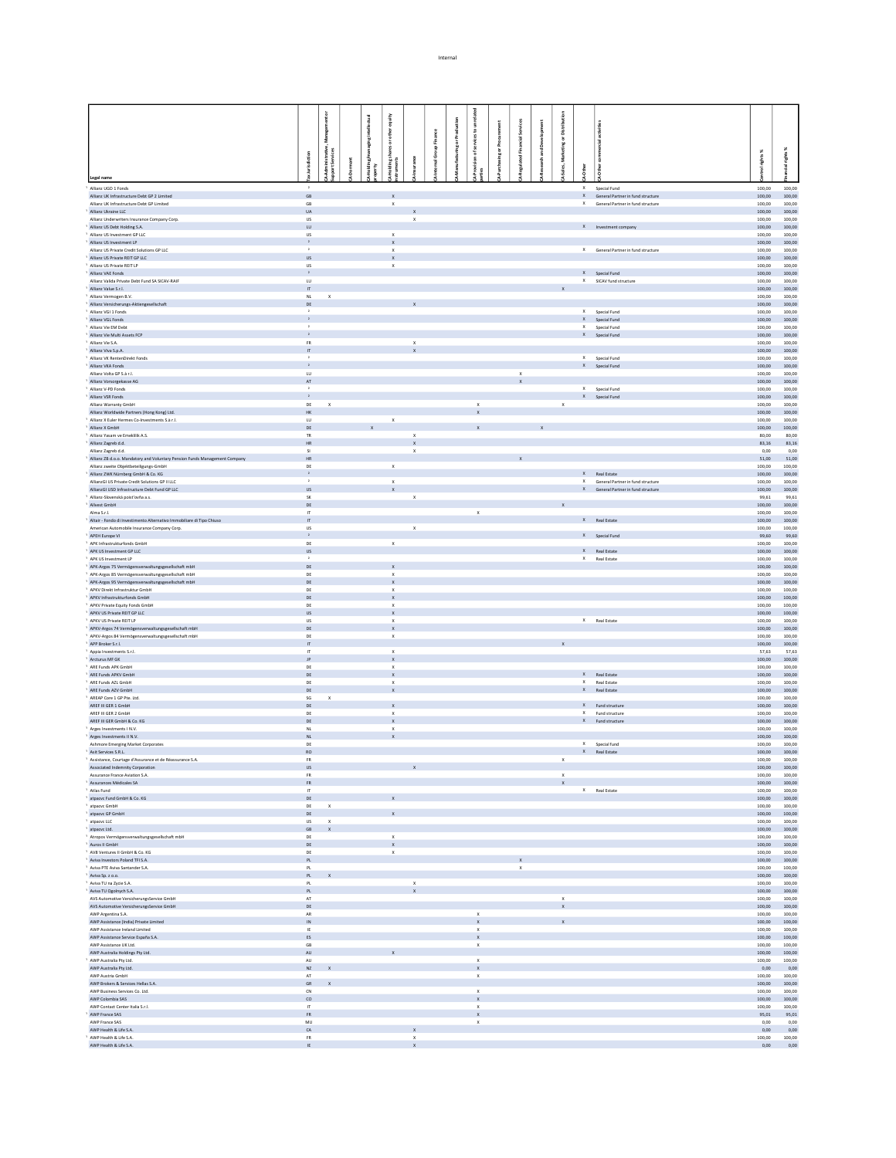|                                                                                                          |                                 | ŏ                              |             | equity                                    |                                           |                |                                           |                                           |   |              |             |                                                                            |                  |                             |
|----------------------------------------------------------------------------------------------------------|---------------------------------|--------------------------------|-------------|-------------------------------------------|-------------------------------------------|----------------|-------------------------------------------|-------------------------------------------|---|--------------|-------------|----------------------------------------------------------------------------|------------------|-----------------------------|
|                                                                                                          |                                 |                                | intellectua | other                                     |                                           |                |                                           |                                           |   |              |             |                                                                            |                  |                             |
|                                                                                                          |                                 | Manage                         | 흛           |                                           |                                           | $\overline{5}$ | icesto                                    |                                           | å |              |             |                                                                            |                  |                             |
|                                                                                                          | 5                               |                                |             | hares or                                  |                                           |                |                                           |                                           |   | Ξ<br>Ř       |             |                                                                            |                  | - 38                        |
|                                                                                                          |                                 | dministrative,<br>ort Services |             |                                           |                                           |                |                                           |                                           |   |              |             |                                                                            | xol rights %     | cial rights                 |
| Legal name                                                                                               |                                 |                                |             |                                           |                                           |                |                                           |                                           |   |              |             |                                                                            |                  |                             |
| Allianz UGD 1 Fonds                                                                                      | $\rightarrow$                   |                                |             |                                           |                                           |                |                                           |                                           |   |              | $\mathsf X$ | Special Fund                                                               | 100,00           | 100,00                      |
| Allianz UK Infrastructure Debt GP 2 Limited<br>Allianz UK Infrastructure Debt GP Limited                 | $\mathsf{GB}$<br>$\mathsf{GB}$  |                                |             | $\boldsymbol{\mathsf{x}}$<br>$\mathbf x$  |                                           |                |                                           |                                           |   |              |             | X General Partner in fund structure<br>X General Partner in fund structure | 100,00<br>100,00 | 100,00<br>100,00            |
| Allianz Ukraine LLC                                                                                      | UA                              |                                |             |                                           |                                           |                |                                           |                                           |   |              |             |                                                                            | 100,00           | 100,00                      |
| Allianz Underwriters Insurance Company Corp.<br>Allianz US Debt Holding S.A.                             | <b>US</b><br>LU                 |                                |             |                                           | x                                         |                |                                           |                                           |   |              |             | X Investment company                                                       | 100,00<br>100,00 | 100,00<br>100,00            |
| Allianz US Investment GP LLC<br>Allianz US Investment LP                                                 | <b>US</b><br>$\mathbf{2}$       |                                |             | $\mathsf X$<br>$\mathbf x$                |                                           |                |                                           |                                           |   |              |             |                                                                            | 100,00           | 100,00<br>100,00            |
| Allianz US Private Credit Solutions GP LLC                                                               | $\rightarrow$                   |                                |             | $\boldsymbol{\mathsf{x}}$                 |                                           |                |                                           |                                           |   |              |             | X General Partner in fund structure                                        | 100,00<br>100,00 | 100,00                      |
| Allianz US Private REIT GP LLC<br>Allianz US Private REIT LP                                             | <b>US</b><br><b>US</b>          |                                |             | $\mathbf x$<br>$\boldsymbol{\mathsf{X}}$  |                                           |                |                                           |                                           |   |              |             |                                                                            | 100,00<br>100,00 | 100,00<br>100,00            |
| Allianz VAE Fonds                                                                                        | $\,$ $\,$ $\,$                  |                                |             |                                           |                                           |                |                                           |                                           |   |              |             | X Special Fund                                                             | 100,00           | 100,00                      |
| Allianz Valida Private Debt Fund SA SICAV-RAIF<br>Allianz Value S.r.l.                                   | LU<br>$\boldsymbol{\pi}$        |                                |             |                                           |                                           |                |                                           |                                           |   |              |             | X SICAV fund structure                                                     | 100.00<br>100,00 | 100.00<br>100,00            |
| Allianz Vermogen B.V.                                                                                    | NL.                             | $\mathbf{x}$                   |             |                                           |                                           |                |                                           |                                           |   |              |             |                                                                            | 100.00           | 100.00                      |
| Allianz Versicherungs-Aktiengesellschaft<br>Allianz VGI 1 Fonds                                          | DE                              |                                |             |                                           |                                           |                |                                           |                                           |   |              |             | X Special Fund                                                             | 100,00<br>100.00 | 100,00<br>100.00            |
| Allianz VGL Fonds                                                                                        | $\mathbf{2}$                    |                                |             |                                           |                                           |                |                                           |                                           |   |              |             | X Special Fund                                                             | 100,00           | 100,00                      |
| Allianz Vie EM Debt<br>Allianz Vie Multi Assets FCP                                                      | $\,$ $\,$<br>$\mathbf{2}$       |                                |             |                                           |                                           |                |                                           |                                           |   |              |             | X Special Fund<br>X Special Fund                                           | 100.00<br>100,00 | 100.00<br>100,00            |
| Allianz Vie S.A.                                                                                         | <b>FR</b>                       |                                |             |                                           | $\boldsymbol{\mathsf{x}}$                 |                |                                           |                                           |   |              |             |                                                                            | 100.00           | 100.00                      |
| Allianz Viva S.p.A.<br>Allianz VK RentenDirekt Fonds                                                     | $\boldsymbol{\pi}$<br>$\,$ $\,$ |                                |             |                                           |                                           |                |                                           |                                           |   |              |             | X Special Fund                                                             | 100,00<br>100.00 | 100,00<br>100.00            |
| Allianz VKA Fonds                                                                                        | $\mathbf{2}$                    |                                |             |                                           |                                           |                |                                           |                                           |   |              |             | X Special Fund                                                             | 100,00           | 100,00                      |
| Allianz Volta GP S.à r.L<br>Allianz Vorsorgekasse AG                                                     | LU<br>$\mathsf{AT}^-$           |                                |             |                                           |                                           |                |                                           | $\boldsymbol{\mathsf{x}}$<br>$\mathbf{x}$ |   |              |             |                                                                            | 100.00<br>100,00 | 100.00<br>100,00            |
| Allianz V-PD Fonds<br>Allianz VSR Fonds                                                                  | $\,$ $\,$<br>$\mathbf{z}$       |                                |             |                                           |                                           |                |                                           |                                           |   |              |             | X Special Fund                                                             | 100,00           | 100.00                      |
| Allianz Warranty GmbH                                                                                    | DE                              | $\mathbf{x}$                   |             |                                           |                                           |                | $\mathbf x$                               |                                           |   | $\mathsf{x}$ |             | X Special Fund                                                             | 100,00<br>100,00 | 100,00<br>100.00            |
| Allianz Worldwide Partners (Hong Kong) Ltd.                                                              | HK                              |                                |             |                                           |                                           |                |                                           |                                           |   |              |             |                                                                            | 100,00           | 100,00                      |
| Allianz X Euler Hermes Co-Investments S.à r.l.<br>Allianz X GmbH                                         | LU.<br>DE                       |                                |             | $\mathbf x$                               |                                           |                |                                           |                                           |   |              |             |                                                                            | 100,00<br>100,00 | 100.00<br>100,00            |
| Allianz Yasam ve Emeklilik A.S.                                                                          | TR.                             |                                |             |                                           | $\mathsf{x}$                              |                |                                           |                                           |   |              |             |                                                                            | 80,00            | 80.00                       |
| Allianz Zagreb d.d.<br>Allianz Zagreb d.d.                                                               | $\mathsf{HR}$<br>$\mathbf{S}$   |                                |             |                                           | $\boldsymbol{\mathsf{x}}$<br>$\mathsf{x}$ |                |                                           |                                           |   |              |             |                                                                            | 83,16<br>0,00    | 83,16<br>0,00               |
| Allianz ZB d.o.o. Mandatory and Voluntary Pension Funds Management Company                               | <b>HR</b>                       |                                |             |                                           |                                           |                |                                           |                                           |   |              |             |                                                                            | 51,00            | 51,00                       |
| Allianz zweite Objektbeteiligungs-GmbH<br>Allianz ZWK Nürnberg GmbH & Co. KG                             | DE<br>$\,$ $\,$                 |                                |             | $\mathbf{x}$                              |                                           |                |                                           |                                           |   |              |             | X Real Estate                                                              | 100,00<br>100.00 | 100.00<br>100.00            |
| AllianzGI US Private Credit Solutions GP II LLC<br>AllianzGI USD Infrastructure Debt Fund GP LLC         | $\rightarrow$                   |                                |             | $\mathsf X$                               |                                           |                |                                           |                                           |   |              |             | X General Partner in fund structure                                        | 100,00           | 100,00                      |
| Allianz-Slovenská poisťovňa a.s.                                                                         | <b>US</b><br><b>SK</b>          |                                |             | $\mathbf{x}$                              | $\mathbf x$                               |                |                                           |                                           |   |              |             | X General Partner in fund structure                                        | 100,00<br>99,61  | 100.00<br>99,61             |
| Allyest GmbH                                                                                             | DE<br>IT.                       |                                |             |                                           |                                           |                |                                           |                                           |   |              |             |                                                                            | 100,00           | 100.00                      |
| Alma S.r.l.<br>Altair - Fondo di Investimento Alternativo Immobiliare di Tipo Chiuso                     | $\mathbb{H}^n$                  |                                |             |                                           |                                           |                | $\mathbf x$                               |                                           |   |              |             | X Real Estate                                                              | 100,00<br>100,00 | 100,00<br>100.00            |
| American Automobile Insurance Company Corp.                                                              | US<br>$\,$ $\,$                 |                                |             |                                           | $\mathsf{x}$                              |                |                                           |                                           |   |              |             |                                                                            | 100,00           | 100,00                      |
| APEH Europe VI<br>APK Infrastrukturfonds GmbH                                                            | DE                              |                                |             | $\boldsymbol{\mathsf{x}}$                 |                                           |                |                                           |                                           |   |              |             | X Special Fund                                                             | 99,60<br>100,00  | 99.60<br>100,00             |
| APK US Investment GP LLC                                                                                 | <b>US</b><br>$\cdot$            |                                |             |                                           |                                           |                |                                           |                                           |   |              |             | X Real Estate                                                              | 100,00           | 100.00                      |
| APK US Investment LP<br>APK-Argos 75 Vermögensverwaltungsgesellschaft mbH                                | DE                              |                                |             |                                           |                                           |                |                                           |                                           |   |              |             | X Real Estate                                                              | 100,00<br>100,00 | 100,00<br>100.00            |
| APK-Argos 85 Vermögensverwaltungsgesellschaft mbH                                                        | DE                              |                                |             | x                                         |                                           |                |                                           |                                           |   |              |             |                                                                            | 100,00           | 100,00                      |
| APK-Argos 95 Vermögensverwaltungsgesellschaft mbH<br>APKV Direkt Infrastruktur GmbH                      | DE<br>DE                        |                                |             | $\mathbf{x}$<br>$\boldsymbol{\mathsf{X}}$ |                                           |                |                                           |                                           |   |              |             |                                                                            | 100,00<br>100,00 | 100,00<br>100,00            |
| APKV Infrastrukturfonds GmbH                                                                             | DE                              |                                |             | $\mathbf{x}$                              |                                           |                |                                           |                                           |   |              |             |                                                                            | 100,00           | 100,00                      |
| APKV Private Equity Fonds GmbH<br>APKV US Private REIT GP LLC                                            | DE<br><b>US</b>                 |                                |             | $\boldsymbol{\mathsf{x}}$<br>$\mathbf{x}$ |                                           |                |                                           |                                           |   |              |             |                                                                            | 100,00<br>100,00 | 100,00<br>100,00            |
| APKV US Private REIT LP                                                                                  | <b>US</b>                       |                                |             | $\boldsymbol{\mathsf{x}}$                 |                                           |                |                                           |                                           |   |              |             | X Real Estate                                                              | 100,00           | 100,00                      |
| APKV-Argos 74 Vermögensverwaltungsgesellschaft mbH<br>APKV-Argos 84 Vermögensverwaltungsgesellschaft mbH | DE<br>DE                        |                                |             | $\mathbf{x}$<br>$\boldsymbol{\mathsf{x}}$ |                                           |                |                                           |                                           |   |              |             |                                                                            | 100,00<br>100,00 | 100,00<br>100,00            |
| APP Broker S.r.l.                                                                                        | $\mathsf{IT}^-$                 |                                |             |                                           |                                           |                |                                           |                                           |   |              |             |                                                                            | 100,00           | 100,00                      |
| Appia Investments S.r.l.<br>Arcturus MF GK                                                               | $\mathsf{IT}$<br>JP.            |                                |             | $\mathsf X$<br>$\mathbf{x}$               |                                           |                |                                           |                                           |   |              |             |                                                                            | 57,63<br>100,00  | 57,63<br>100,00             |
| <sup>1</sup> ARF Funds APK GmbH                                                                          | DE                              |                                |             | $\boldsymbol{\mathsf{x}}$                 |                                           |                |                                           |                                           |   |              |             |                                                                            | 100.00           | 100.00                      |
| ARE Funds APKV GmbH<br>ARE Funds AZL GmbH                                                                | DE<br>DE                        |                                |             | $\boldsymbol{\mathsf{x}}$<br>$\mathbf{x}$ |                                           |                |                                           |                                           |   |              |             | X Real Estate<br>X Real Estate                                             | 100,00<br>100.00 | 100,00<br>100.00            |
| ARE Funds AZV GmbH                                                                                       | DE                              |                                |             |                                           |                                           |                |                                           |                                           |   |              |             | X Real Estate                                                              | 100,00           | 100,00                      |
| AREAP Core 1 GP Pte Ltd.<br>AREF III GER 1 GmbH                                                          | SG<br>$\mathsf{DE}$             | $\mathbf{x}$                   |             | $\mathsf X$                               |                                           |                |                                           |                                           |   |              |             | $X$ Fund structure                                                         | 100.00<br>100,00 | 100.00<br>100,00            |
| ARFF III GFR 2 GmbH                                                                                      | DE                              |                                |             | $\mathbf{x}$                              |                                           |                |                                           |                                           |   |              |             | X Fund structure                                                           | 100.00           | 100.00                      |
| AREF III GER GmbH & Co. KG<br>Arges Investments I N.V.                                                   | DE<br>NL.                       |                                |             | $\mathsf X$<br>$\boldsymbol{\mathsf{x}}$  |                                           |                |                                           |                                           |   |              |             | $X$ Fund structure                                                         | 100,00<br>100.00 | 100,00<br>100.00            |
| Arges Investments II N.V.                                                                                | NL                              |                                |             |                                           |                                           |                |                                           |                                           |   |              |             |                                                                            | 100,00           | 100,00                      |
| Ashmore Emerging Market Corporates<br>Asit Services S.R.L.                                               | DE<br>RO                        |                                |             |                                           |                                           |                |                                           |                                           |   |              |             | X Special fund<br>$\mathsf{X}$ Real Estate                                 | 100.00<br>100,00 | 100.00<br>100,00            |
| Assistance, Courtage d'Assurance et de Réassurance S.A.                                                  | <b>FR</b>                       |                                |             |                                           |                                           |                |                                           |                                           |   | $\mathbf{x}$ |             |                                                                            | 100,00           | 100.00                      |
| Associated Indemnity Corporation<br>Assurance France Aviation S.A.                                       | US<br><b>FR</b>                 |                                |             |                                           | $\mathbf{x}$                              |                |                                           |                                           |   | $\mathbf{x}$ |             |                                                                            | 100,00           | $100,00$ $100,00$<br>100,00 |
| Assurances Médicales SA                                                                                  | ${\sf FR}$                      |                                |             |                                           |                                           |                |                                           |                                           |   | $\mathbf{x}$ |             |                                                                            |                  | $100,00$ $100,00$           |
| <sup>1</sup> Atlas Fund<br>atpacvc Fund GmbH & Co. KG                                                    | $\mathsf{H}$<br>DE              |                                |             |                                           |                                           |                |                                           |                                           |   |              |             | X Real Estate                                                              | 100,00<br>100,00 | 100,00<br>100,00            |
| atpacvc GmbH                                                                                             | DE                              | $\mathbf{x}$                   |             |                                           |                                           |                |                                           |                                           |   |              |             |                                                                            | 100,00           | 100.00                      |
| atpacvc GP GmbH<br>atpacvc LLC                                                                           | $DE$<br><b>US</b>               | $\mathbf{x}$                   |             |                                           |                                           |                |                                           |                                           |   |              |             |                                                                            | 100,00<br>100,00 | 100,00<br>100,00            |
| atpacvc Ltd.                                                                                             | $\mathsf{GB}$                   | $\mathbf{x}$                   |             |                                           |                                           |                |                                           |                                           |   |              |             |                                                                            | 100,00           | 100,00                      |
| Atropos Vermögensverwaltungsgesellschaft mbH<br>Auros II GmbH                                            | DE<br>$\mathsf{DE}^-$           |                                |             | $\mathbf{x}$<br>$\mathbf x$               |                                           |                |                                           |                                           |   |              |             |                                                                            | 100,00           | 100,00<br>100,00 100,00     |
| <sup>1</sup> AV8 Ventures II GmbH & Co. KG                                                               | DE                              |                                |             | $\,$ X                                    |                                           |                |                                           |                                           |   |              |             |                                                                            | 100,00           | 100,00                      |
| Aviva Investors Poland TFI S.A.<br>Aviva PTE Aviva Santander S.A.                                        | PL                              |                                |             |                                           |                                           |                |                                           |                                           |   |              |             |                                                                            |                  | $100,00$ $100,00$           |
| Aviva Sp. z o.o.                                                                                         | PL<br>PL                        |                                |             |                                           |                                           |                |                                           | $\mathsf X$                               |   |              |             |                                                                            | 100,00<br>100,00 | 100,00<br>100,00            |
| Aviva TU na Zycie S.A.                                                                                   | PL                              |                                |             |                                           | $\mathsf x$                               |                |                                           |                                           |   |              |             |                                                                            | 100,00           | 100,00                      |
| Aviva TU Ogolnych S.A.<br>AVS Automotive VersicherungsService GmbH                                       | PL<br>AT                        |                                |             |                                           | $\mathbf{x}$                              |                |                                           |                                           |   |              |             |                                                                            | 100,00<br>100,00 | 100.00<br>100,00            |
| AVS Automotive VersicherungsService GmbH<br>AWP Argentina S.A.                                           | DE<br>AR                        |                                |             |                                           |                                           |                |                                           |                                           |   | $\mathbf{x}$ |             |                                                                            | 100,00           | 100,00                      |
| AWP Assistance (India) Private Limited                                                                   | IN                              |                                |             |                                           |                                           |                | $\boldsymbol{\mathsf{X}}$<br>$\mathbf{x}$ |                                           |   |              |             |                                                                            | 100,00           | 100,00<br>100,00 100,00     |
| AWP Assistance Ireland Limited                                                                           | IE                              |                                |             |                                           |                                           |                | $\mathbf x$                               |                                           |   |              |             |                                                                            | 100,00           | 100,00                      |
| AWP Assistance Service España S.A.<br>AWP Assistance UK Ltd.                                             | ES<br>$\mathsf{GB}$             |                                |             |                                           |                                           |                | $\mathsf{x}$<br>$\boldsymbol{\chi}$       |                                           |   |              |             |                                                                            | 100,00<br>100,00 | 100,00<br>100,00            |
| AWP Australia Holdings Pty Ltd.                                                                          | AU                              |                                |             |                                           |                                           |                |                                           |                                           |   |              |             |                                                                            | 100,00           | 100,00                      |
| AWP Australia Pty Ltd.<br>AWP Australia Pty Ltd.                                                         | AU<br>NZ                        |                                |             |                                           |                                           |                | $\boldsymbol{\chi}$<br>$\mathbf x$        |                                           |   |              |             |                                                                            | 100,00<br>0,00   | 100,00<br>0,00              |
| AWP Austria GmbH                                                                                         | $\mathsf{AT}$                   |                                |             |                                           |                                           |                | $\mathbf x$                               |                                           |   |              |             |                                                                            | 100,00           | 100,00                      |
| AWP Brokers & Services Hellas S.A.<br>AWP Business Services Co. Ltd.                                     | ${\sf GR}$<br>CN                |                                |             |                                           |                                           |                | $\boldsymbol{\chi}$                       |                                           |   |              |             |                                                                            | 100,00<br>100,00 | 100,00<br>100,00            |
| AWP Colombia SAS                                                                                         | co                              |                                |             |                                           |                                           |                | $\mathbf{x}$                              |                                           |   |              |             |                                                                            | 100,00           | 100,00                      |
| AWP Contact Center Italia S.r.l.<br>AWP France SAS                                                       | $\mathsf{IT}$<br>FR.            |                                |             |                                           |                                           |                | $\mathbf x$<br>$\mathbf{x}$               |                                           |   |              |             |                                                                            | 100,00<br>95,01  | 100,00<br>95,01             |
| AWP France SAS                                                                                           | $\mathsf{MU}$                   |                                |             |                                           |                                           |                | $\mathbf{x}$                              |                                           |   |              |             |                                                                            | 0,00             | 0,00                        |
| AWP Health & Life S.A.<br>AWP Health & Life S.A.                                                         | CA<br>FR                        |                                |             |                                           | $\mathsf X$<br>x                          |                |                                           |                                           |   |              |             |                                                                            | 0,00<br>100,00   | 0,00<br>100,00              |
| AWP Health & Life S.A.                                                                                   | IE.                             |                                |             |                                           | $\mathbf{x}$                              |                |                                           |                                           |   |              |             |                                                                            | 0,00             | 0,00                        |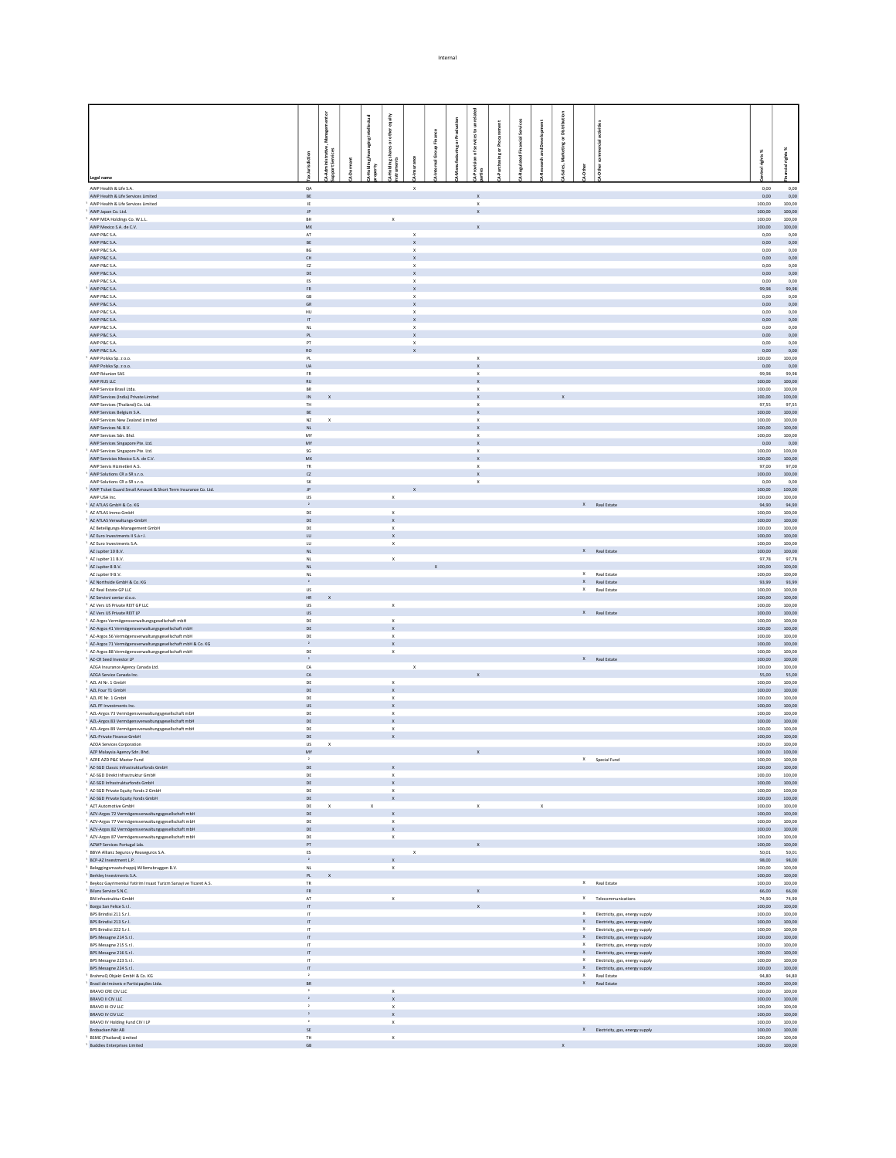|                                                                                                        |                                    | ៓                         |                   |                                          |                             |               |             |                                           |            |          |              |              |          |                                              |                                                                        |                             |                  |
|--------------------------------------------------------------------------------------------------------|------------------------------------|---------------------------|-------------------|------------------------------------------|-----------------------------|---------------|-------------|-------------------------------------------|------------|----------|--------------|--------------|----------|----------------------------------------------|------------------------------------------------------------------------|-----------------------------|------------------|
|                                                                                                        |                                    |                           |                   | equity                                   |                             |               |             |                                           |            | Services |              |              |          |                                              |                                                                        |                             |                  |
|                                                                                                        |                                    |                           | ging intellectual | other                                    |                             | Finance       |             | icesto                                    |            |          |              |              |          |                                              |                                                                        |                             |                  |
|                                                                                                        |                                    |                           |                   |                                          |                             | $\frac{a}{R}$ | ring or Pro | š<br>៵                                    | Ing or Pro |          |              |              |          |                                              |                                                                        |                             |                  |
|                                                                                                        | <b>fiction</b>                     | vistrativ<br>kervices     |                   | Holding shares or c<br>truments          |                             | ŏ             |             |                                           |            |          |              |              |          |                                              |                                                                        | ights%                      | š                |
|                                                                                                        |                                    |                           | 를 훕               |                                          |                             |               |             |                                           |            |          |              |              |          |                                              |                                                                        |                             |                  |
| Legal name                                                                                             |                                    |                           |                   |                                          |                             |               |             |                                           |            |          |              |              |          |                                              |                                                                        |                             |                  |
| AWP Health & Life S.A.<br>AWP Health & Life Services Limited                                           | $QA$<br>BE                         |                           |                   |                                          | $\mathbf{x}$                |               |             | $\mathbf x$                               |            |          |              |              |          |                                              |                                                                        | 0,00<br>0,00                | 0,00<br>0,00     |
| AWP Health & Life Services Limited                                                                     | IE.                                |                           |                   |                                          |                             |               |             | $\boldsymbol{\times}$                     |            |          |              |              |          |                                              |                                                                        | 100,00                      | 100.00           |
| AWP Japan Co. Ltd.<br>AWP MEA Holdings Co. W.L.L.                                                      | JP.<br><b>RH</b>                   |                           |                   | $\mathbf{x}$                             |                             |               |             | $\mathbf{x}$                              |            |          |              |              |          |                                              |                                                                        | 100,00<br>100,00            | 100,00<br>100.00 |
| AWP Mexico S.A. de C.V.                                                                                | ${\sf M}{\sf X}$                   |                           |                   |                                          |                             |               |             |                                           |            |          |              |              |          |                                              |                                                                        | 100,00                      | 100,00           |
| AWP P&C S.A.<br>AWP P&C S.A.                                                                           | AT<br>BE                           |                           |                   |                                          | $\mathbf x$                 |               |             |                                           |            |          |              |              |          |                                              |                                                                        | 0,00<br>0,00                | 0,00<br>0,00     |
| AWP P&C S.A.                                                                                           | BG                                 |                           |                   |                                          | X<br>$\mathbf{x}$           |               |             |                                           |            |          |              |              |          |                                              |                                                                        | 0,00                        | 0,00             |
| AWP P&C S.A.                                                                                           | CH                                 |                           |                   |                                          | $\mathbf{x}$                |               |             |                                           |            |          |              |              |          |                                              |                                                                        | 0,00                        | 0,00             |
| AWP P&C S.A.<br>AWP P&C S.A.                                                                           | C2<br>DE                           |                           |                   |                                          | $\mathbf x$<br>X            |               |             |                                           |            |          |              |              |          |                                              |                                                                        | 0,00<br>0,00                | 0,00<br>0,00     |
| AWP P&C S.A.                                                                                           | $_{\rm ES}$                        |                           |                   |                                          | $\mathsf x$                 |               |             |                                           |            |          |              |              |          |                                              |                                                                        | 0,00                        | 0,00             |
| AWP P&C S.A.<br>AWP P&C S.A.                                                                           | FR<br>$\mathsf{GB}$                |                           |                   |                                          | $\mathbf{x}$<br>$\mathsf X$ |               |             |                                           |            |          |              |              |          |                                              |                                                                        | 99,98<br>0,00               | 99,98<br>0,00    |
| AWP P&C S.A.                                                                                           | GR                                 |                           |                   |                                          | $\mathbf{x}$                |               |             |                                           |            |          |              |              |          |                                              |                                                                        | 0,00                        | 0,00             |
| AWP P&C S.A.                                                                                           | HU                                 |                           |                   |                                          |                             |               |             |                                           |            |          |              |              |          |                                              |                                                                        | 0,00                        | 0,00             |
| AWP P&C S.A.<br>AWP P&C S.A.                                                                           | $\mathbf{H}$<br>NL                 |                           |                   |                                          | $\mathbf{x}$<br>$\mathsf x$ |               |             |                                           |            |          |              |              |          |                                              |                                                                        | 0,00<br>0,00                | 0,00<br>0,00     |
| AWP P&C S.A.                                                                                           | PL                                 |                           |                   |                                          | $\mathbf x$                 |               |             |                                           |            |          |              |              |          |                                              |                                                                        | 0,00                        | 0,00             |
| AWP P&C S.A.<br>AWP P&C S.A.                                                                           | PT                                 |                           |                   |                                          | $\mathsf x$                 |               |             |                                           |            |          |              |              |          |                                              |                                                                        | 0,00<br>0,00                | 0,00             |
| AWP Polska Sp. z o.o.                                                                                  | <b>RO</b><br>PL                    |                           |                   |                                          |                             |               |             | $\boldsymbol{\times}$                     |            |          |              |              |          |                                              |                                                                        | 100,00                      | 0,00<br>100,00   |
| AWP Polska Sp. z o.o.                                                                                  | <b>UA</b>                          |                           |                   |                                          |                             |               |             | $\mathbf x$                               |            |          |              |              |          |                                              |                                                                        | 0,00                        | 0,00             |
| AWP Réunion SAS<br>AWP RUS LLC                                                                         | FR<br>$\mathsf{RU}$                |                           |                   |                                          |                             |               |             | $\mathbf{x}$                              |            |          |              |              |          |                                              |                                                                        | 99,98<br>100,00             | 99,98<br>100,00  |
| AWP Service Brasil Ltda.                                                                               | BR                                 |                           |                   |                                          |                             |               |             | $\boldsymbol{\mathsf{x}}$                 |            |          |              |              |          |                                              |                                                                        | 100,00                      | 100,00           |
| AWP Services (India) Private Limited<br>AWP Services (Thailand) Co. Ltd.                               | $\sf IN$<br>TH.                    |                           |                   |                                          |                             |               |             |                                           |            |          |              |              |          |                                              |                                                                        | 100,00<br>97,55             | 100,00<br>97,55  |
| AWP Services Belgium S.A.                                                                              | BE                                 |                           |                   |                                          |                             |               |             | $\boldsymbol{\mathsf{x}}$<br>$\mathbf{x}$ |            |          |              |              |          |                                              |                                                                        | 100,00                      | 100,00           |
| AWP Services New Zealand Limited                                                                       | $N\mathbb{Z}$                      | $\boldsymbol{\mathsf{x}}$ |                   |                                          |                             |               |             | $\boldsymbol{\mathsf{x}}$                 |            |          |              |              |          |                                              |                                                                        | 100,00                      | 100,00           |
| AWP Services NL B.V.<br>AWP Services Sdn. Bhd.                                                         | NL<br>MY                           |                           |                   |                                          |                             |               |             | x                                         |            |          |              |              |          |                                              |                                                                        | 100,00<br>100,00            | 100,00<br>100,00 |
| AWP Services Singapore Pte. Ltd.                                                                       | MY                                 |                           |                   |                                          |                             |               |             | $\mathbf{x}$                              |            |          |              |              |          |                                              |                                                                        | 0,00                        | 0,00             |
| AWP Services Singapore Pte. Ltd.                                                                       | $\mathsf{SG}$<br>MX                |                           |                   |                                          |                             |               |             | $\boldsymbol{\mathsf{x}}$                 |            |          |              |              |          |                                              |                                                                        | 100,00                      | 100,00           |
| AWP Servicios Mexico S.A. de C.V.<br>AWP Servis Hizmetleri A.S.                                        | TR                                 |                           |                   |                                          |                             |               |             | $\boldsymbol{\mathsf{x}}$                 |            |          |              |              |          |                                              |                                                                        | 100,00<br>97,00             | 100,00<br>97,00  |
| AWP Solutions CR a SR s.r.o.                                                                           | $\alpha$                           |                           |                   |                                          |                             |               |             |                                           |            |          |              |              |          |                                              |                                                                        | 100,00                      | 100,00           |
| AWP Solutions CR a SR s r o<br>AWP Ticket Guard Small Amount & Short Term Insurance Co. Ltd.           | <b>SK</b><br>$\mathsf{JP}$         |                           |                   |                                          |                             |               |             | $\boldsymbol{\mathsf{x}}$                 |            |          |              |              |          |                                              |                                                                        | 0,00<br>100,00              | 0.00<br>100,00   |
| AWP USA Inc.                                                                                           | <b>US</b>                          |                           |                   | $\mathbf{x}$                             |                             |               |             |                                           |            |          |              |              |          |                                              |                                                                        | 100.00                      | 100.00           |
| AZ ATLAS GmbH & Co. KG<br>AZ ATLAS Immo GmbH                                                           | $\,$ $\,$ $\,$<br>DE               |                           |                   |                                          |                             |               |             |                                           |            |          |              |              |          | $\ensuremath{\mathsf{X}}\xspace$ Real Estate |                                                                        | 94,90                       | 94,90            |
| AZ ATLAS Verwaltungs-GmbH                                                                              | $\mathsf{DE}$                      |                           |                   | $\mathbf{x}$<br>x                        |                             |               |             |                                           |            |          |              |              |          |                                              |                                                                        | 100.00<br>100,00            | 100.00<br>100,00 |
| AZ Beteiligungs-Management GmbH                                                                        | DE                                 |                           |                   | $\mathbf{x}$                             |                             |               |             |                                           |            |          |              |              |          |                                              |                                                                        | 100.00                      | 100.00           |
| AZ Euro Investments II S.à r.l.<br><sup>1</sup> AZ Euro Investments S.A.                               | $\sf LU$<br><b>LU</b>              |                           |                   | $\pmb{\chi}$<br>$\mathbf{x}$             |                             |               |             |                                           |            |          |              |              |          |                                              |                                                                        | 100,00<br>100.00            | 100,00<br>100.00 |
| AZ Jupiter 10 B.V.                                                                                     | NL                                 |                           |                   |                                          |                             |               |             |                                           |            |          |              |              |          | $\ensuremath{\mathsf{X}}\xspace$ Real Estate |                                                                        | 100,00                      | 100,00           |
| AZ Jupiter 11 B.V.                                                                                     | NL                                 |                           |                   | $\mathbf{x}$                             |                             |               |             |                                           |            |          |              |              |          |                                              |                                                                        | 97,78                       | 97.78            |
| AZ Jupiter 8 B.V.<br>AZ Jupiter 9 B.V.                                                                 | NL<br>NL                           |                           |                   |                                          |                             |               |             |                                           |            |          |              |              |          | X Real Estate                                |                                                                        | 100,00<br>100,00            | 100,00<br>100,00 |
| AZ Northside GmbH & Co. KG                                                                             |                                    |                           |                   |                                          |                             |               |             |                                           |            |          |              |              |          | X Real Estate                                |                                                                        | 93,99                       | 93,99            |
| AZ Real Estate GP LLC                                                                                  | $\ensuremath{\mathsf{US}}$         |                           |                   |                                          |                             |               |             |                                           |            |          |              |              |          | X Real Estate                                |                                                                        | 100,00                      | 100.00           |
| AZ Servisni centar d.o.o.<br><sup>1</sup> AZ Vers US Private REIT GP LLC                               | HR<br><b>US</b>                    |                           |                   | $\mathbf{x}$                             |                             |               |             |                                           |            |          |              |              |          |                                              |                                                                        | 100,00<br>100,00            | 100,00<br>100.00 |
| AZ Vers US Private REIT LP                                                                             | <b>US</b>                          |                           |                   |                                          |                             |               |             |                                           |            |          |              |              |          | X Real Estate                                |                                                                        | 100,00                      | 100,00           |
| AZ-Arges Vermögensverwaltungsgesellschaft mbH<br>AZ-Argos 41 Vermögensverwaltungsgesellschaft mbH      | DE<br>DE                           |                           |                   | $\boldsymbol{\times}$<br>$\mathbf x$     |                             |               |             |                                           |            |          |              |              |          |                                              |                                                                        | 100,00<br>100,00            | 100,00<br>100,00 |
| AZ-Argos 56 Vermögensverwaltungsgesellschaft mbH                                                       | DE                                 |                           |                   | $\mathbf{x}$                             |                             |               |             |                                           |            |          |              |              |          |                                              |                                                                        | 100.00                      | 100.00           |
| AZ-Argos 71 Vermögensverwaltungsgesellschaft mbH & Co. KG                                              | $\mathbf{z}$                       |                           |                   | $\mathbf{x}$                             |                             |               |             |                                           |            |          |              |              |          |                                              |                                                                        | 100,00                      | 100,00           |
| AZ-Argos 88 Vermögensverwaltungsgesellschaft mbH<br>AZ-CR Seed Investor LP                             | DE<br>$\,$ $\,$                    |                           |                   | $\,$ X                                   |                             |               |             |                                           |            |          |              |              |          | $\ensuremath{\mathsf{X}}$ Real Estate        |                                                                        | 100,00<br>100,00            | 100.00<br>100,00 |
| AZGA Insurance Agency Canada Ltd.                                                                      | ${\sf CA}$                         |                           |                   |                                          | $\mathsf x$                 |               |             |                                           |            |          |              |              |          |                                              |                                                                        | 100,00                      | 100,00           |
| AZGA Service Canada Inc.                                                                               | CA                                 |                           |                   |                                          |                             |               |             |                                           |            |          |              |              |          |                                              |                                                                        | 55,00                       | 55,00            |
| AZL AI Nr. 1 GmbH<br>AZL Four T1 GmbH                                                                  | DE<br>DE                           |                           |                   | $\mathsf X$<br>$\mathbf{x}$              |                             |               |             |                                           |            |          |              |              |          |                                              |                                                                        | 100,00<br>100,00            | 100,00<br>100.00 |
| AZL PE Nr. 1 GmbH                                                                                      | DE                                 |                           |                   |                                          |                             |               |             |                                           |            |          |              |              |          |                                              |                                                                        | 100,00                      | 100,00           |
| AZL PF Investments Inc.<br>AZL-Argos 73 Vermögensverwaltungsgesellschaft mbH                           | <b>US</b><br>DE                    |                           |                   | $\mathbf{x}$<br>x                        |                             |               |             |                                           |            |          |              |              |          |                                              |                                                                        | 100,00<br>100,00            | 100.00<br>100,00 |
| AZL-Argos 83 Vermögensverwaltungsgesellschaft mbH                                                      | DE                                 |                           |                   | $\mathbf{x}$                             |                             |               |             |                                           |            |          |              |              |          |                                              |                                                                        | 100,00                      | 100.00           |
| AZL-Argos 89 Vermögensverwaltungsgesellschaft mbH                                                      | DE                                 |                           |                   | x                                        |                             |               |             |                                           |            |          |              |              |          |                                              |                                                                        | 100,00                      | 100,00           |
| AZL-Private Finance GmbH<br>AZOA Services Corporation                                                  | DE<br><b>US</b>                    | $\mathbf{x}$              |                   | $\mathbf x$                              |                             |               |             |                                           |            |          |              |              |          |                                              |                                                                        | 100,00<br>100,00            | 100.00<br>100,00 |
| AZP Malaysia Agency Sdn. Bhd.                                                                          | MY                                 |                           |                   |                                          |                             |               |             |                                           |            |          |              |              |          |                                              |                                                                        | 100,00                      | 100,00           |
| AZRE AZD P&C Master Fund                                                                               |                                    |                           |                   |                                          |                             |               |             |                                           |            |          |              |              |          | X Special Fund                               |                                                                        | 100,00                      | 100,00           |
| AZ-SGD Classic Infrastrukturfonds GmbH<br><sup>1</sup> AZ-SGD Direkt Infrastruktur GmbH                | $DE$<br>DE                         |                           |                   | $\boldsymbol{\mathsf{x}}$<br>$\mathsf X$ |                             |               |             |                                           |            |          |              |              |          |                                              |                                                                        | $100,00$ $100,00$<br>100,00 | 100,00           |
| 1 AZ-SGD Infrastrukturfonds GmbH                                                                       | DE                                 |                           |                   | $\mathsf X$                              |                             |               |             |                                           |            |          |              |              |          |                                              |                                                                        | 100,00                      | 100,00           |
| <sup>1</sup> AZ-SGD Private Equity Fonds 2 GmbH                                                        | DE                                 |                           |                   | $\boldsymbol{\mathsf{x}}$                |                             |               |             |                                           |            |          |              |              |          |                                              |                                                                        | 100,00                      | 100,00           |
| <sup>1</sup> AZ-SGD Private Equity Fonds GmbH<br><sup>1</sup> AZT Automotive GmbH                      | DE<br>DE                           | $\mathbf{x}$              | $\mathbf{x}$      | $\boldsymbol{\mathsf{x}}$                |                             |               |             | $\mathbf x$                               |            |          | $\mathbf{x}$ |              |          |                                              |                                                                        | 100,00<br>100,00            | 100,00<br>100,00 |
| 1 AZV-Argos 72 Vermögensverwaltungsgesellschaft mbH                                                    | DE                                 |                           |                   | x                                        |                             |               |             |                                           |            |          |              |              |          |                                              |                                                                        | 100,00                      | 100,00           |
| AZV-Argos 77 Vermögensverwaltungsgesellschaft mbH                                                      | DE                                 |                           |                   | х                                        |                             |               |             |                                           |            |          |              |              |          |                                              |                                                                        | 100,00                      | 100,00           |
| AZV-Argos 82 Vermögensverwaltungsgesellschaft mbH<br>AZV-Argos 87 Vermögensverwaltungsgesellschaft mbH | $\mathsf{DE}$<br>DE                |                           |                   | $\mathbf x$<br>$\,$ X                    |                             |               |             |                                           |            |          |              |              |          |                                              |                                                                        | 100,00<br>100,00            | 100,00<br>100,00 |
| AZWP Services Portugal Lda.                                                                            | PT                                 |                           |                   |                                          |                             |               |             |                                           |            |          |              |              |          |                                              |                                                                        | 100,00                      | 100,00           |
| <sup>1</sup> BBVA Allianz Seguros y Reaseguros S.A.                                                    | ES<br>$\sim$ $2-$                  |                           |                   |                                          | $\mathbf x$                 |               |             |                                           |            |          |              |              |          |                                              |                                                                        | 50,01                       | 50,01            |
| BCP-AZ Investment L.P.<br><sup>1</sup> Beleggingsmaatschappij Willemsbruggen B.V.                      | <b>NL</b>                          |                           |                   | $\mathsf X$<br>$\mathbf{x}$              |                             |               |             |                                           |            |          |              |              |          |                                              |                                                                        | 98,00<br>100.00             | 98,00<br>100.00  |
| Berkley Investments S.A.                                                                               | PL                                 |                           |                   |                                          |                             |               |             |                                           |            |          |              |              |          |                                              |                                                                        | 100,00                      | 100,00           |
| <sup>1</sup> Beykoz Gayrimenkul Yatirim Insaat Turizm Sanayi ve Ticaret A.S.                           | TR                                 |                           |                   |                                          |                             |               |             |                                           |            |          |              |              |          | X Real Estate                                |                                                                        | 100.00                      | 100.00           |
| Bilans Service S.N.C.<br>BN Infrastruktur GmbH                                                         | ${\sf FR}$<br>AT                   |                           |                   | $\mathbf{x}$                             |                             |               |             |                                           |            |          |              |              |          |                                              | X Telecommunications                                                   | 66,00<br>74.90              | 66,00<br>74.90   |
| Borgo San Felice S.r.l.                                                                                | $\,$ IT                            |                           |                   |                                          |                             |               |             |                                           |            |          |              |              |          |                                              |                                                                        | 100,00                      | 100,00           |
| BPS Brindisi 211 S.r.l.<br>BPS Brindisi 213 S.r.l.                                                     | $\mathsf{r}$<br>$\boldsymbol{\pi}$ |                           |                   |                                          |                             |               |             |                                           |            |          |              |              |          |                                              | X Electricity, gas, energy supply<br>X Electricity, gas, energy supply | 100.00<br>100,00            | 100.00<br>100,00 |
| BPS Brindisi 222 S.r.l.                                                                                | $\mathbb{F}$                       |                           |                   |                                          |                             |               |             |                                           |            |          |              |              |          |                                              | X Electricity, gas, energy supply                                      | 100.00                      | 100.00           |
| BPS Mesagne 214 S.r.l.                                                                                 | $\boldsymbol{\pi}$                 |                           |                   |                                          |                             |               |             |                                           |            |          |              |              |          |                                              | X Electricity, gas, energy supply                                      | 100,00                      | 100,00           |
| BPS Mesagne 215 S.r.l.<br>BPS Mesagne 216 S.r.l.                                                       | $\mathbb{F}$<br>$\boldsymbol{\pi}$ |                           |                   |                                          |                             |               |             |                                           |            |          |              |              |          |                                              | X Electricity, gas, energy supply<br>X Electricity, gas, energy supply | 100.00<br>100,00            | 100.00<br>100,00 |
| BPS Mesagne 223 S.r.l.                                                                                 | $\mathbf{r}$                       |                           |                   |                                          |                             |               |             |                                           |            |          |              |              | $\times$ |                                              | Electricity, gas, energy supply                                        | 100,00                      | 100,00           |
| BPS Mesagne 224 S.r.l.                                                                                 | $\,$ IT<br>$\overline{a}$          |                           |                   |                                          |                             |               |             |                                           |            |          |              |              |          | X Real Estate                                | X Electricity, gas, energy supply                                      | 100,00<br>94,80             | 100,00<br>94,80  |
| BrahmsQ Objekt GmbH & Co. KG<br>Brasil de Imóveis e Participações Ltda.                                | BR                                 |                           |                   |                                          |                             |               |             |                                           |            |          |              |              |          | X Real Estate                                |                                                                        | 100,00                      | 100,00           |
| BRAVO CRE CIV LLC                                                                                      | $\,$ $\,$                          |                           |                   | $\mathbf{x}$                             |                             |               |             |                                           |            |          |              |              |          |                                              |                                                                        | 100,00                      | 100.00           |
| BRAVO II CIV LLC<br>BRAVO III CIV LLC                                                                  | $\mathbf{z}$                       |                           |                   | $\mathbf{x}$<br>$\mathsf X$              |                             |               |             |                                           |            |          |              |              |          |                                              |                                                                        | 100,00<br>100,00            | 100,00<br>100,00 |
| BRAVO IV CIV LLC                                                                                       | $\bar{z}$                          |                           |                   | $\mathsf X$                              |                             |               |             |                                           |            |          |              |              |          |                                              |                                                                        | 100,00                      | 100,00           |
| BRAVO IV Holding Fund CIV I LP                                                                         | $\mathbf{z}$                       |                           |                   | $\mathbf{x}$                             |                             |               |             |                                           |            |          |              |              |          |                                              |                                                                        | 100.00                      | 100,00           |
| Brobacken Nät AB<br><sup>1</sup> BSMC (Thailand) Limited                                               | SE<br>TH                           |                           |                   | $\mathbf{x}_-$                           |                             |               |             |                                           |            |          |              |              |          |                                              | X Electricity, gas, energy supply                                      | $100,00$ $100,00$<br>100,00 | 100,00           |
| Buddies Enterprises Limited                                                                            | $\mathsf{GB}$                      |                           |                   |                                          |                             |               |             |                                           |            |          |              | $\mathsf{x}$ |          |                                              |                                                                        | 100,00                      | 100,00           |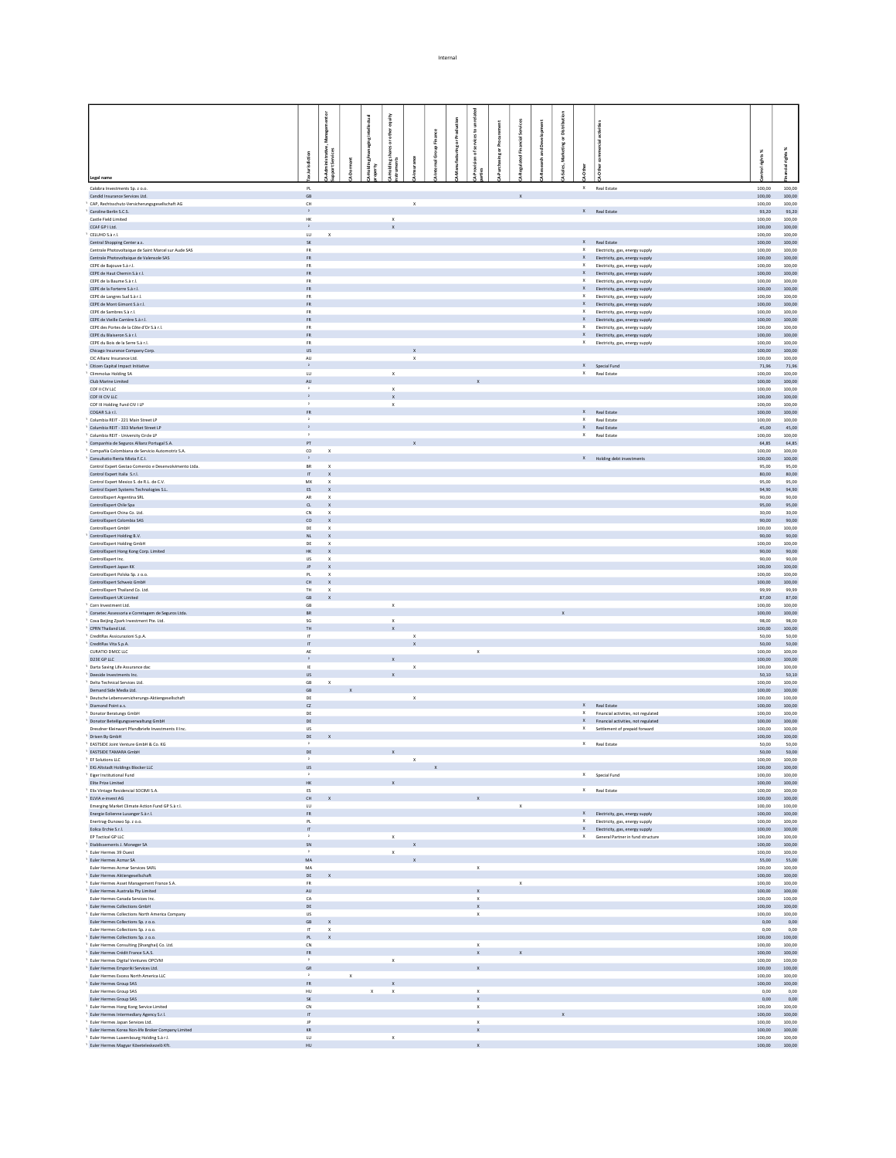|                                                                                                             |                                                       |                                     |                           | tantic                       |                   |              |           |                             |              |   |        |                             |                                                                          |                             |                  |
|-------------------------------------------------------------------------------------------------------------|-------------------------------------------------------|-------------------------------------|---------------------------|------------------------------|-------------------|--------------|-----------|-----------------------------|--------------|---|--------|-----------------------------|--------------------------------------------------------------------------|-----------------------------|------------------|
|                                                                                                             |                                                       |                                     |                           |                              |                   |              |           |                             |              |   |        |                             |                                                                          |                             |                  |
|                                                                                                             |                                                       | 흋                                   |                           | ather<br>ŏ                   |                   | ě            | Prod      |                             |              |   | ã<br>ŏ |                             |                                                                          |                             |                  |
|                                                                                                             |                                                       |                                     |                           |                              |                   | Group        | ting or F | ã                           |              | క |        |                             |                                                                          |                             |                  |
|                                                                                                             | urisdiction                                           | Administrative,<br>port Services    | $\overline{\overline{a}}$ |                              |                   |              |           |                             |              |   | š      |                             |                                                                          | rights%                     | 景                |
|                                                                                                             |                                                       |                                     |                           |                              |                   |              |           |                             |              |   |        |                             |                                                                          |                             |                  |
| Legal name                                                                                                  |                                                       |                                     |                           |                              |                   |              |           |                             |              |   |        |                             |                                                                          |                             |                  |
| Calobra Investments Sp. z o.o.<br>Candid Insurance Services Ltd.                                            | $\mathsf{PL}$<br>GB                                   |                                     |                           |                              |                   |              |           |                             | $\mathbf{x}$ |   |        |                             | X Real Estate                                                            | 100,00<br>100.00            | 100,00<br>100.00 |
| CAP, Rechtsschutz-Versicherungsgesellschaft AG                                                              | $\mathsf{CH}% _{\mathsf{C}}^{\mathsf{C}}(\mathsf{C})$ |                                     |                           |                              | $\mathbf x$       |              |           |                             |              |   |        |                             |                                                                          | 100,00                      | 100,00           |
| Caroline Berlin S.C.S.<br>Castle Field Limited                                                              | $\,$ $\,$<br>$\mathsf{HK}$                            |                                     |                           | $\mathsf X$                  |                   |              |           |                             |              |   |        |                             | X Real Estate                                                            | 93,20<br>100,00             | 93,20<br>100,00  |
| CCAF GP I Ltd.                                                                                              | $\,$ $\,$                                             |                                     |                           |                              |                   |              |           |                             |              |   |        |                             |                                                                          | 100,00                      | 100.00           |
| CELUHO S.à r.l.<br>Central Shopping Center a.s.                                                             | $\mathsf{L}\mathsf{U}$<br><b>SK</b>                   | $\mathbf x$                         |                           |                              |                   |              |           |                             |              |   |        |                             | X Real Estate                                                            | 100,00<br>100,00            | 100,00<br>100.00 |
| Centrale Photovoltaique de Saint Marcel sur Aude SAS                                                        | FR                                                    |                                     |                           |                              |                   |              |           |                             |              |   |        |                             | Electricity, gas, energy supply                                          | 100,00                      | 100,00           |
| Centrale Photovoltaique de Valensole SAS                                                                    | FR.                                                   |                                     |                           |                              |                   |              |           |                             |              |   |        |                             | X Electricity, gas, energy supply                                        | 100,00                      | 100.00           |
| CEPE de Bajouve S.à r.l.<br>CEPE de Haut Chemin S.à r.l.                                                    | FR<br><b>FR</b>                                       |                                     |                           |                              |                   |              |           |                             |              |   |        | $\mathsf x$                 | Electricity, gas, energy supply<br>X Electricity, gas, energy supply     | 100,00<br>100,00            | 100,00<br>100,00 |
| CEPE de la Baume S.à r.l.                                                                                   | FR                                                    |                                     |                           |                              |                   |              |           |                             |              |   |        | $\mathsf X$                 | Electricity, gas, energy supply                                          | 100,00                      | 100,00           |
| CEPE de la Forterre S.à r.l.                                                                                | <b>FR</b>                                             |                                     |                           |                              |                   |              |           |                             |              |   |        | $\mathsf{x}$<br>$\mathsf X$ | Electricity, gas, energy supply                                          | 100,00                      | 100,00           |
| CEPE de Langres Sud S.à r.l.<br>CEPE de Mont Gimont S.à r.l.                                                | FR<br><b>FR</b>                                       |                                     |                           |                              |                   |              |           |                             |              |   |        |                             | Electricity, gas, energy supply<br>X Electricity, gas, energy supply     | 100,00<br>100,00            | 100,00<br>100,00 |
| CEPE de Sambres S.à r.l.                                                                                    | FR                                                    |                                     |                           |                              |                   |              |           |                             |              |   |        | X                           | Electricity, gas, energy supply                                          | 100,00                      | 100,00           |
| CEPE de Vieille Carrière S.à r.l.<br>CEPE des Portes de la Côte d'Or S.à r.l.                               | FR.<br>${\sf FR}$                                     |                                     |                           |                              |                   |              |           |                             |              |   |        | $\times$                    | X Electricity, gas, energy supply<br>Electricity, gas, energy supply     | 100,00<br>100,00            | 100,00<br>100,00 |
| CEPE du Blaiseron S.à r.l.                                                                                  | <b>FR</b>                                             |                                     |                           |                              |                   |              |           |                             |              |   |        |                             | X Electricity, gas, energy supply                                        | 100,00                      | 100,00           |
| CEPE du Bois de la Serre S.à r.l.                                                                           | FR                                                    |                                     |                           |                              |                   |              |           |                             |              |   |        |                             | X Electricity, gas, energy supply                                        | 100,00                      | 100,00           |
| Chicago Insurance Company Corp.<br>CIC Allianz Insurance Ltd.                                               | <b>US</b><br>AU                                       |                                     |                           |                              | $\mathsf X$       |              |           |                             |              |   |        |                             |                                                                          | 100,00<br>100,00            | 100,00<br>100,00 |
| Citizen Capital Impact Initiative                                                                           | $\mathbf{2}$                                          |                                     |                           |                              |                   |              |           |                             |              |   |        |                             | X Special Fund                                                           | 71,96                       | 71,96            |
| Climmolux Holding SA                                                                                        | $\mathsf{L}\mathsf{U}$                                |                                     |                           | $\mathbf{x}$                 |                   |              |           |                             |              |   |        |                             | X Real Estate                                                            | 100,00                      | 100,00           |
| Club Marine Limited<br>COF II CIV LLC                                                                       | $\mathsf{AU}$<br>$\,$ $\,$                            |                                     |                           | $\mathbf{x}$                 |                   |              |           |                             |              |   |        |                             |                                                                          | 100,00<br>100.00            | 100,00<br>100.00 |
| COF III CIV LLC                                                                                             | $\,$ 2 $\,$                                           |                                     |                           | $\boldsymbol{\mathsf{x}}$    |                   |              |           |                             |              |   |        |                             |                                                                          | 100,00                      | 100,00           |
| COF III Holding Fund CIV I LP<br>COGAR S.à r.l.                                                             | $\,$ $\,$<br>${\sf FR}$                               |                                     |                           | $\mathbf{x}$                 |                   |              |           |                             |              |   |        |                             | X Real Estate                                                            | 100.00<br>100,00            | 100.00<br>100,00 |
| Columbia REIT - 221 Main Street LP                                                                          | $\,$ $\,$                                             |                                     |                           |                              |                   |              |           |                             |              |   |        |                             | X Real Estate                                                            | 100.00                      | 100.00           |
| Columbia REIT - 333 Market Street LP                                                                        | $\mathbf{2}^-$<br>$\mathbf{z}$                        |                                     |                           |                              |                   |              |           |                             |              |   |        |                             | $\ensuremath{\mathsf{X}}\xspace$ Real Estate                             | 45,00                       | 45,00            |
| Columbia REIT - University Circle LP<br>Companhia de Seguros Allianz Portugal S.A.                          | ${\tt PT}$                                            |                                     |                           |                              |                   |              |           |                             |              |   |        |                             | X Real Estate                                                            | 100.00<br>64,85             | 100.00<br>64,85  |
| Compañía Colombiana de Servicio Automotriz S.A.                                                             | co                                                    | $\mathbf{x}$                        |                           |                              |                   |              |           |                             |              |   |        |                             |                                                                          | 100.00                      | 100.00           |
| Consultatio Renta Mixta F.C.I.<br>Control Expert Gestao Comercio e Desenvolvimento Ltda.                    | $\,$ 2 $\,$<br><b>BR</b>                              | $\mathbf{x}$                        |                           |                              |                   |              |           |                             |              |   |        |                             | X Holding debt investments                                               | 100,00<br>95.00             | 100,00<br>95.00  |
| Control Expert Italia S.r.l.                                                                                | $\mathbf{H}$ .                                        | $\mathbf{x}$                        |                           |                              |                   |              |           |                             |              |   |        |                             |                                                                          | 80,00                       | 80,00            |
| Control Expert Mexico S. de R.L. de C.V.                                                                    | MX                                                    | $\mathbf{x}$                        |                           |                              |                   |              |           |                             |              |   |        |                             |                                                                          | 95,00                       | 95,00            |
| Control Expert Systems Technologies S.L.<br>ControlExpert Argentina SRL                                     | ES<br>AR                                              | $\mathbf{x}$<br>$\mathbf{x}$        |                           |                              |                   |              |           |                             |              |   |        |                             |                                                                          | 94,90<br>90,00              | 94,90<br>90,00   |
| ControlExpert Chile Spa                                                                                     |                                                       | $CL$ $X$                            |                           |                              |                   |              |           |                             |              |   |        |                             |                                                                          | 95,00                       | 95,00            |
| ControlExpert China Co. Ltd.                                                                                | CN                                                    | $\mathbf{x}$                        |                           |                              |                   |              |           |                             |              |   |        |                             |                                                                          | 30,00                       | 30.00            |
| ControlExpert Colombia SAS<br>ControlExpert GmbH                                                            | DE                                                    | $CO$ $X$<br>$\mathbf{x}$            |                           |                              |                   |              |           |                             |              |   |        |                             |                                                                          | 90,00<br>100,00             | 90,00<br>100.00  |
| ControlExpert Holding B.V.                                                                                  | NL                                                    | $\mathbf{x}$                        |                           |                              |                   |              |           |                             |              |   |        |                             |                                                                          | 90,00                       | 90,00            |
| ControlExpert Holding GmbH                                                                                  | DE                                                    | $\mathbf{x}$                        |                           |                              |                   |              |           |                             |              |   |        |                             |                                                                          | 100,00                      | 100.00           |
| ControlExpert Hong Kong Corp. Limited<br>ControlExpert Inc.                                                 | HK<br><b>US</b>                                       | $\mathbf{x}$<br>$\mathbf{x}$        |                           |                              |                   |              |           |                             |              |   |        |                             |                                                                          | 90,00<br>90,00              | 90,00<br>90,00   |
| ControlExpert Japan KK                                                                                      |                                                       | $\mathsf{JP}=\mathsf{I}=\mathsf{X}$ |                           |                              |                   |              |           |                             |              |   |        |                             |                                                                          | 100,00                      | 100,00           |
| ControlExpert Polska Sp. z o.o.                                                                             | PL                                                    | $\mathbf x$                         |                           |                              |                   |              |           |                             |              |   |        |                             |                                                                          | 100,00                      | 100,00           |
| ControlExpert Schweiz GmbH<br>ControlExpert Thailand Co. Ltd.                                               | CH X<br>TH                                            | $\mathbf{x}$                        |                           |                              |                   |              |           |                             |              |   |        |                             |                                                                          | 100,00<br>99,99             | 100.00<br>99,99  |
| ControlExpert UK Limited                                                                                    | GB                                                    | $\mathbf{x}$                        |                           |                              |                   |              |           |                             |              |   |        |                             |                                                                          | 87,00                       | 87.00            |
| Corn Investment Ltd.                                                                                        | $\mathsf{GB}$<br><b>BR</b>                            |                                     |                           | $\mathsf X$                  |                   |              |           |                             |              |   |        |                             |                                                                          | 100,00                      | 100,00<br>100.00 |
| Corsetec Assessoria e Corretagem de Seguros Ltda.<br>Cova Beijing Zpark Investment Pte. Ltd.                | SG                                                    |                                     |                           | $\,$ X                       |                   |              |           |                             |              |   |        |                             |                                                                          | 100,00<br>98,00             | 98,00            |
| CPRN Thailand Ltd.                                                                                          | TH                                                    |                                     |                           | $\mathbf{x}$                 |                   |              |           |                             |              |   |        |                             |                                                                          | 100,00                      | 100.00           |
| CreditRas Assicurazioni S.p.A.<br>CreditRas Vita S.p.A.                                                     | IT.<br>$\mathbf{H}$                                   |                                     |                           |                              | X<br>$\mathbf{x}$ |              |           |                             |              |   |        |                             |                                                                          | 50,00<br>50,00              | 50,00<br>50.00   |
| CURATIO DMCC LLC                                                                                            | AE                                                    |                                     |                           |                              |                   |              |           | $\mathbf x$                 |              |   |        |                             |                                                                          | 100,00                      | 100,00           |
| D23E GP LLC                                                                                                 | $\mathbf{z}$                                          |                                     |                           |                              |                   |              |           |                             |              |   |        |                             |                                                                          | 100,00                      | 100,00           |
| Darta Saving Life Assurance dac<br>Deeside Investments Inc.                                                 | ΙE<br><b>US</b>                                       |                                     |                           | $\mathbf{x}$                 | $\mathsf X$       |              |           |                             |              |   |        |                             |                                                                          | 100,00<br>50,10             | 100,00<br>50,10  |
| Delta Technical Services Ltd.                                                                               | GB                                                    | $\mathbf x$                         |                           |                              |                   |              |           |                             |              |   |        |                             |                                                                          | 100,00                      | 100,00           |
| Demand Side Media Ltd.                                                                                      | GB                                                    |                                     |                           |                              |                   |              |           |                             |              |   |        |                             |                                                                          | 100,00                      | 100,00           |
| Deutsche Lebensversicherungs-Aktiengesellschaft<br>Diamond Point a.s.                                       | DE<br>$\alpha$                                        |                                     |                           |                              | $\mathsf{X}$      |              |           |                             |              |   |        |                             | X Real Estate                                                            | 100,00<br>100,00            | 100,00<br>100,00 |
| Donator Beratungs GmbH                                                                                      | DE                                                    |                                     |                           |                              |                   |              |           |                             |              |   |        |                             | X Financial activities, not regulated                                    | 100,00                      | 100,00           |
| Donator Beteiligungsverwaltung GmbH<br>Dresdner Kleinwort Pfandbriefe Investments II Inc.                   | $\mathsf{DE}$<br><b>US</b>                            |                                     |                           |                              |                   |              |           |                             |              |   |        |                             | X Financial activities, not regulated<br>X Settlement of prepaid forward | 100,00<br>100,00            | 100,00<br>100,00 |
| Driven By GmbH                                                                                              | DE                                                    |                                     |                           |                              |                   |              |           |                             |              |   |        |                             |                                                                          | 100,00                      | 100,00           |
| EASTSIDE Joint Venture GmbH & Co. KG                                                                        | $\overline{1}$                                        |                                     |                           |                              |                   |              |           |                             |              |   |        |                             | X Real Estate                                                            | 50,00                       | 50,00            |
| <b>EASTSIDE TAMARA GmbH</b><br>EF Solutions LLC                                                             | DE                                                    |                                     |                           | $\mathbb X$                  | $\mathbf{x}$      |              |           |                             |              |   |        |                             |                                                                          | 50,00<br>100,00             | 50,00<br>100,00  |
| EIG Altstadt Holdings Blocker LLC                                                                           | $\ensuremath{\mathsf{US}}$                            |                                     |                           |                              |                   | $\mathbf{x}$ |           |                             |              |   |        |                             |                                                                          | $100,00$ $100,00$           |                  |
| Eizer Institutional Fund                                                                                    |                                                       |                                     |                           |                              |                   |              |           |                             |              |   |        |                             | X Special Fund                                                           | 100.00                      | 100.00           |
| Elite Prize Limited<br>Elix Vintage Residencial SOCIMI S.A.                                                 | HK<br>ES                                              |                                     |                           | $\mathbf x$                  |                   |              |           |                             |              |   |        |                             | X Real Estate                                                            | $100,00$ $100,00$<br>100.00 | 100.00           |
| ELVIA e-invest AG                                                                                           | $\mathsf{CH}^-$                                       |                                     |                           |                              |                   |              |           |                             |              |   |        |                             |                                                                          | 100,00                      | 100,00           |
| Emerging Market Climate Action Fund GP S.à r.l.                                                             | <b>LU</b>                                             |                                     |                           |                              |                   |              |           |                             | $\mathbf{x}$ |   |        |                             |                                                                          | 100.00                      | 100.00           |
| Energie Eolienne Lusanger S.à r.l.<br>Enertrag-Dunowo Sp. z o.o.                                            | FR<br>PL                                              |                                     |                           |                              |                   |              |           |                             |              |   |        |                             | X Electricity, gas, energy supply<br>X Electricity, gas, energy supply   | 100,00<br>100.00            | 100,00<br>100.00 |
| Eolica Erchie S.r.l.                                                                                        | $\ensuremath{\mathsf{T}}$                             |                                     |                           |                              |                   |              |           |                             |              |   |        |                             | X Electricity, gas, energy supply                                        | 100,00                      | 100,00           |
| EP Tactical GP LLC                                                                                          | $\,$ $\,$                                             |                                     |                           | $\mathbf{x}$                 |                   |              |           |                             |              |   |        |                             | X General Partner in fund structure                                      | 100.00                      | 100.00           |
| Etablissements J. Moneger SA<br><sup>1</sup> Euler Hermes 39 Ouest                                          | SN<br>$\,$ $\,$                                       |                                     |                           | $\mathbf{x}$                 |                   |              |           |                             |              |   |        |                             |                                                                          | $100,00$ $100,00$<br>100.00 | 100.00           |
| Euler Hermes Acmar SA                                                                                       | $\sf MA$                                              |                                     |                           |                              | $\mathsf X$       |              |           |                             |              |   |        |                             |                                                                          | 55,00 55,00                 |                  |
| Euler Hermes Acmar Services SARL                                                                            | MA                                                    |                                     |                           |                              |                   |              |           | $\mathbf{x}$                |              |   |        |                             |                                                                          | 100,00                      | 100,00           |
| Euler Hermes Aktiengesellschaft                                                                             | DE<br>FR                                              |                                     |                           |                              |                   |              |           |                             |              |   |        |                             |                                                                          | 100,00<br>100,00            | 100,00<br>100,00 |
| <sup>1</sup> Euler Hermes Asset Management France S.A.<br>Euler Hermes Australia Pty Limited                | $\mathsf{A}\mathsf{U}$                                |                                     |                           |                              |                   |              |           | $\mathbf{x}$                | $\mathbf x$  |   |        |                             |                                                                          | 100,00                      | 100,00           |
| Euler Hermes Canada Services Inc.                                                                           | CA                                                    |                                     |                           |                              |                   |              |           | $\mathbf{x}$                |              |   |        |                             |                                                                          | 100.00                      | 100.00           |
| Euler Hermes Collections GmbH<br><sup>1</sup> Euler Hermes Collections North America Company                | DE<br><b>US</b>                                       |                                     |                           |                              |                   |              |           | $\mathbf x$<br>$\mathbf x$  |              |   |        |                             |                                                                          | $100,00$ $100,00$<br>100,00 | 100.00           |
| Euler Hermes Collections Sp. z o.o.                                                                         | $GB$ $X$                                              |                                     |                           |                              |                   |              |           |                             |              |   |        |                             |                                                                          | 0,00                        | 0,00             |
| Euler Hermes Collections Sp. z o.o.                                                                         | IT.                                                   | $\mathbf{x}$                        |                           |                              |                   |              |           |                             |              |   |        |                             |                                                                          | 0,00                        | 0,00             |
| Euler Hermes Collections Sp. z o.o.<br><sup>1</sup> Euler Hermes Consulting (Shanghai) Co. Ltd.             | PL<br>${\sf CN}$                                      | $\mathbf{x}$                        |                           |                              |                   |              |           | $\mathbf x$                 |              |   |        |                             |                                                                          | 100,00<br>100,00            | 100,00<br>100,00 |
| Euler Hermes Crédit France S.A.S.                                                                           | ${\sf FR}$                                            |                                     |                           |                              |                   |              |           | $\boldsymbol{\mathsf{X}}$   |              |   |        |                             |                                                                          | 100,00                      | 100,00           |
| <sup>1</sup> Euler Hermes Digital Ventures OPCVM                                                            | $\cdot$                                               |                                     |                           | $\,$ X                       |                   |              |           |                             |              |   |        |                             |                                                                          | 100,00                      | 100,00           |
| Euler Hermes Emporiki Services Ltd.<br>Euler Hermes Excess North America LLC                                | GR<br>$\,$ $\,$                                       |                                     | $\mathbf x$               |                              |                   |              |           | $\mathbf{x}$                |              |   |        |                             |                                                                          | 100,00<br>100,00            | 100.00<br>100,00 |
| Euler Hermes Group SAS                                                                                      | FR.                                                   |                                     |                           | $\mathbf{x}$                 |                   |              |           |                             |              |   |        |                             |                                                                          | 100,00                      | 100.00           |
| Euler Hermes Group SAS                                                                                      | HU                                                    |                                     |                           | $\mathsf{x}$<br>$\mathbf{x}$ |                   |              |           | $\mathbf x$                 |              |   |        |                             |                                                                          | 0,00                        | 0,00             |
| Euler Hermes Group SAS<br><sup>1</sup> Euler Hermes Hong Kong Service Limited                               | <b>SK</b><br>${\sf CN}$                               |                                     |                           |                              |                   |              |           | $\mathbf{x}$<br>$\mathbf x$ |              |   |        |                             |                                                                          | 0,00<br>100,00              | 0,00<br>100,00   |
| Euler Hermes Intermediary Agency S.r.l.                                                                     | $\mathbf{H}$                                          |                                     |                           |                              |                   |              |           |                             |              |   |        |                             |                                                                          | 100.00                      | 100.00           |
| <sup>1</sup> Euler Hermes Japan Services Ltd.                                                               | JP                                                    |                                     |                           |                              |                   |              |           | $\mathbf x$                 |              |   |        |                             |                                                                          | 100,00                      | 100,00           |
| <sup>1</sup> Euler Hermes Korea Non-life Broker Company Limited<br>Euler Hermes Luxembourg Holding S.à r.l. | KR<br>LU                                              |                                     |                           | $\mathbf{x}$                 |                   |              |           | $\mathbf{x}$                |              |   |        |                             |                                                                          | 100,00<br>100,00            | 100,00<br>100,00 |
| Euler Hermes Magyar Követeleskezelő Kft.                                                                    | HU                                                    |                                     |                           |                              |                   |              |           | X                           |              |   |        |                             |                                                                          | $100,00$ $100,00$           |                  |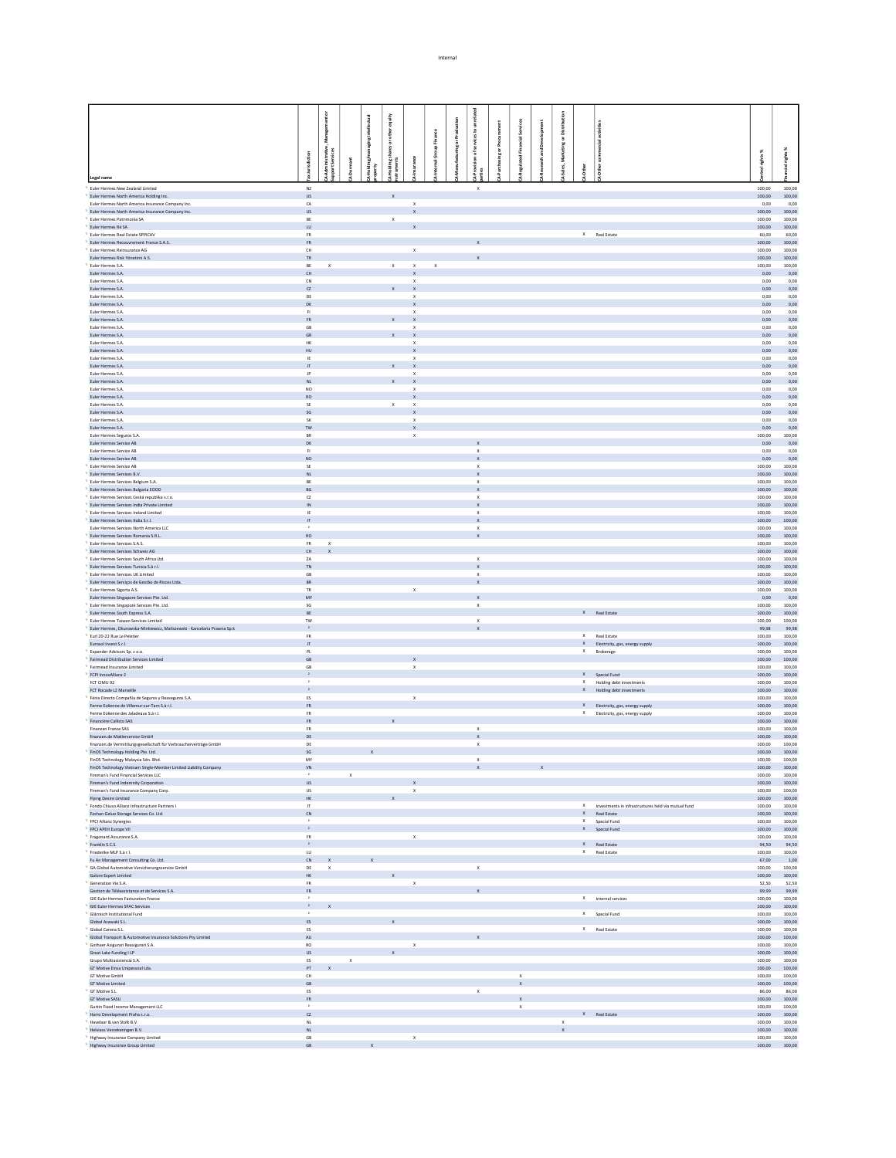|                                                                                                         |                              |                                   |              | equity                    |                                                        |             |                |                                                                 |   |                                    |   |              |                                                                          |                             |                  |
|---------------------------------------------------------------------------------------------------------|------------------------------|-----------------------------------|--------------|---------------------------|--------------------------------------------------------|-------------|----------------|-----------------------------------------------------------------|---|------------------------------------|---|--------------|--------------------------------------------------------------------------|-----------------------------|------------------|
|                                                                                                         |                              |                                   |              |                           |                                                        |             |                | £                                                               |   | Aces                               |   |              |                                                                          |                             |                  |
|                                                                                                         |                              | Manage                            |              | other                     |                                                        | Finance     |                |                                                                 |   |                                    |   | ã<br>ŏ.      |                                                                          |                             |                  |
|                                                                                                         |                              |                                   |              | haresor                   |                                                        |             | ring or Produc |                                                                 | ŏ |                                    | క | š            |                                                                          |                             | - 98             |
|                                                                                                         | lurisdiction                 | Administrative,<br>Iport Services |              |                           |                                                        | mal Group   |                |                                                                 |   |                                    |   | Ř            |                                                                          | rights%                     |                  |
|                                                                                                         |                              |                                   |              |                           |                                                        |             |                |                                                                 |   |                                    |   |              |                                                                          |                             |                  |
| Legal name                                                                                              |                              |                                   |              |                           |                                                        |             |                |                                                                 |   |                                    |   |              |                                                                          |                             |                  |
| Euler Hermes New Zealand Limited<br>Euler Hermes North America Holding Inc.                             | $N\!Z$<br><b>US</b>          |                                   |              | $\mathbf{x}$              |                                                        |             |                | $\boldsymbol{\times}$                                           |   |                                    |   |              |                                                                          | 100,00<br>100,00            | 100,00<br>100,00 |
| Euler Hermes North America Insurance Company Inc.                                                       | ${\sf CA}$                   |                                   |              |                           | $\mathsf X$                                            |             |                |                                                                 |   |                                    |   |              |                                                                          | 0,00                        | 0,00             |
| Euler Hermes North America Insurance Company Inc.                                                       | <b>US</b>                    |                                   |              |                           | $\mathbf{x}$                                           |             |                |                                                                 |   |                                    |   |              |                                                                          | 100,00                      | 100,00           |
| Euler Hermes Patrimonia SA<br>Euler Hermes Ré SA                                                        | BE<br>LU                     |                                   |              | $\boldsymbol{\mathsf{X}}$ | X                                                      |             |                |                                                                 |   |                                    |   |              |                                                                          | 100,00<br>100,00            | 100,00<br>100,00 |
| Euler Hermes Real Estate SPPICAV                                                                        | FR                           |                                   |              |                           |                                                        |             |                |                                                                 |   |                                    |   |              | X Real Estate                                                            | 60,00                       | 60,00            |
| Euler Hermes Recouvrement France S.A.S.                                                                 | <b>FR</b>                    |                                   |              |                           |                                                        |             |                |                                                                 |   |                                    |   |              |                                                                          | 100,00                      | 100,00           |
| Euler Hermes Reinsurance AG<br>Euler Hermes Risk Yönetimi A.S.                                          | CH<br>TR.                    |                                   |              |                           | $\mathsf X$                                            |             |                |                                                                 |   |                                    |   |              |                                                                          | 100,00<br>100,00            | 100,00<br>100,00 |
| Euler Hermes S.A.                                                                                       | BE                           | $\mathbf x$                       |              | $\mathbf{x}$              | $\mathbf x$                                            | $\mathsf X$ |                |                                                                 |   |                                    |   |              |                                                                          | 100,00                      | 100,00           |
| Euler Hermes S.A.                                                                                       | CH                           |                                   |              |                           |                                                        |             |                |                                                                 |   |                                    |   |              |                                                                          | 0,00                        | 0,00             |
| Euler Hermes S.A.<br>Euler Hermes S.A.                                                                  | CN<br>$\alpha$               |                                   |              |                           | $\boldsymbol{\mathsf{x}}$<br>$\boldsymbol{\mathsf{x}}$ |             |                |                                                                 |   |                                    |   |              |                                                                          | 0.00<br>0,00                | 0.00<br>0,00     |
| Euler Hermes S.A.                                                                                       | DE                           |                                   |              |                           | $\boldsymbol{\mathsf{x}}$                              |             |                |                                                                 |   |                                    |   |              |                                                                          | 0.00                        | 0.00             |
| Euler Hermes S.A.                                                                                       | DK                           |                                   |              |                           |                                                        |             |                |                                                                 |   |                                    |   |              |                                                                          | 0,00                        | 0,00             |
| Euler Hermes S.A.<br>Euler Hermes S.A.                                                                  | F1<br>${\sf FR}$             |                                   |              |                           | $\mathsf{x}$<br>$\mathsf X$                            |             |                |                                                                 |   |                                    |   |              |                                                                          | 0.00<br>0,00                | 0.00<br>0,00     |
| Euler Hermes S.A.                                                                                       | <b>GB</b>                    |                                   |              |                           | $\boldsymbol{\mathsf{x}}$                              |             |                |                                                                 |   |                                    |   |              |                                                                          | 0.00                        | 0.00             |
| Euler Hermes S.A.                                                                                       | GR                           |                                   |              |                           | $\mathbf{x}$                                           |             |                |                                                                 |   |                                    |   |              |                                                                          | 0,00                        | 0,00             |
| Euler Hermes S.A.<br>Euler Hermes S.A.                                                                  | <b>HK</b><br>HU              |                                   |              |                           | $\boldsymbol{\mathsf{x}}$<br>$\boldsymbol{\mathsf{x}}$ |             |                |                                                                 |   |                                    |   |              |                                                                          | 0.00<br>0,00                | 0.00<br>0,00     |
| Euler Hermes S.A.                                                                                       | IE                           |                                   |              |                           | $\boldsymbol{\mathsf{x}}$                              |             |                |                                                                 |   |                                    |   |              |                                                                          | 0.00                        | 0.00             |
| Euler Hermes S.A.                                                                                       | IT.                          |                                   |              |                           | $\boldsymbol{\mathsf{x}}$                              |             |                |                                                                 |   |                                    |   |              |                                                                          | 0,00                        | 0,00             |
| Euler Hermes S.A.<br>Euler Hermes S.A.                                                                  | JP<br>NL.                    |                                   |              | $\mathbf{x}$              | $\boldsymbol{\mathsf{x}}$<br>$\mathbf{x}$              |             |                |                                                                 |   |                                    |   |              |                                                                          | 0.00<br>0,00                | 0.00<br>0,00     |
| Euler Hermes S.A.                                                                                       | NO.                          |                                   |              |                           | x                                                      |             |                |                                                                 |   |                                    |   |              |                                                                          | 0,00                        | 0,00             |
| Euler Hermes S.A.<br>Euler Hermes S.A.                                                                  | <b>RO</b><br>SE              |                                   |              |                           | $\mathsf{x}$                                           |             |                |                                                                 |   |                                    |   |              |                                                                          | 0,00<br>0,00                | 0,00<br>0,00     |
| Euler Hermes S.A.                                                                                       | $\mathsf{SG}$                |                                   |              | $\mathsf X$               | $\,x\,$<br>$\mathsf{x}$                                |             |                |                                                                 |   |                                    |   |              |                                                                          | 0,00                        | 0,00             |
| Euler Hermes S.A.                                                                                       | <b>SK</b>                    |                                   |              |                           | $\mathbf{x}$                                           |             |                |                                                                 |   |                                    |   |              |                                                                          | 0,00                        | 0,00             |
| Euler Hermes S.A.                                                                                       | $\mathsf{TW}$                |                                   |              |                           | $\mathsf{x}$                                           |             |                |                                                                 |   |                                    |   |              |                                                                          | 0,00                        | 0,00<br>100.00   |
| Euler Hermes Seguros S.A.<br>Euler Hermes Service AB                                                    | BR<br>DK                     |                                   |              |                           | $\,$ $\,$                                              |             |                |                                                                 |   |                                    |   |              |                                                                          | 100,00<br>0,00              | 0,00             |
| Euler Hermes Service AB                                                                                 | F1                           |                                   |              |                           |                                                        |             |                | $\mathbf x$                                                     |   |                                    |   |              |                                                                          | 0,00                        | 0,00             |
| Euler Hermes Service AB                                                                                 | NO.<br>SE                    |                                   |              |                           |                                                        |             |                | $\mathbf{x}$<br>$\mathbf x$                                     |   |                                    |   |              |                                                                          | 0,00<br>100,00              | 0,00<br>100.00   |
| Euler Hermes Service AB<br>Euler Hermes Services B.V.                                                   | <b>NL</b>                    |                                   |              |                           |                                                        |             |                | $\mathbf{x}$                                                    |   |                                    |   |              |                                                                          | 100.00                      | 100.00           |
| Euler Hermes Services Belgium S.A.                                                                      | BE                           |                                   |              |                           |                                                        |             |                |                                                                 |   |                                    |   |              |                                                                          | 100,00                      | 100,00           |
| Euler Hermes Services Bulgaria EOOD<br>Euler Hermes Services Ceská republika s.r.o.                     | <b>BG</b><br>$\alpha$        |                                   |              |                           |                                                        |             |                | $\mathbf{x}$                                                    |   |                                    |   |              |                                                                          | 100.00<br>100,00            | 100.00<br>100,00 |
| Euler Hermes Services India Private Limited                                                             | IN                           |                                   |              |                           |                                                        |             |                | $\mathbf{x}$                                                    |   |                                    |   |              |                                                                          | 100.00                      | 100.00           |
| Euler Hermes Services Ireland Limited                                                                   | IE                           |                                   |              |                           |                                                        |             |                |                                                                 |   |                                    |   |              |                                                                          | 100,00                      | 100,00           |
| Euler Hermes Services Italia S.r.l.<br>Euler Hermes Services North America LLC                          | $\mathbf{H}$<br>$\mathbf{2}$ |                                   |              |                           |                                                        |             |                | $\mathbf{x}$<br>$\boldsymbol{\mathsf{X}}$                       |   |                                    |   |              |                                                                          | 100.00<br>100,00            | 100.00<br>100,00 |
| Euler Hermes Services Romania S.R.L.                                                                    | RO                           |                                   |              |                           |                                                        |             |                | $\mathbf{x}$                                                    |   |                                    |   |              |                                                                          | 100,00                      | 100.00           |
| Euler Hermes Services S.A.S.                                                                            | FR.                          | $\boldsymbol{\times}$             |              |                           |                                                        |             |                |                                                                 |   |                                    |   |              |                                                                          | 100,00                      | 100,00           |
| Euler Hermes Services Schweiz AG<br>Euler Hermes Services South Africa Ltd.                             | CH<br>ZA                     | $\mathbf{x}$                      |              |                           |                                                        |             |                | $\,$ X                                                          |   |                                    |   |              |                                                                          | 100,00<br>100,00            | 100.00<br>100,00 |
| Euler Hermes Services Tunisia S.à r.l.                                                                  | TN                           |                                   |              |                           |                                                        |             |                | $\mathbf{x}$                                                    |   |                                    |   |              |                                                                          | 100,00                      | 100.00           |
| Euler Hermes Services UK Limited                                                                        | GB                           |                                   |              |                           |                                                        |             |                | $\boldsymbol{\mathsf{x}}$                                       |   |                                    |   |              |                                                                          | 100,00                      | 100,00           |
| Euler Hermes Serviços de Gestão de Riscos Ltda.                                                         | <b>BR</b>                    |                                   |              |                           |                                                        |             |                | $\mathbf x$                                                     |   |                                    |   |              |                                                                          | 100,00                      | 100,00           |
| Euler Hermes Sigorta A.S.<br>Euler Hermes Singapore Services Pte. Ltd.                                  | TR<br>MY                     |                                   |              |                           | $\mathbf x$                                            |             |                | $\mathbf{x}$                                                    |   |                                    |   |              |                                                                          | 100,00<br>0,00              | 100,00<br>0,00   |
| Euler Hermes Singapore Services Pte. Ltd.                                                               | SG                           |                                   |              |                           |                                                        |             |                | $\mathbf{x}$                                                    |   |                                    |   |              |                                                                          | 100,00                      | 100,00           |
| Euler Hermes South Express S.A.<br>Euler Hermes Taiwan Services Limited                                 | BE<br>TW                     |                                   |              |                           |                                                        |             |                | $\boldsymbol{\times}$                                           |   |                                    |   |              | $\mathsf{X}$ Real Estate                                                 | 100,00<br>100,00            | 100,00<br>100,00 |
| Euler Hermes, Okurowska-Minkiewicz, Maliszewski - Kancelaria Prawna Sp.k                                | $\mathbf{2}$                 |                                   |              |                           |                                                        |             |                |                                                                 |   |                                    |   |              |                                                                          | 99,98                       | 99,98            |
| Eurl 20-22 Rue Le Peletier                                                                              | ${\sf FR}$                   |                                   |              |                           |                                                        |             |                |                                                                 |   |                                    |   |              | X Real Estate                                                            | 100,00                      | 100,00           |
| Eurosol Invest S.r.l.<br>Expander Advisors Sp. z o.o.                                                   | $\boldsymbol{\Pi}$<br>PL     |                                   |              |                           |                                                        |             |                |                                                                 |   |                                    |   |              | X Electricity, gas, energy supply<br>X Brokerage                         | 100,00<br>100,00            | 100,00<br>100,00 |
| Fairmead Distribution Services Limited                                                                  | GB                           |                                   |              |                           | $\mathsf X$                                            |             |                |                                                                 |   |                                    |   |              |                                                                          | 100,00                      | 100,00           |
| <sup>1</sup> Fairmead Insurance Limited                                                                 | GB                           |                                   |              |                           | $\mathsf X$                                            |             |                |                                                                 |   |                                    |   |              |                                                                          | 100.00                      | 100.00           |
| FCPI InnovAllianz 2                                                                                     | $\mathbf{2}^-$<br>$\,$ $\,$  |                                   |              |                           |                                                        |             |                |                                                                 |   |                                    |   |              | X Special Fund                                                           | 100,00                      | 100,00           |
| FCT CIMU 92<br>FCT Rocade L2 Marseille                                                                  | $\mathbf{2}$                 |                                   |              |                           |                                                        |             |                |                                                                 |   |                                    |   |              | X Holding debt investments<br>X Holding debt investments                 | 100.00<br>100,00            | 100.00<br>100,00 |
| Fénix Directo Compañía de Seguros y Reaseguros S.A.                                                     | ES                           |                                   |              |                           | $\mathsf{X}$                                           |             |                |                                                                 |   |                                    |   |              |                                                                          | 100.00                      | 100.00           |
| Ferme Eolienne de Villemur-sur-Tarn S.à r.l.                                                            | ${\sf FR}$                   |                                   |              |                           |                                                        |             |                |                                                                 |   |                                    |   |              | X Electricity, gas, energy supply                                        | 100,00                      | 100,00           |
| Ferme Eolienne des Jaladeaux S.à r.l.<br>Financière Callisto SAS                                        | <b>FR</b><br>FR.             |                                   |              |                           |                                                        |             |                |                                                                 |   |                                    |   |              | X Electricity, gas, energy supply                                        | 100.00<br>100,00            | 100.00<br>100,00 |
| Finanzen France SAS                                                                                     | <b>FR</b>                    |                                   |              |                           |                                                        |             |                | $\mathbf{x}$                                                    |   |                                    |   |              |                                                                          | 100.00                      | 100.00           |
| finanzen.de Maklerservice GmbH                                                                          | $\mathsf{DE}$                |                                   |              |                           |                                                        |             |                |                                                                 |   |                                    |   |              |                                                                          | 100,00                      | 100,00           |
| finanzen.de Vermittlungsgesellschaft für Verbraucherverträge GmbH<br>FinOS Technology Holding Pte. Ltd. | DE<br>$SG$                   |                                   | $\mathsf X$  |                           |                                                        |             |                | X                                                               |   |                                    |   |              |                                                                          | 100.00<br>100,00            | 100.00<br>100,00 |
| FinOS Technology Malaysia Sdn. Bhd.                                                                     | MY                           |                                   |              |                           |                                                        |             |                | $\times$                                                        |   |                                    |   |              |                                                                          | 100.00                      | 100.00           |
| FinOS Technology Vietnam Single-Member Limited Liability Company                                        | ${\sf VN}$                   |                                   |              |                           |                                                        |             |                | $\mathbf{x}$ and $\mathbf{x}$ and $\mathbf{x}$ and $\mathbf{x}$ |   |                                    |   |              |                                                                          | $100,00$ $100,00$           |                  |
| Fireman's Fund Financial Services LLC<br>Fireman's Fund Indemnity Corporation                           | $\,$ $\,$<br><b>US</b>       | $\mathbf x$                       |              |                           | $\mathsf{x}$                                           |             |                |                                                                 |   |                                    |   |              |                                                                          | 100,00<br>$100,00$ $100,00$ | 100,00           |
| Fireman's Fund Insurance Company Corp.                                                                  | <b>US</b>                    |                                   |              |                           | $\mathbf x$                                            |             |                |                                                                 |   |                                    |   |              |                                                                          | 100,00                      | 100.00           |
| Flying Desire Limited                                                                                   | $\mathsf{HK}$                |                                   |              | $\mathbf x$               |                                                        |             |                |                                                                 |   |                                    |   |              |                                                                          | 100,00                      | 100,00           |
| <sup>1</sup> Fondo Chiuso Allianz Infrastructure Partners I<br>Foshan Geluo Storage Services Co. Ltd.   | $\mathbf{H}$<br>CN           |                                   |              |                           |                                                        |             |                |                                                                 |   |                                    |   |              | $X$ Investments in infrastructures held via mutual fund<br>X Real Estate | 100,00<br>100,00            | 100.00<br>100,00 |
| <sup>1</sup> FPCI Allianz Synergies                                                                     | $\,$ $\,$                    |                                   |              |                           |                                                        |             |                |                                                                 |   |                                    |   |              | X Special Fund                                                           | 100,00                      | 100,00           |
| FPCI APEH Europe VII                                                                                    | $\,$ $\,$ $\,$               |                                   |              |                           |                                                        |             |                |                                                                 |   |                                    |   |              | X Special Fund                                                           | 100,00                      | 100,00           |
| Fragonard Assurance S.A.<br>Franklin S.C.S.                                                             | <b>FR</b><br>$\,$ $\,$ $\,$  |                                   |              |                           | $\mathbf{x}$                                           |             |                |                                                                 |   |                                    |   |              | X Real Estate                                                            | 100,00<br>94,50 94,50       | 100.00           |
| <sup>1</sup> Friederike MLP S.à r.l.                                                                    | $\mathsf{L}\mathsf{U}$       |                                   |              |                           |                                                        |             |                |                                                                 |   |                                    |   |              | X Real Estate                                                            | 100,00                      | 100,00           |
| Fu An Management Consulting Co. Ltd.                                                                    | $CN$ $X$                     |                                   | $\mathbf{x}$ |                           |                                                        |             |                |                                                                 |   |                                    |   |              |                                                                          | 67,00                       | 1.00             |
| <sup>1</sup> GA Global Automotive Versicherungsservice GmbH                                             | $\mathsf{DE}$                | $\mathsf X$                       |              |                           |                                                        |             |                | $\mathbf x$                                                     |   |                                    |   |              |                                                                          | 100,00                      | 100,00           |
| Galore Expert Limited<br>Generation Vie S.A.                                                            | HK<br>${\sf FR}$             |                                   |              |                           | $\,$ $\,$ $\,$                                         |             |                |                                                                 |   |                                    |   |              |                                                                          | 100,00<br>52,50             | 100.00<br>52,50  |
| Gestion de Téléassistance et de Services S.A.                                                           | FR                           |                                   |              |                           |                                                        |             |                |                                                                 |   |                                    |   |              |                                                                          | 99,99                       | 99.99            |
| GIE Euler Hermes Facturation France<br>GIE Euler Hermes SFAC Services                                   | $\,$ $\,$<br>$\mathbf{z}$    |                                   |              |                           |                                                        |             |                |                                                                 |   |                                    |   |              | $X$ Internal services                                                    | 100,00                      | 100,00<br>100.00 |
| Glärnisch Institutional Fund                                                                            | $\cdot$                      |                                   |              |                           |                                                        |             |                |                                                                 |   |                                    |   |              | X Special Fund                                                           | 100,00<br>100,00            | 100,00           |
| Global Azawaki S.L.                                                                                     | ES                           |                                   |              | $\boldsymbol{\mathsf{x}}$ |                                                        |             |                |                                                                 |   |                                    |   |              |                                                                          | 100,00                      | 100.00           |
| Global Carena S.L.                                                                                      | ES                           |                                   |              |                           |                                                        |             |                |                                                                 |   |                                    |   |              | X Real Estate                                                            | 100,00                      | 100,00           |
| Global Transport & Automotive Insurance Solutions Pty Limited<br>Gothaer Asigurari Reasigurari S.A.     | AU<br>RO                     |                                   |              |                           | $\,$ $\,$ $\,$                                         |             |                |                                                                 |   |                                    |   |              |                                                                          | 100,00<br>100,00            | 100.00<br>100,00 |
| Great Lake Funding I LP                                                                                 | <b>US</b>                    |                                   |              | $\mathbf{x}$              |                                                        |             |                |                                                                 |   |                                    |   |              |                                                                          | 100,00                      | 100.00           |
| Grupo Multiasistencia S.A.                                                                              | ES                           | $\mathsf X$                       |              |                           |                                                        |             |                |                                                                 |   |                                    |   |              |                                                                          | 100,00                      | 100,00           |
| GT Motive Einsa Unipessoal Lda.<br>GT Motive GmbH                                                       | PT<br>$\mathsf{CH}%$         | $\mathbf{x}$                      |              |                           |                                                        |             |                |                                                                 |   | $\mathbf x$                        |   |              |                                                                          | 100,00<br>100,00            | 100,00<br>100,00 |
| GT Motive Limited                                                                                       | GB                           |                                   |              |                           |                                                        |             |                |                                                                 |   | $\mathbf{x}$                       |   |              |                                                                          | 100,00                      | 100,00           |
| GT Motive S.L.                                                                                          | ES                           |                                   |              |                           |                                                        |             |                | $\mathbf{x}$                                                    |   |                                    |   |              |                                                                          | 86,00                       | 86,00            |
| <b>GT Motive SASU</b><br>Gurtin Fixed Income Management LLC                                             | FR<br>$\,$ $\,$              |                                   |              |                           |                                                        |             |                |                                                                 |   | $\mathbf x$<br>$\boldsymbol{\chi}$ |   |              |                                                                          | 100,00<br>100,00            | 100,00<br>100,00 |
| Harro Development Praha s.r.o.                                                                          | CZ                           |                                   |              |                           |                                                        |             |                |                                                                 |   |                                    |   |              | X Real Estate                                                            | 100,00                      | 100,00           |
| Havelaar & van Stolk B.V.<br>Helviass Verzekeringen B.V.                                                | NL<br>NL                     |                                   |              |                           |                                                        |             |                |                                                                 |   |                                    |   | $\mathsf{X}$ |                                                                          | 100,00                      | 100,00           |
|                                                                                                         |                              |                                   |              |                           | $\mathbf{x}$                                           |             |                |                                                                 |   |                                    |   | $\mathbf x$  |                                                                          | 100,00<br>100,00            | 100,00<br>100,00 |
| Highway Insurance Company Limited                                                                       | GB<br>GB                     |                                   |              |                           |                                                        |             |                |                                                                 |   |                                    |   |              |                                                                          |                             |                  |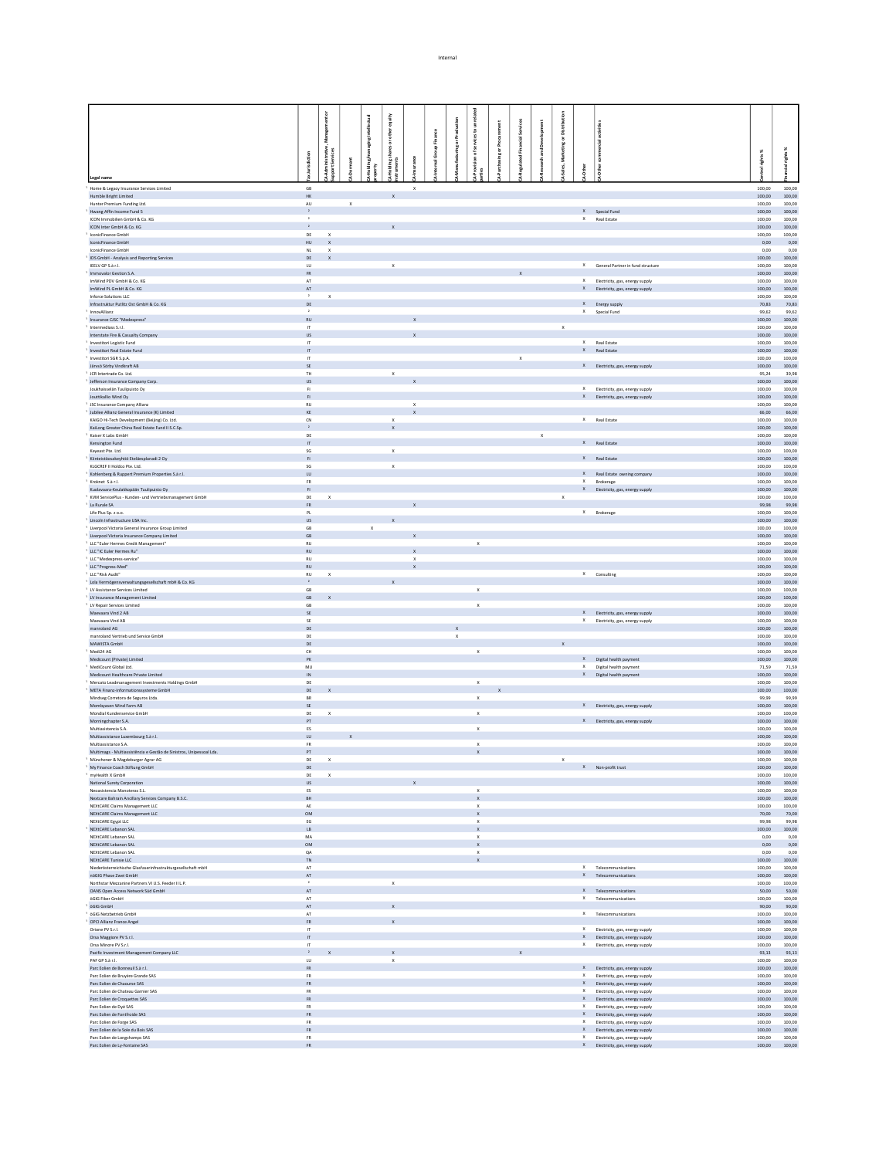|                                                                                                    |                                         |                              |             |             | ig           |                                           |                   |                                 |                             |            |              |               |             |              |                                                               |                                                                        |                                 |                  |
|----------------------------------------------------------------------------------------------------|-----------------------------------------|------------------------------|-------------|-------------|--------------|-------------------------------------------|-------------------|---------------------------------|-----------------------------|------------|--------------|---------------|-------------|--------------|---------------------------------------------------------------|------------------------------------------------------------------------|---------------------------------|------------------|
|                                                                                                    |                                         |                              |             |             |              |                                           |                   |                                 | ices to                     |            | dal Services |               | å           |              |                                                               |                                                                        |                                 |                  |
|                                                                                                    |                                         |                              |             |             |              |                                           |                   |                                 | å                           | ing or Pro |              |               |             |              |                                                               |                                                                        |                                 | ×                |
|                                                                                                    | 5                                       | inistrative<br>Services      |             |             |              |                                           | mal Group Finance | <b>Ifacturing or Production</b> |                             |            | ted Fina     | earch and Dew |             |              |                                                               |                                                                        | ights %                         | $\frac{16}{16}$  |
|                                                                                                    |                                         |                              |             |             |              |                                           |                   |                                 |                             |            |              |               |             |              |                                                               |                                                                        |                                 |                  |
| Legal name                                                                                         |                                         |                              |             |             |              |                                           |                   |                                 |                             |            |              |               |             |              |                                                               |                                                                        |                                 |                  |
| Home & Legacy Insurance Services Limited<br>Humble Bright Limited                                  | GB<br>HK                                |                              |             |             | $\mathbf{x}$ | $\mathsf X$                               |                   |                                 |                             |            |              |               |             |              |                                                               |                                                                        | 100,00<br>100.00                | 100,00<br>100.00 |
| Hunter Premium Funding Ltd.                                                                        | $\mathsf{AU}$                           |                              | $\mathsf X$ |             |              |                                           |                   |                                 |                             |            |              |               |             |              |                                                               |                                                                        | 100,00                          | 100,00           |
| Hwang Affin Income Fund 5                                                                          | $\mathbf{2}$<br>$\rightarrow$           |                              |             |             |              |                                           |                   |                                 |                             |            |              |               |             |              | $X$ Special Fund                                              |                                                                        | 100.00                          | 100.00           |
| ICON Immobilien GmbH & Co. KG<br>ICON Inter GmbH & Co. KG                                          |                                         |                              |             |             |              |                                           |                   |                                 |                             |            |              |               |             |              | X Real Estate                                                 |                                                                        | 100,00<br>100.00                | 100,00<br>100.00 |
| IconicFinance GmbH                                                                                 | $\mathsf{DE}$                           | $\mathbf x$                  |             |             |              |                                           |                   |                                 |                             |            |              |               |             |              |                                                               |                                                                        | 100,00                          | 100,00           |
| IconicFinance GmbH<br>IconicFinance GmbH                                                           | <b>HU</b>                               | $\mathbf{x}$<br>$\mathbf{x}$ |             |             |              |                                           |                   |                                 |                             |            |              |               |             |              |                                                               |                                                                        | 0,00                            | 0.00             |
| IDS GmbH - Analysis and Reporting Services                                                         | $_{\rm NL}$<br>DE                       | $\mathbf{x}$                 |             |             |              |                                           |                   |                                 |                             |            |              |               |             |              |                                                               |                                                                        | 0,00<br>100,00                  | 0,00<br>100.00   |
| IEELV GP S.à r.l.                                                                                  | ${\sf LU}$                              |                              |             |             | $\mathbf x$  |                                           |                   |                                 |                             |            |              |               |             |              |                                                               | X General Partner in fund structure                                    | 100,00                          | 100,00           |
| Immovalor Gestion S.A.                                                                             | <b>FR</b>                               |                              |             |             |              |                                           |                   |                                 |                             |            |              |               |             |              |                                                               |                                                                        | 100,00                          | 100.00           |
| ImWind PDV GmbH & Co. KG<br>ImWind PL GmbH & Co. KG                                                | $\mathsf{AT}$<br>AT                     |                              |             |             |              |                                           |                   |                                 |                             |            |              |               |             |              |                                                               | X Electricity, gas, energy supply<br>X Electricity, gas, energy supply | 100,00<br>100,00                | 100,00<br>100,00 |
| Inforce Solutions LLC                                                                              | $\mathbf{2}$                            | $\mathbf{x}$                 |             |             |              |                                           |                   |                                 |                             |            |              |               |             |              |                                                               |                                                                        | 100,00                          | 100,00           |
| Infrastruktur Putlitz Ost GmbH & Co. KG                                                            | DE                                      |                              |             |             |              |                                           |                   |                                 |                             |            |              |               |             |              | X Energy supply                                               |                                                                        | 70,83                           | 70,83            |
| InnovAllianz<br>Insurance CJSC "Medexpress"                                                        | RU                                      |                              |             |             |              |                                           |                   |                                 |                             |            |              |               |             |              | $X$ Special Fund                                              |                                                                        | 99,62<br>100,00                 | 99,62<br>100,00  |
| Intermediass S.r.l.                                                                                | $\mathbf{r}$                            |                              |             |             |              |                                           |                   |                                 |                             |            |              |               | $\mathsf X$ |              |                                                               |                                                                        | 100,00                          | 100,00           |
| Interstate Fire & Casualty Company                                                                 | <b>US</b>                               |                              |             |             |              |                                           |                   |                                 |                             |            |              |               |             |              |                                                               |                                                                        | 100,00                          | 100,00           |
| Investitori Logistic Fund<br>Investitori Real Estate Fund                                          | $\mathbf{r}$<br>IT.                     |                              |             |             |              |                                           |                   |                                 |                             |            |              |               |             |              | X Real Estate<br>$\ensuremath{\mathsf{X}}\xspace$ Real Estate |                                                                        | 100,00<br>100,00                | 100,00<br>100,00 |
| Investitori SGR S.p.A.                                                                             | $\mathsf{H}$                            |                              |             |             |              |                                           |                   |                                 |                             |            | $\mathsf X$  |               |             |              |                                                               |                                                                        | 100,00                          | 100,00           |
| Järvsö Sörby Vindkraft AB                                                                          | $\infty$                                |                              |             |             |              |                                           |                   |                                 |                             |            |              |               |             |              |                                                               | X Electricity, gas, energy supply                                      | 100,00                          | 100,00           |
| JCR Intertrade Co. Ltd.<br>Jefferson Insurance Company Corp.                                       | TH<br>$\ensuremath{\mathsf{US}}$        |                              |             |             | $\mathbf{x}$ |                                           |                   |                                 |                             |            |              |               |             |              |                                                               |                                                                        | 95,24<br>100,00                 | 39,98<br>100,00  |
| Joukhaisselän Tuulipuisto Ov                                                                       | <b>F1</b>                               |                              |             |             |              |                                           |                   |                                 |                             |            |              |               |             |              |                                                               | X Electricity, gas, energy supply                                      | 100.00                          | 100.00           |
| Jouttikallio Wind Oy                                                                               | F1                                      |                              |             |             |              |                                           |                   |                                 |                             |            |              |               |             |              |                                                               | X Electricity, gas, energy supply                                      | 100,00                          | 100,00           |
| JSC Insurance Company Allianz<br>Jubilee Allianz General Insurance (K) Limited                     | RU<br>$\mathsf{KE}$                     |                              |             |             |              | $\mathsf{x}$                              |                   |                                 |                             |            |              |               |             |              |                                                               |                                                                        | 100.00<br>66,00                 | 100.00<br>66,00  |
| KAIGO Hi-Tech Development (Beijing) Co. Ltd.                                                       | CN                                      |                              |             |             | $\mathbf{x}$ |                                           |                   |                                 |                             |            |              |               |             |              | X Real Estate                                                 |                                                                        | 100.00                          | 100.00           |
| KaiLong Greater China Real Estate Fund II S.C.Sp.                                                  | $\rightarrow$                           |                              |             |             |              |                                           |                   |                                 |                             |            |              |               |             |              |                                                               |                                                                        | 100,00                          | 100,00           |
| Kaiser X Labs GmbH<br>Kensington Fund                                                              | DE<br>$\, \pi$                          |                              |             |             |              |                                           |                   |                                 |                             |            |              | $\mathbf{x}$  |             |              | $\mathsf{X}$ Real Estate                                      |                                                                        | 100.00<br>100,00                | 100.00<br>100,00 |
| Keyeast Pte, Ltd.                                                                                  | SG                                      |                              |             |             | $\mathbf{x}$ |                                           |                   |                                 |                             |            |              |               |             |              |                                                               |                                                                        | 100.00                          | 100.00           |
| Kiinteistöosakeyhtiö Eteläesplanadi 2 Oy                                                           | F1                                      |                              |             |             |              |                                           |                   |                                 |                             |            |              |               |             |              | $\mathsf{X}$ Real Estate                                      |                                                                        | 100,00                          | 100,00           |
| KLGCREF II Holdco Pte. Ltd.<br>Kohlenberg & Ruppert Premium Properties S.à r.l.                    | SG<br>$\mathsf{L}\mathsf{U}$            |                              |             |             | $\mathbf{x}$ |                                           |                   |                                 |                             |            |              |               |             |              |                                                               | X Real Estate owning company                                           | 100.00<br>100,00                | 100.00<br>100,00 |
| Kroknet S.à r.l.                                                                                   | <b>FR</b>                               |                              |             |             |              |                                           |                   |                                 |                             |            |              |               |             |              | X Brokerage                                                   |                                                                        | 100,00                          | 100.00           |
| Kuolavaara-Keulakkopään Tuulipuisto Oy                                                             | $\mathsf{F} \mathsf{I}$ .               |                              |             |             |              |                                           |                   |                                 |                             |            |              |               |             |              |                                                               | X Electricity, gas, energy supply                                      | 100,00                          | 100,00           |
| KVM ServicePlus - Kunden- und Vertriebsmanagement GmbH<br>La Rurale SA                             | DE<br>${\sf FR}$                        | $\mathsf{X}$                 |             |             |              |                                           |                   |                                 |                             |            |              |               | $\mathsf X$ |              |                                                               |                                                                        | 100,00<br>99,98                 | 100.00<br>99,98  |
| Life Plus Sp. z o.o.                                                                               | PL                                      |                              |             |             |              |                                           |                   |                                 |                             |            |              |               |             |              | X Brokerage                                                   |                                                                        | 100.00                          | 100.00           |
| Lincoln Infrastructure USA Inc.                                                                    | <b>US</b>                               |                              |             |             | $\mathbf{x}$ |                                           |                   |                                 |                             |            |              |               |             |              |                                                               |                                                                        | 100,00                          | 100,00           |
| Liverpool Victoria General Insurance Group Limited<br>Liverpool Victoria Insurance Company Limited | GB<br>$\mathsf{GB}$                     |                              |             | $\mathbf x$ |              |                                           |                   |                                 |                             |            |              |               |             |              |                                                               |                                                                        | 100.00<br>100,00                | 100.00<br>100,00 |
| LLC "Euler Hermes Credit Management"                                                               | RU                                      |                              |             |             |              | $\mathbf{x}$                              |                   |                                 | $\mathbf{x}$                |            |              |               |             |              |                                                               |                                                                        | 100,00                          | 100.00           |
| LLC "IC Euler Hermes Ru"                                                                           | RU                                      |                              |             |             |              | $\mathbf{x}$                              |                   |                                 |                             |            |              |               |             |              |                                                               |                                                                        | 100,00                          | 100,00           |
| LLC "Medexpress-service"<br>LLC "Progress-Med"                                                     | RU<br>RU                                |                              |             |             |              | $\boldsymbol{\mathsf{x}}$<br>$\mathbf{x}$ |                   |                                 |                             |            |              |               |             |              |                                                               |                                                                        | 100,00<br>100,00                | 100.00<br>100,00 |
| LLC "Risk Audit"                                                                                   | $\mathsf{RU}$                           | $\mathbf x$                  |             |             |              |                                           |                   |                                 |                             |            |              |               |             |              | X Consulting                                                  |                                                                        | 100,00                          | 100,00           |
| Lola Vermögensverwaltungsgesellschaft mbH & Co. KG                                                 |                                         |                              |             |             |              |                                           |                   |                                 |                             |            |              |               |             |              |                                                               |                                                                        | 100.00                          | 100.00           |
| LV Assistance Services Limited                                                                     | $\mathsf{GB}$                           |                              |             |             |              |                                           |                   |                                 | $\,$ X                      |            |              |               |             |              |                                                               |                                                                        | 100,00                          | 100,00           |
| LV Insurance Management Limited<br>LV Repair Services Limited                                      | GB<br>GB                                |                              |             |             |              |                                           |                   |                                 | $\mathsf X$                 |            |              |               |             |              |                                                               |                                                                        | 100.00<br>100,00                | 100.00<br>100,00 |
| Maevaara Vind 2 AB                                                                                 | SE                                      |                              |             |             |              |                                           |                   |                                 |                             |            |              |               |             |              |                                                               | X Electricity, gas, energy supply                                      | 100.00                          | 100.00           |
| Maevaara Vind AB                                                                                   | SE                                      |                              |             |             |              |                                           |                   |                                 |                             |            |              |               |             |              |                                                               | X Electricity, gas, energy supply                                      | 100,00                          | 100,00           |
| manroland AG<br>manroland Vertrieb und Service GmbH                                                | DE<br>DE                                |                              |             |             |              |                                           |                   | $\mathbf{x}$<br>$\mathsf X$     |                             |            |              |               |             |              |                                                               |                                                                        | 100.00<br>100,00                | 100.00<br>100,00 |
| MAWISTA GmbH                                                                                       | DE                                      |                              |             |             |              |                                           |                   |                                 |                             |            |              |               |             |              |                                                               |                                                                        | 100.00                          | 100.00           |
| Medi24 AG                                                                                          | CH                                      |                              |             |             |              |                                           |                   |                                 | $\,$ X                      |            |              |               |             |              |                                                               |                                                                        | 100,00                          | 100,00           |
| Medicount (Private) Limited<br>MediCount Global Ltd.                                               | PK<br>${\sf MU}$                        |                              |             |             |              |                                           |                   |                                 |                             |            |              |               |             | x            |                                                               | X Digital health payment<br>Digital health payment                     | 100,00<br>71,59                 | 100,00<br>71,59  |
| Medicount Healthcare Private Limited                                                               | IN                                      |                              |             |             |              |                                           |                   |                                 |                             |            |              |               |             |              |                                                               | X Digital health payment                                               | 100,00                          | 100,00           |
| Mercato Leadmanagement Investments Holdings GmbH                                                   | DE                                      |                              |             |             |              |                                           |                   |                                 | $\mathbf{x}$                |            |              |               |             |              |                                                               |                                                                        | 100,00                          | 100,00           |
| META Finanz-Informationssysteme GmbH<br>Mindseg Corretora de Seguros Ltda.                         | DE<br>BR                                |                              |             |             |              |                                           |                   |                                 | $\boldsymbol{\mathsf{x}}$   |            |              |               |             |              |                                                               |                                                                        | 100,00<br>99,99                 | 100,00<br>99,99  |
| Mombyasen Wind Farm AB                                                                             | <b>SE</b>                               |                              |             |             |              |                                           |                   |                                 |                             |            |              |               |             |              |                                                               | X Electricity, gas, energy supply                                      | 100,00                          | 100,00           |
| Mondial Kundenservice GmbH                                                                         | DE                                      | $\mathbf x$                  |             |             |              |                                           |                   |                                 | $\boldsymbol{\mathsf{X}}$   |            |              |               |             |              |                                                               |                                                                        | 100,00                          | 100,00           |
| Morningchapter S.A.<br>Multiasistencia S.A.                                                        | PT<br>ES                                |                              |             |             |              |                                           |                   |                                 | $\boldsymbol{\mathsf{X}}$   |            |              |               |             |              |                                                               | X Electricity, gas, energy supply                                      | 100,00<br>100,00                | 100,00<br>100,00 |
| Multiassistance Luxembourg S.à r.l.                                                                | ${\sf LU}$                              |                              |             |             |              |                                           |                   |                                 |                             |            |              |               |             |              |                                                               |                                                                        | 100,00                          | 100,00           |
| Multiassistance S.A.                                                                               | FR                                      |                              |             |             |              |                                           |                   |                                 | $\boldsymbol{\times}$       |            |              |               |             |              |                                                               |                                                                        | 100,00                          | 100,00           |
| Multimags - Multiassistência e Gestão de Sinistros, Unipessoal Lda.                                | ${\sf PT}$                              |                              |             |             |              |                                           |                   |                                 |                             |            |              |               |             |              |                                                               |                                                                        | 100,00                          | 100,00           |
| Münchener & Magdeburger Agrar AG<br>My Finance Coach Stiftung GmbH                                 | DE<br>$\mathsf{DE}$                     | X.                           |             |             |              |                                           |                   |                                 |                             |            |              |               | X           |              | X Non-profit trust                                            |                                                                        | 100,00<br>100,00                | 100,00<br>100,00 |
| myHealth X GmbH                                                                                    | DE                                      | $\mathbf{x}$                 |             |             |              |                                           |                   |                                 |                             |            |              |               |             |              |                                                               |                                                                        | 100.00                          | 100.00           |
| National Surety Corporation                                                                        | US                                      |                              |             |             |              | x                                         |                   |                                 |                             |            |              |               |             |              |                                                               |                                                                        | 100,00                          | 100,00           |
| Neoasistencia Manoteras S.L.<br>Nextcare Bahrain Ancillary Services Company B.S.C.                 | ES<br>$_{\rm BH}$                       |                              |             |             |              |                                           |                   |                                 | $\mathbf x$<br>$\mathbb X$  |            |              |               |             |              |                                                               |                                                                        | 100.00<br>100,00                | 100.00<br>100,00 |
| NEXtCARE Claims Management LLC                                                                     | AE                                      |                              |             |             |              |                                           |                   |                                 | $\mathbf x$                 |            |              |               |             |              |                                                               |                                                                        | 100.00                          | 100.00           |
| NEXtCARE Claims Management LLC                                                                     | $_{\mathsf{OM}}$                        |                              |             |             |              |                                           |                   |                                 |                             |            |              |               |             |              |                                                               |                                                                        | 70,00                           | 70,00            |
| NEXtCARE Egypt LLC<br>NEXtCARE Lebanon SAL                                                         | EG<br>$\mathsf{LB}$                     |                              |             |             |              |                                           |                   |                                 | $\mathbf x$<br>$\mathsf X$  |            |              |               |             |              |                                                               |                                                                        | 99.98                           | 99.98            |
| NEXtCARE Lebanon SAL                                                                               | MA                                      |                              |             |             |              |                                           |                   |                                 | $\mathbf x$                 |            |              |               |             |              |                                                               |                                                                        | 100,00<br>0.00                  | 100,00<br>0.00   |
| NEXtCARE Lebanon SAL                                                                               | $_{\mathsf{OM}}$                        |                              |             |             |              |                                           |                   |                                 |                             |            |              |               |             |              |                                                               |                                                                        | 0,00                            | 0,00             |
| NEXtCARE Lebanon SAL<br>NEXtCARE Tunisie LLC                                                       | QA<br>$\mathsf{TN}$                     |                              |             |             |              |                                           |                   |                                 | $\mathbf x$<br>$\mathbf{x}$ |            |              |               |             |              |                                                               |                                                                        | 0.00<br>100,00                  | 0.00<br>100,00   |
| Niederösterreichische Glasfaserinfrastrukturgesellschaft mbH                                       | AT                                      |                              |             |             |              |                                           |                   |                                 |                             |            |              |               |             |              |                                                               | X Telecommunications                                                   | 100,00                          | 100,00           |
| nöGIG Phase Zwei GmbH                                                                              | $\mathsf{AT}$                           |                              |             |             |              |                                           |                   |                                 |                             |            |              |               |             |              |                                                               | X Telecommunications                                                   | 100,00                          | 100,00           |
| Northstar Mezzanine Partners VI U.S. Feeder II L.P.<br>OANS Open Access Network Süd GmbH           | $\rightarrow$<br>$\mathbf{A}\mathbf{T}$ |                              |             |             | $\mathbf x$  |                                           |                   |                                 |                             |            |              |               |             |              |                                                               | X Telecommunications                                                   | 100,00<br>50,00                 | 100,00<br>50,00  |
| öGIG Fiber GmbH                                                                                    | AT                                      |                              |             |             |              |                                           |                   |                                 |                             |            |              |               |             |              |                                                               | X Telecommunications                                                   | 100,00                          | 100,00           |
| öGIG GmbH                                                                                          | $\mathsf{AT}^-$                         |                              |             |             |              |                                           |                   |                                 |                             |            |              |               |             |              |                                                               |                                                                        | 90,00 90,00                     |                  |
| öGIG Netzbetrieb GmbH<br>OPCI Allianz France Angel                                                 | AT<br>${\sf FR}$                        |                              |             |             |              |                                           |                   |                                 |                             |            |              |               |             |              |                                                               | X Telecommunications                                                   | 100,00<br>100,00                | 100.00<br>100,00 |
| Orione PV S.r.l.                                                                                   | IT.                                     |                              |             |             |              |                                           |                   |                                 |                             |            |              |               |             |              |                                                               | X Electricity, gas, energy supply                                      | 100,00                          | 100,00           |
| Orsa Maggiore PV S.r.l.                                                                            | $\mathbf{H}$                            |                              |             |             |              |                                           |                   |                                 |                             |            |              |               |             |              |                                                               | X Electricity, gas, energy supply                                      | 100,00                          | 100,00           |
| Orsa Minore PV S.r.l.                                                                              | $\mathsf{I}$<br>$\,$ $\,$ $\,$          |                              |             |             |              |                                           |                   |                                 |                             |            |              |               |             |              |                                                               | X Electricity, gas, energy supply                                      | 100,00                          | 100,00           |
| Pacific Investment Management Company LLC<br>PAF GP S.à r.l.                                       | $\sqcup\hspace{-0.75mm}\sqcup$          |                              |             |             | $\,$ X       |                                           |                   |                                 |                             |            |              |               |             |              |                                                               |                                                                        | 93,13<br>100,00                 | 93,13<br>100,00  |
| Parc Eolien de Bonneuil S.à r.l.                                                                   | FR.                                     |                              |             |             |              |                                           |                   |                                 |                             |            |              |               |             |              |                                                               | X Electricity, gas, energy supply                                      | 100,00                          | 100.00           |
| Parc Eolien de Bruyère Grande SAS                                                                  | ${\sf FR}$<br><b>FR</b>                 |                              |             |             |              |                                           |                   |                                 |                             |            |              |               |             |              |                                                               | X Electricity, gas, energy supply                                      | 100,00                          | 100,00<br>100.00 |
| Parc Eolien de Chaourse SAS<br>Parc Eolien de Chateau Garnier SAS                                  | ${\sf FR}$                              |                              |             |             |              |                                           |                   |                                 |                             |            |              |               |             | $\mathsf{x}$ |                                                               | X Electricity, gas, energy supply<br>Electricity, gas, energy supply   | 100,00<br>100,00                | 100,00           |
| Parc Eolien de Croquettes SAS                                                                      | <b>FR</b>                               |                              |             |             |              |                                           |                   |                                 |                             |            |              |               |             |              |                                                               | X Electricity, gas, energy supply                                      | 100,00                          | 100,00           |
| Parc Eolien de Dyé SAS                                                                             | ${\sf FR}$<br><b>FR</b>                 |                              |             |             |              |                                           |                   |                                 |                             |            |              |               |             | $\mathsf X$  |                                                               | Electricity, gas, energy supply                                        | 100,00                          | 100,00           |
| Parc Eolien de Fontfroide SAS<br>Parc Eolien de Forge SAS                                          | ${\sf FR}$                              |                              |             |             |              |                                           |                   |                                 |                             |            |              |               |             |              |                                                               | X Electricity, gas, energy supply<br>Electricity, gas, energy supply   | 100,00<br>100,00                | 100.00<br>100,00 |
| Parc Eolien de la Sole du Bois SAS                                                                 | FR                                      |                              |             |             |              |                                           |                   |                                 |                             |            |              |               |             |              |                                                               | X Electricity, gas, energy supply                                      | 100,00                          | 100,00           |
| Parc Eolien de Longchamps SAS<br>Parc Eolien de Ly-Fontaine SAS                                    | ${\sf FR}$<br>FR                        |                              |             |             |              |                                           |                   |                                 |                             |            |              |               |             | $\mathsf X$  |                                                               | Electricity, gas, energy supply                                        | 100,00<br>$100,\!00$ $100,\!00$ | 100,00           |
|                                                                                                    |                                         |                              |             |             |              |                                           |                   |                                 |                             |            |              |               |             |              |                                                               | X Electricity, gas, energy supply                                      |                                 |                  |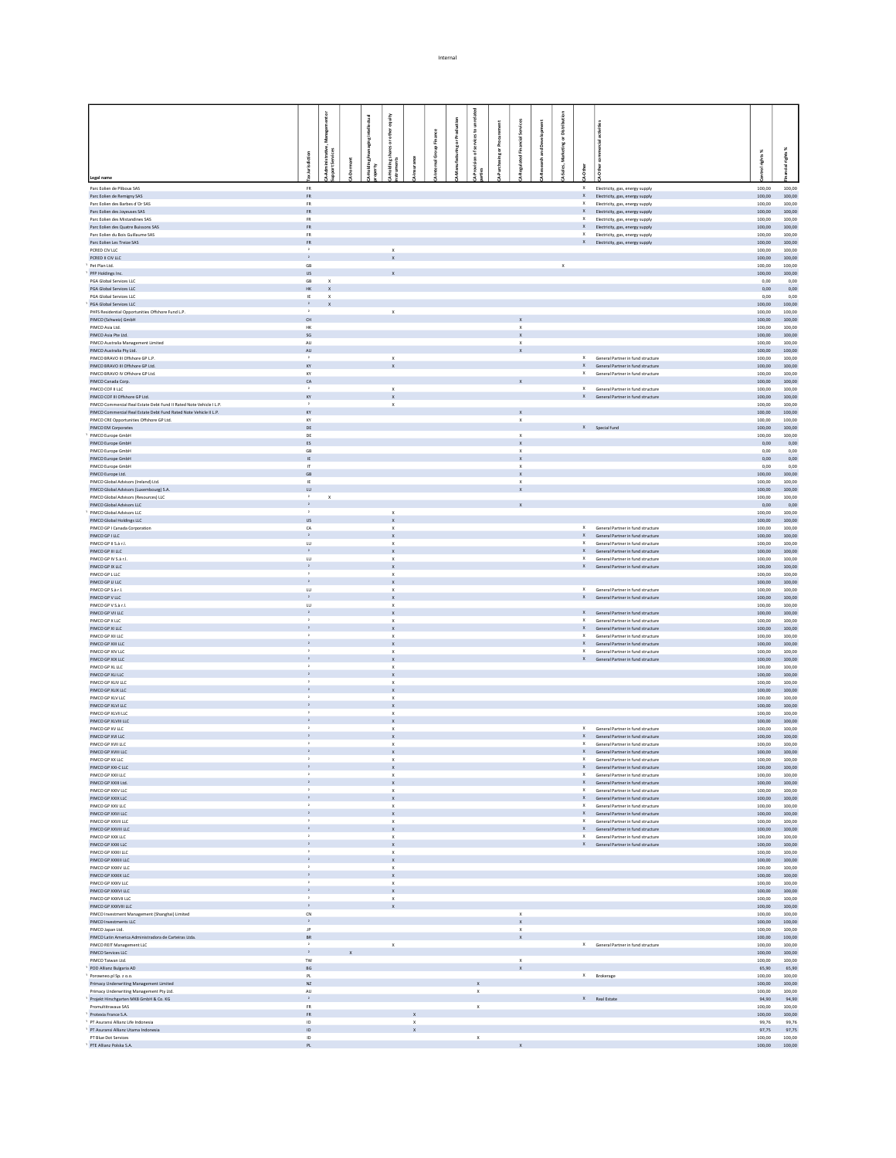|                                                                                  |                                |                              |  | equity                    |              |         |                   |                           | Ĕ      |                                                        |             |                           |                                                                            |                  |                  |
|----------------------------------------------------------------------------------|--------------------------------|------------------------------|--|---------------------------|--------------|---------|-------------------|---------------------------|--------|--------------------------------------------------------|-------------|---------------------------|----------------------------------------------------------------------------|------------------|------------------|
|                                                                                  |                                |                              |  | other                     |              | Finance |                   | asto                      |        |                                                        |             |                           |                                                                            |                  |                  |
|                                                                                  |                                |                              |  |                           |              |         | ing or Production | ្ថ                        | £      |                                                        |             |                           |                                                                            |                  | x                |
|                                                                                  | 5                              | nistrativ<br>Services        |  | ding shares or c<br>nents |              |         |                   | ៵                         | ing or | 퓬                                                      |             |                           |                                                                            | ghts%            | rig Ms           |
|                                                                                  |                                |                              |  |                           |              |         |                   |                           |        |                                                        |             |                           |                                                                            |                  |                  |
| Legal name                                                                       |                                |                              |  |                           |              |         |                   |                           |        |                                                        |             |                           |                                                                            |                  |                  |
| Parc Eolien de Pliboux SAS                                                       | <b>FR</b>                      |                              |  |                           |              |         |                   |                           |        |                                                        |             | $\mathsf X$               | Electricity, gas, energy supply                                            | 100.00           | 100.00           |
| Parc Eolien de Remigny SAS                                                       | ${\sf FR}$                     |                              |  |                           |              |         |                   |                           |        |                                                        |             |                           | X Electricity, gas, energy supply                                          | 100,00           | 100,00           |
| Parc Eolien des Barbes d'Or SAS<br>Parc Eolien des Joyeuses SAS                  | <b>FR</b><br>${\sf FR}$        |                              |  |                           |              |         |                   |                           |        |                                                        |             | x<br>$\mathsf X$          | Electricity, gas, energy supply<br>Electricity, gas, energy supply         | 100.00<br>100,00 | 100.00<br>100,00 |
| Parc Eolien des Mistandines SAS                                                  | <b>FR</b>                      |                              |  |                           |              |         |                   |                           |        |                                                        |             | $\times$                  | Electricity, gas, energy supply                                            | 100.00           | 100.00           |
| Parc Eolien des Quatre Buissons SAS                                              | FR                             |                              |  |                           |              |         |                   |                           |        |                                                        |             |                           | X Electricity, gas, energy supply                                          | 100,00           | 100,00           |
| Parc Eolien du Bois Guillaume SAS<br>Parc Eolien Les Treize SAS                  | <b>FR</b><br>${\sf FR}$        |                              |  |                           |              |         |                   |                           |        |                                                        |             | $\times$                  | Electricity, gas, energy supply<br>X Electricity, gas, energy supply       | 100.00<br>100,00 | 100.00<br>100,00 |
| PCRED CIV LLC                                                                    |                                |                              |  | $\mathbf{x}$              |              |         |                   |                           |        |                                                        |             |                           |                                                                            | 100.00           | 100.00           |
| PCRED II CIV LLC                                                                 | $\mathbf{2}^-$                 |                              |  |                           |              |         |                   |                           |        |                                                        |             |                           |                                                                            | 100,00           | 100,00           |
| Pet Plan Ltd.<br>PFP Holdings Inc.                                               | GB<br>$\mathsf{US}$            |                              |  |                           |              |         |                   |                           |        |                                                        | $\mathsf X$ |                           |                                                                            | 100.00<br>100,00 | 100.00<br>100,00 |
| PGA Global Services LLC                                                          | GB                             | $\mathbf{x}$                 |  |                           |              |         |                   |                           |        |                                                        |             |                           |                                                                            | 0,00             | 0,00             |
| PGA Global Services LLC                                                          | $\mathsf{HK}$                  | $\mathbf{x}$                 |  |                           |              |         |                   |                           |        |                                                        |             |                           |                                                                            | 0,00             | 0,00             |
| PGA Global Services LLC<br>PGA Global Services LLC                               | IE<br>$\mathbf{z}$             | $\mathbf{x}$<br>$\mathbf{x}$ |  |                           |              |         |                   |                           |        |                                                        |             |                           |                                                                            | 0,00<br>100,00   | 0,00<br>100,00   |
| PHFS Residential Opportunities Offshore Fund L.P.                                | $\,$ $\,$                      |                              |  | $\mathbf{x}$              |              |         |                   |                           |        |                                                        |             |                           |                                                                            | 100.00           | 100.00           |
| PIMCO (Schweiz) GmbH                                                             | CH                             |                              |  |                           |              |         |                   |                           |        | $\boldsymbol{\mathsf{x}}$                              |             |                           |                                                                            | 100,00           | 100,00           |
| PIMCO Asia Ltd.<br>PIMCO Asia Pte Ltd.                                           | HK<br>$\sf SG$                 |                              |  |                           |              |         |                   |                           |        | $\boldsymbol{\mathsf{x}}$                              |             |                           |                                                                            | 100.00<br>100,00 | 100.00<br>100,00 |
| PIMCO Australia Management Limited                                               | <b>AU</b>                      |                              |  |                           |              |         |                   |                           |        | $\boldsymbol{\mathsf{x}}$<br>$\mathbf{x}$              |             |                           |                                                                            | 100.00           | 100.00           |
| PIMCO Australia Pty Ltd.                                                         | AU                             |                              |  |                           |              |         |                   |                           |        |                                                        |             |                           |                                                                            | 100,00           | 100,00           |
| PIMCO BRAVO III Offshore GP L.P.<br>PIMCO BRAVO III Offshore GP Ltd.             | $\overline{a}$<br>KY           |                              |  | $\boldsymbol{\times}$     |              |         |                   |                           |        |                                                        |             |                           | X General Partner in fund structure<br>X General Partner in fund structure | 100,00<br>100,00 | 100.00<br>100,00 |
| PIMCO BRAVO IV Offshore GP Ltd.                                                  | KY                             |                              |  | $\mathbf x$               |              |         |                   |                           |        |                                                        |             | x                         | General Partner in fund structure                                          | 100.00           | 100.00           |
| PIMCO Canada Corp.                                                               | CA                             |                              |  |                           |              |         |                   |                           |        |                                                        |             |                           |                                                                            | 100.00           | 100.00           |
| PIMCO COF II LLC<br>PIMCO COE III Offshore GP Itd.                               | $\overline{2}$                 |                              |  | $\mathsf X$               |              |         |                   |                           |        |                                                        |             |                           | X General Partner in fund structure                                        | 100,00           | 100,00           |
| PIMCO Commercial Real Estate Debt Fund II Rated Note Vehicle I L.P.              | KY<br>$\cdot$                  |                              |  | $\mathbf{x}$<br>x         |              |         |                   |                           |        |                                                        |             |                           | X General Partner in fund structure                                        | 100.00<br>100,00 | 100.00<br>100,00 |
| PIMCO Commercial Real Estate Debt Fund Rated Note Vehicle II L.P.                | KY                             |                              |  |                           |              |         |                   |                           |        | $\mathbf{x}$                                           |             |                           |                                                                            | 100.00           | 100.00           |
| PIMCO CRE Opportunities Offshore GP Ltd.                                         | KY                             |                              |  |                           |              |         |                   |                           |        | $\mathsf x$                                            |             |                           |                                                                            | 100,00           | 100,00           |
| PIMCO EM Corporates<br>PIMCO Europe GmbH                                         | DE<br>DE                       |                              |  |                           |              |         |                   |                           |        | $\mathsf X$                                            |             |                           | X Special fund                                                             | 100.00<br>100,00 | 100.00<br>100,00 |
| PIMCO Europe GmbH                                                                | ES                             |                              |  |                           |              |         |                   |                           |        | $\mathsf{x}$                                           |             |                           |                                                                            | 0,00             | 0.00             |
| PIMCO Europe GmbH                                                                | GB                             |                              |  |                           |              |         |                   |                           |        | x                                                      |             |                           |                                                                            | 0,00             | 0,00             |
| PIMCO Europe GmbH<br>PIMCO Europe GmbH                                           | IE.<br>$\mathbf{r}$            |                              |  |                           |              |         |                   |                           |        | $\mathbf{x}$<br>x                                      |             |                           |                                                                            | 0,00<br>0,00     | 0,00<br>0,00     |
| PIMCO Europe Ltd.                                                                | GB                             |                              |  |                           |              |         |                   |                           |        | $\mathbf{x}$                                           |             |                           |                                                                            | 100.00           | 100,00           |
| PIMCO Global Advisors (Ireland) Ltd.                                             | IE                             |                              |  |                           |              |         |                   |                           |        | $\boldsymbol{\mathsf{x}}$                              |             |                           |                                                                            | 100,00           | 100,00           |
| PIMCO Global Advisors (Luxembourg) S.A.<br>PIMCO Global Advisors (Resources) LLC | LU<br>$\rightarrow$            | $\boldsymbol{\mathsf{x}}$    |  |                           |              |         |                   |                           |        |                                                        |             |                           |                                                                            | 100,00<br>100,00 | 100,00<br>100,00 |
| PIMCO Global Advisors LLC                                                        | $\,$ 2 $\,$                    |                              |  |                           |              |         |                   |                           |        |                                                        |             |                           |                                                                            | 0,00             | 0,00             |
| PIMCO Global Advisors LLC                                                        | $\cdot$                        |                              |  | $\mathsf X$               |              |         |                   |                           |        |                                                        |             |                           |                                                                            | 100,00           | 100,00           |
| PIMCO Global Holdings LLC<br>PIMCO GP I Canada Corporation                       | <b>US</b><br>${\sf CA}$        |                              |  | $\mathbf{x}$<br>х         |              |         |                   |                           |        |                                                        |             |                           | X General Partner in fund structure                                        | 100,00<br>100,00 | 100,00<br>100,00 |
| PIMCO GP I LLC                                                                   | $\mathbf{2}$                   |                              |  | $\mathbf{x}$              |              |         |                   |                           |        |                                                        |             | x                         | General Partner in fund structure                                          | 100,00           | 100,00           |
| PIMCO GP II S.à r.l.                                                             | ${\sf LU}$                     |                              |  | $\mathbf{x}$              |              |         |                   |                           |        |                                                        |             |                           | X General Partner in fund structure                                        | 100,00           | 100,00           |
| PIMCO GP III LLC<br>PIMCO GP IV S.à r.l.                                         | $\,$ $\,$ $\,$<br>${\sf LU}$   |                              |  | $\mathbf{x}$<br>х         |              |         |                   |                           |        |                                                        |             | $\boldsymbol{\mathsf{x}}$ | X General Partner in fund structure<br>General Partner in fund structure   | 100,00<br>100,00 | 100,00<br>100,00 |
| PIMCO GP IX LLC                                                                  | $\,$ $\,$ $\,$                 |                              |  | $\mathsf X$               |              |         |                   |                           |        |                                                        |             |                           | X General Partner in fund structure                                        | 100,00           | 100,00           |
| PIMCO GP L LLC                                                                   | $\mathbf{z}$                   |                              |  | $\mathbf{x}$              |              |         |                   |                           |        |                                                        |             |                           |                                                                            | 100.00           | 100.00           |
| PIMCO GP LI LLC                                                                  | $\,$ $\,$                      |                              |  | x                         |              |         |                   |                           |        |                                                        |             |                           |                                                                            | 100,00           | 100,00           |
| PIMCO GP S.à r.l.<br>PIMCO GP V LLC                                              | <b>LU</b><br>$\rightarrow$     |                              |  | $\mathbf{x}$              |              |         |                   |                           |        |                                                        |             |                           | X General Partner in fund structure<br>X General Partner in fund structure | 100.00<br>100,00 | 100.00<br>100,00 |
| PIMCO GP V S.à r.l.                                                              | U                              |                              |  | $\mathbf{x}$              |              |         |                   |                           |        |                                                        |             |                           |                                                                            | 100.00           | 100.00           |
| PIMCO GP VII LLC                                                                 | $\rightarrow$                  |                              |  | x                         |              |         |                   |                           |        |                                                        |             |                           | X General Partner in fund structure                                        | 100,00           | 100,00           |
| PIMCO GP X LLC<br>PIMCO GP XI LLC                                                | $\mathbf{2}^-$                 |                              |  | x<br>$\mathsf X$          |              |         |                   |                           |        |                                                        |             | $\times$<br>$\mathsf X$   | General Partner in fund structure<br>General Partner in fund structure     | 100.00<br>100,00 | 100.00<br>100,00 |
| PIMCO GP XII LLC                                                                 | $\mathbf{z}$                   |                              |  | $\mathbf{x}$              |              |         |                   |                           |        |                                                        |             | $\mathsf{x}$              | General Partner in fund structure                                          | 100.00           | 100.00           |
| PIMCO GP XIII LLC                                                                | $\,$ $\,$                      |                              |  | x                         |              |         |                   |                           |        |                                                        |             |                           | X General Partner in fund structure                                        | 100,00           | 100,00           |
| PIMCO GP XIV LLC<br>PIMCO GP XIX LLC                                             | $\mathbf{z}$<br>$\mathbf{2}^-$ |                              |  | $\mathbf{x}$              |              |         |                   |                           |        |                                                        |             | $\times$                  | General Partner in fund structure<br>X General Partner in fund structure   | 100.00<br>100,00 | 100.00<br>100,00 |
| PIMCO GP XL LLC                                                                  | $\,$ $\,$                      |                              |  | $\mathbf{x}$              |              |         |                   |                           |        |                                                        |             |                           |                                                                            | 100,00           | 100.00           |
| PIMCO GP XLI LLC                                                                 |                                |                              |  | $\mathbf{x}$              |              |         |                   |                           |        |                                                        |             |                           |                                                                            | 100,00           | 100,00           |
| PIMCO GP XLIV LLC<br>PIMCO GP XLIX LLC                                           | $\mathbf{z}$<br>$\,$ $\,$      |                              |  | x                         |              |         |                   |                           |        |                                                        |             |                           |                                                                            | 100,00           | 100.00           |
| PIMCO GP XLV LLC                                                                 | $\overline{2}$                 |                              |  | x<br>×                    |              |         |                   |                           |        |                                                        |             |                           |                                                                            | 100,00<br>100.00 | 100,00<br>100.00 |
| PIMCO GP XLVI LLC                                                                |                                |                              |  | $\mathbf x$               |              |         |                   |                           |        |                                                        |             |                           |                                                                            | 100,00           | 100,00           |
| PIMCO GP XLVII LLC                                                               | $\mathbf{z}$<br>$\,$ $\,$      |                              |  | x                         |              |         |                   |                           |        |                                                        |             |                           |                                                                            | 100,00           | 100.00           |
| PIMCO GP XLVIII LLC<br>PIMCO GP XV LLC                                           | $\,$ $\,$                      |                              |  | x<br>$\mathbf{x}$         |              |         |                   |                           |        |                                                        |             |                           | X General Partner in fund structure                                        | 100,00<br>100.00 | 100,00<br>100.00 |
| PIMCO GP XVI LLC                                                                 |                                |                              |  | $\mathbf{x}$              |              |         |                   |                           |        |                                                        |             |                           | X General Partner in fund structure                                        | 100,00           | 100,00           |
| PIMCO GP XVII LLC                                                                | $\mathbf{z}$                   |                              |  | x                         |              |         |                   |                           |        |                                                        |             | $\times$                  | General Partner in fund structure                                          | 100.00           | 100.00           |
| PIMCO GP XVIII LLC<br><b>PIMOO GRAY LLC</b>                                      |                                |                              |  | $\mathbf x$               |              |         |                   |                           |        |                                                        |             |                           | X General Partner in fund structure<br>.<br>Davona in Armie In             | 100,00<br>100,00 | 100,00<br>100,00 |
| PIMCO GP XXI-C LLC                                                               |                                |                              |  | $\mathbf{x}$              |              |         |                   |                           |        |                                                        |             |                           | X General Partner in fund structure                                        |                  | 100,00 100,00    |
| PIMCO GP XXII LLC                                                                | $\mathbf{2}$                   |                              |  | x                         |              |         |                   |                           |        |                                                        |             | $\times$                  | General Partner in fund structure                                          | 100,00           | 100,00           |
| PIMCO GP XXIII Ltd.                                                              | $\mathbf{z}$<br>$\cdot$        |                              |  | $\mathbf{x}$              |              |         |                   |                           |        |                                                        |             | $\times$                  | X General Partner in fund structure                                        |                  | 100,00 100,00    |
| PIMCO GP XXIV LLC<br>PIMCO GP XXIX LLC                                           |                                |                              |  | x<br>$\mathbf{x}$         |              |         |                   |                           |        |                                                        |             |                           | General Partner in fund structure<br>X General Partner in fund structure   | 100,00<br>100,00 | 100,00<br>100,00 |
| PIMCO GP XXV LLC                                                                 | $\cdot$                        |                              |  | $\mathsf X$               |              |         |                   |                           |        |                                                        |             | $\mathsf X$               | General Partner in fund structure                                          | 100,00           | 100,00           |
| PIMCO GP XXVI LLC                                                                | $\mathbf{2}$                   |                              |  | $\mathbf{x}$<br>x         |              |         |                   |                           |        |                                                        |             |                           | X General Partner in fund structure                                        | 100,00           | 100.00           |
| PIMCO GP XXVII LLC<br>PIMCO GP XXVIII LLC                                        |                                |                              |  | $\mathbf{x}$              |              |         |                   |                           |        |                                                        |             |                           | General Partner in fund structure<br>X General Partner in fund structure   | 100,00<br>100,00 | 100,00<br>100,00 |
| PIMCO GP XXX LLC                                                                 | $\mathbf{2}$                   |                              |  | x                         |              |         |                   |                           |        |                                                        |             | x                         | General Partner in fund structure                                          | 100,00           | 100,00           |
| PIMCO GP XXXI LLC                                                                | $\rightarrow$                  |                              |  | $\mathbf{x}$              |              |         |                   |                           |        |                                                        |             |                           | X General Partner in fund structure                                        | 100,00           | 100.00           |
| PIMCO GP XXXII LLC<br>PIMCO GP XXXIII LLC                                        | $\rightarrow$                  |                              |  | x<br>$\mathbf{x}$         |              |         |                   |                           |        |                                                        |             |                           |                                                                            | 100,00<br>100,00 | 100,00<br>100,00 |
| PIMCO GP XXXIV LLC                                                               | $\cdot$                        |                              |  | $\mathbf{x}$              |              |         |                   |                           |        |                                                        |             |                           |                                                                            | 100,00           | 100,00           |
| PIMCO GP XXXIX LLC                                                               | $\,$ $\,$<br>$\mathbf{r}$      |                              |  | $\mathbf{x}$              |              |         |                   |                           |        |                                                        |             |                           |                                                                            | 100,00           | 100,00           |
| PIMCO GP XXXV LLC<br>PIMCO GP XXXVI LLC                                          | $\mathbf{2}$                   |                              |  | x<br>$\mathsf X$          |              |         |                   |                           |        |                                                        |             |                           |                                                                            | 100,00<br>100,00 | 100,00<br>100,00 |
| PIMCO GP XXXVII LLC                                                              | $\rightarrow$                  |                              |  | $\boldsymbol{\mathsf{x}}$ |              |         |                   |                           |        |                                                        |             |                           |                                                                            | 100,00           | 100,00           |
| PIMCO GP XXXVIII LLC                                                             | $\,$ $\,$ $\,$                 |                              |  | $\mathbf x$               |              |         |                   |                           |        |                                                        |             |                           |                                                                            | 100,00           | 100,00           |
| PIMCO Investment Management (Shanghai) Limited<br>PIMCO Investments LLC          | ${\sf CN}$<br>$\rightarrow$    |                              |  |                           |              |         |                   |                           |        | $\boldsymbol{\mathsf{x}}$<br>$\boldsymbol{\mathsf{x}}$ |             |                           |                                                                            | 100,00<br>100,00 | 100,00<br>100,00 |
| PIMCO Japan Ltd.                                                                 | $_{\rm JP}$                    |                              |  |                           |              |         |                   |                           |        | $\boldsymbol{\mathsf{x}}$                              |             |                           |                                                                            | 100,00           | 100,00           |
| PIMCO Latin America Administradora de Carteiras Ltda.                            | $_{\rm BR}$                    |                              |  |                           |              |         |                   |                           |        |                                                        |             |                           |                                                                            | 100,00           | 100,00           |
| PIMCO REIT Management LLC<br>PIMCO Services LLC                                  | $\,$ $\,$ $\,$                 |                              |  | $\mathbf{x}$              |              |         |                   |                           |        |                                                        |             |                           | X General Partner in fund structure                                        | 100,00<br>100,00 | 100,00<br>100,00 |
| PIMCO Taiwan Ltd.                                                                | TW.                            |                              |  |                           |              |         |                   |                           |        | $\times$                                               |             |                           |                                                                            | 100.00           | 100.00           |
| POD Allianz Bulgaria AD                                                          | $\mathsf{B}\mathsf{G}$         |                              |  |                           |              |         |                   |                           |        | $\boldsymbol{\mathsf{x}}$                              |             |                           |                                                                            |                  | 65,90 65,90      |
| Porowneo.pl Sp. z o.o.<br>Primacy Underwriting Management Limited                | PL<br>$N\!Z$                   |                              |  |                           |              |         |                   |                           |        |                                                        |             |                           | X Brokerage                                                                | 100.00<br>100,00 | 100.00<br>100,00 |
| Primacy Underwriting Management Pty Ltd.                                         | AU                             |                              |  |                           |              |         |                   | $\boldsymbol{\mathsf{x}}$ |        |                                                        |             |                           |                                                                            | 100.00           | 100.00           |
| Projekt Hirschgarten MK8 GmbH & Co. KG                                           | $\rightarrow$                  |                              |  |                           |              |         |                   |                           |        |                                                        |             |                           | $\ensuremath{\mathsf{X}}\xspace$ Real Estate                               |                  | 94,90 94,90      |
| Promultitrayaux SAS<br>Protexia France S.A.                                      | <b>FR</b><br>${\sf FR}$        |                              |  |                           | $\mathsf x$  |         |                   | $\mathbf{x}$              |        |                                                        |             |                           |                                                                            | 100.00<br>100,00 | 100.00<br>100,00 |
| <sup>1</sup> PT Asuransi Allianz Life Indonesia                                  | ID                             |                              |  |                           | $\mathsf{x}$ |         |                   |                           |        |                                                        |             |                           |                                                                            | 99.76            | 99.76            |
| <sup>1</sup> PT Asuransi Allianz Utama Indonesia                                 | $\mathsf{ID}^-$                |                              |  |                           | $\mathsf{x}$ |         |                   |                           |        |                                                        |             |                           |                                                                            |                  | 97,75 97,75      |
| PT Blue Dot Services<br><sup>1</sup> PTE Allianz Polska S.A.                     | ID<br>PL                       |                              |  |                           |              |         |                   | $\mathbf{x}$              |        |                                                        |             |                           |                                                                            | 100.00<br>100,00 | 100.00<br>100,00 |
|                                                                                  |                                |                              |  |                           |              |         |                   |                           |        |                                                        |             |                           |                                                                            |                  |                  |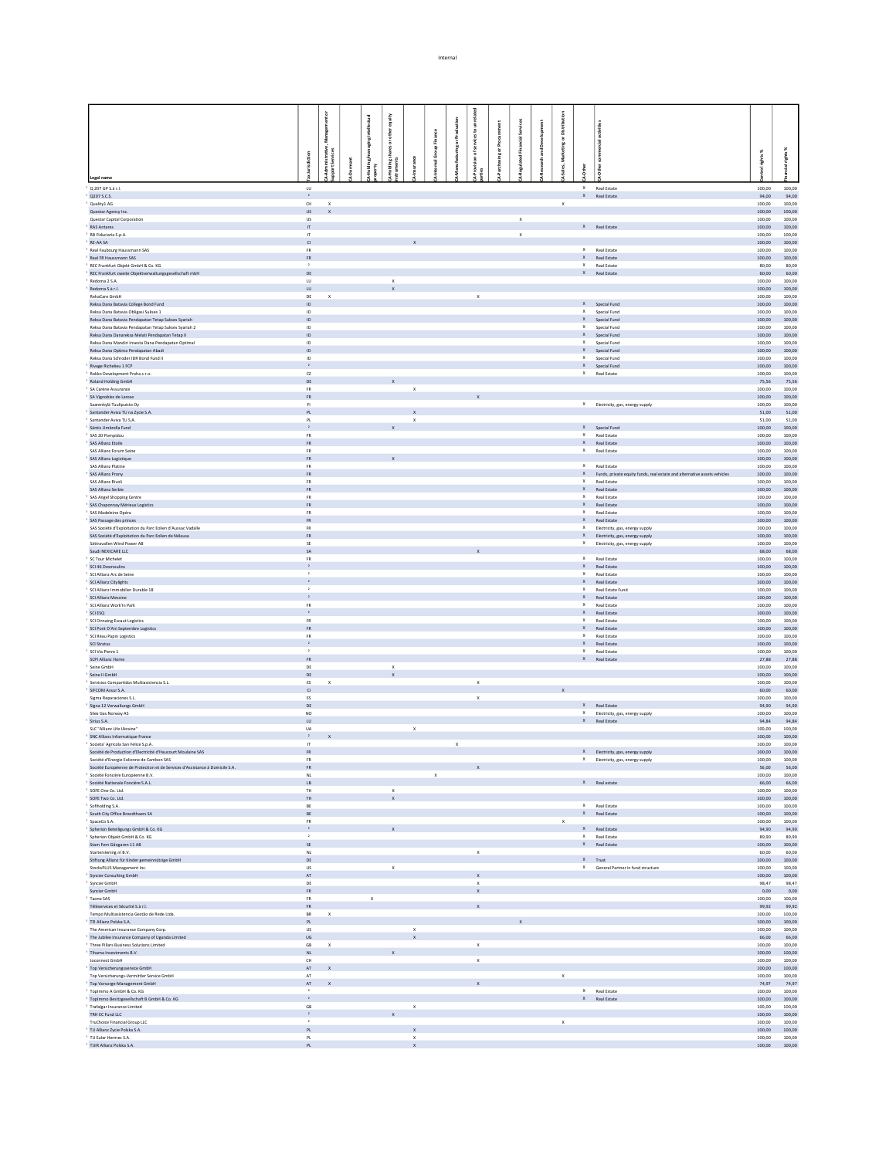|                                                                                                                          |                                |                                  |                          | equity                    |                           |              |                        |                                           |   |                     |          |              |              |                                                               |                                                                            |                  |                         |
|--------------------------------------------------------------------------------------------------------------------------|--------------------------------|----------------------------------|--------------------------|---------------------------|---------------------------|--------------|------------------------|-------------------------------------------|---|---------------------|----------|--------------|--------------|---------------------------------------------------------------|----------------------------------------------------------------------------|------------------|-------------------------|
|                                                                                                                          |                                | å                                |                          | other<br>ā                |                           | Finance      | <b>Iring or Produs</b> |                                           |   |                     |          | å<br>흤       |              |                                                               |                                                                            |                  |                         |
|                                                                                                                          |                                |                                  |                          | shares                    |                           | nal Group    |                        | ã                                         | ă |                     | ్డి<br>, | <b>Marke</b> |              |                                                               |                                                                            |                  |                         |
|                                                                                                                          | urisdiction                    | Administrative,<br>port Services | $\overline{\phantom{a}}$ |                           |                           |              |                        |                                           |   |                     | 뒫        |              |              |                                                               |                                                                            | rights%          | 톱                       |
| Legal name                                                                                                               |                                |                                  |                          |                           |                           |              |                        |                                           |   |                     |          |              |              |                                                               |                                                                            |                  |                         |
| Q 207 GP S.à r.l.                                                                                                        | $\mathsf{L}\mathsf{U}$         |                                  |                          |                           |                           |              |                        |                                           |   |                     |          |              | $\times$     | Real Estate                                                   |                                                                            | 100,00           | 100,00                  |
| 0207 S.C.S.<br>Quality1 AG                                                                                               | $\,$ $\,$<br>$\mathsf{CH}$     | $\mathbf x$                      |                          |                           |                           |              |                        |                                           |   |                     |          | $\mathsf X$  |              | X Real Estate                                                 |                                                                            | 100,00           | 94.00 94.00<br>100,00   |
| Questar Agency Inc.                                                                                                      | <b>US</b>                      | $\mathbf{x}$                     |                          |                           |                           |              |                        |                                           |   |                     |          |              |              |                                                               |                                                                            | 100,00           | 100.00                  |
| Questar Capital Corporation<br><b>RAS Antares</b>                                                                        | <b>US</b><br>$\mathbf{H}$      |                                  |                          |                           |                           |              |                        |                                           |   | $\boldsymbol{\chi}$ |          |              |              | X Real Estate                                                 |                                                                            | 100,00<br>100.00 | 100,00<br>100.00        |
| RB Fiduciaria S.p.A.<br>RE-AA SA                                                                                         | $\boldsymbol{\Pi}$<br>$\alpha$ |                                  |                          |                           |                           |              |                        |                                           |   | $\mathbf x$         |          |              |              |                                                               |                                                                            | 100,00<br>100,00 | 100,00<br>100.00        |
| Real Faubourg Haussmann SAS                                                                                              | FR                             |                                  |                          |                           |                           |              |                        |                                           |   |                     |          |              |              | X Real Estate                                                 |                                                                            | 100,00           | 100,00                  |
| Real FR Haussmann SAS<br>REC Frankfurt Objekt GmbH & Co. KG                                                              | <b>FR</b><br>$\,$ $\,$         |                                  |                          |                           |                           |              |                        |                                           |   |                     |          |              |              | X Real Estate<br>X Real Estate                                |                                                                            | 100,00<br>80,00  | 100.00<br>80,00         |
| REC Frankfurt zweite Objektverwaltungsgesellschaft mbH                                                                   | DE                             |                                  |                          |                           |                           |              |                        |                                           |   |                     |          |              |              | X Real Estate                                                 |                                                                            | 60,00            | 60.00                   |
| Redoma 2 S.A.<br>Redoma S.à r.l.                                                                                         | ${\sf LU}$<br>U                |                                  |                          | $\mathbf x$               |                           |              |                        |                                           |   |                     |          |              |              |                                                               |                                                                            | 100,00<br>100,00 | 100,00<br>100,00        |
| RehaCare GmbH                                                                                                            | DE                             | $\mathbf x$                      |                          |                           |                           |              |                        | $\mathbf x$                               |   |                     |          |              |              |                                                               |                                                                            | 100,00           | 100,00                  |
| Reksa Dana Batavia College Bond Fund<br>Reksa Dana Batavia Obligasi Sukses 1                                             | ID<br>ID                       |                                  |                          |                           |                           |              |                        |                                           |   |                     |          |              |              | X Special Fund<br>X Special Fund                              |                                                                            | 100,00<br>100,00 | 100,00<br>100,00        |
| Reksa Dana Batavia Pendapatan Tetap Sukses Syariah                                                                       | ID                             |                                  |                          |                           |                           |              |                        |                                           |   |                     |          |              |              | X Special Fund                                                |                                                                            | 100,00           | 100,00                  |
| Reksa Dana Batavia Pendapatan Tetap Sukses Syariah 2<br>Reksa Dana Danareksa Melati Pendapatan Tetap II                  | ID<br>ID                       |                                  |                          |                           |                           |              |                        |                                           |   |                     |          |              |              | X Special Fund<br>X Special Fund                              |                                                                            | 100,00<br>100,00 | 100,00<br>100,00        |
| Reksa Dana Mandiri Investa Dana Pendapatan Optimal<br>Reksa Dana Optima Pendapatan Abadi                                 | ID<br>ID                       |                                  |                          |                           |                           |              |                        |                                           |   |                     |          |              |              | X Special Fund<br>X Special Fund                              |                                                                            | 100,00<br>100,00 | 100,00<br>100,00        |
| Reksa Dana Schroder IDR Bond Fund II                                                                                     | ID                             |                                  |                          |                           |                           |              |                        |                                           |   |                     |          |              |              | X Special Fund                                                |                                                                            | 100,00           | 100,00                  |
| Rivage Richelieu 1 FCP<br>Rokko Development Praha s.r.o.                                                                 | $\mathbf{2}$<br>$_{\rm C2}$    |                                  |                          |                           |                           |              |                        |                                           |   |                     |          |              |              | $X$ Special Fund<br>X Real Estate                             |                                                                            | 100,00<br>100,00 | 100,00<br>100,00        |
| Roland Holding GmbH                                                                                                      | $\mathsf{DE}$                  |                                  |                          |                           |                           |              |                        |                                           |   |                     |          |              |              |                                                               |                                                                            | 75,56            | 75,56                   |
| SA Carène Assurance<br>SA Vignobles de Larose                                                                            | <b>FR</b><br>FR.               |                                  |                          |                           | $\mathsf{x}$              |              |                        |                                           |   |                     |          |              |              |                                                               |                                                                            | 100.00<br>100,00 | 100.00<br>100,00        |
| Saarenkylä Tuulinuisto Ov                                                                                                | F1                             |                                  |                          |                           |                           |              |                        |                                           |   |                     |          |              |              |                                                               | X Electricity, gas, energy supply                                          | 100.00           | 100.00                  |
| Santander Aviva TU na Zycie S.A.<br>Santander Aviva TU S.A.                                                              | PL<br>PL                       |                                  |                          |                           | $\boldsymbol{\mathsf{x}}$ |              |                        |                                           |   |                     |          |              |              |                                                               |                                                                            | 51,00<br>51.00   | 51,00<br>51.00          |
| Säntis Umbrella Fund<br>SAS 20 Pompidou                                                                                  | $\mathbf{2}$<br><b>FR</b>      |                                  |                          |                           |                           |              |                        |                                           |   |                     |          |              |              | $X$ Special Fund<br>X Real Estate                             |                                                                            | 100,00           | 100,00                  |
| SAS Allianz Etoile                                                                                                       | ${\sf FR}$                     |                                  |                          |                           |                           |              |                        |                                           |   |                     |          |              |              | X Real Estate                                                 |                                                                            | 100.00<br>100,00 | 100.00<br>100,00        |
| SAS Allianz Forum Seine<br>SAS Allianz Logistique                                                                        | <b>FR</b><br>FR.               |                                  |                          |                           |                           |              |                        |                                           |   |                     |          |              | $\times$     | Real Estate                                                   |                                                                            | 100.00<br>100,00 | 100.00<br>100,00        |
| SAS Allianz Platine                                                                                                      | <b>FR</b>                      |                                  |                          |                           |                           |              |                        |                                           |   |                     |          |              |              | X Real Estate                                                 |                                                                            | 100.00           | 100.00                  |
| SAS Allianz Prony<br>SAS Allianz Rivoli                                                                                  | ${\sf FR}$<br><b>FR</b>        |                                  |                          |                           |                           |              |                        |                                           |   |                     |          |              |              | X Real Estate                                                 | X Funds, private equity funds, real estate and alternative assets vehicles | 100,00<br>100,00 | 100,00<br>100.00        |
| SAS Allianz Serbie                                                                                                       | FR.                            |                                  |                          |                           |                           |              |                        |                                           |   |                     |          |              |              | X Real Estate                                                 |                                                                            | 100,00           | 100,00                  |
| SAS Angel Shopping Centre<br>SAS Chaponnay Mérieux Logistics                                                             | <b>FR</b><br>${\sf FR}$        |                                  |                          |                           |                           |              |                        |                                           |   |                     |          |              |              | X Real Estate<br>X Real Estate                                |                                                                            | 100,00<br>100,00 | 100.00<br>100,00        |
| SAS Madeleine Opéra                                                                                                      | <b>FR</b>                      |                                  |                          |                           |                           |              |                        |                                           |   |                     |          |              | $\mathbf{x}$ | <b>Real Estate</b>                                            |                                                                            | 100.00           | 100.00                  |
| SAS Passage des princes<br>SAS Société d'Exploitation du Parc Eolien d'Aussac Vadalle                                    | FR.<br><b>FR</b>               |                                  |                          |                           |                           |              |                        |                                           |   |                     |          |              |              | X Real Estate                                                 | X Electricity, gas, energy supply                                          | 100,00<br>100,00 | 100,00<br>100.00        |
| SAS Société d'Exploitation du Parc Eolien de Nélausa<br>Sättravallen Wind Power AB                                       | ${\sf FR}$<br>SE               |                                  |                          |                           |                           |              |                        |                                           |   |                     |          |              |              |                                                               | X Electricity, gas, energy supply                                          | 100,00<br>100,00 | 100,00<br>100.00        |
| Saudi NEXtCARE LLC                                                                                                       | SA                             |                                  |                          |                           |                           |              |                        |                                           |   |                     |          |              |              |                                                               | X Electricity, gas, energy supply                                          | 68,00            | 68,00                   |
| SC Tour Michelet<br>SCI 46 Desmoulins                                                                                    | FR<br>$\scriptstyle\rm 2$      |                                  |                          |                           |                           |              |                        |                                           |   |                     |          |              |              | X Real Estate<br>X Real Estate                                |                                                                            | 100,00<br>100,00 | 100,00<br>100,00        |
| SCI Allianz Arc de Seine                                                                                                 | $\,$ $\,$                      |                                  |                          |                           |                           |              |                        |                                           |   |                     |          |              | $\mathbf{x}$ | Real Estate                                                   |                                                                            | 100,00           | 100,00                  |
| SCI Allianz Citylights<br>SCI Allianz Immobilier Durable 18                                                              | $\cdot$                        |                                  |                          |                           |                           |              |                        |                                           |   |                     |          |              | $\mathsf X$  | X Real Estate                                                 | Real Estate Fund                                                           | 100.00<br>100,00 | 100.00<br>100,00        |
| SCI Allianz Messine                                                                                                      | $\,$ $\,$                      |                                  |                          |                           |                           |              |                        |                                           |   |                     |          |              |              | X Real Estate                                                 |                                                                            | 100,00           | 100.00                  |
| SCI Allianz Work'In Park<br>SCI ESQ                                                                                      | FR<br>$\mathbf{z}$             |                                  |                          |                           |                           |              |                        |                                           |   |                     |          |              | $\mathsf X$  | Real Estate<br>X Real Estate                                  |                                                                            | 100,00<br>100.00 | 100,00<br>100.00        |
| SCI Onnaing Escaut Logistics                                                                                             | ${\sf FR}$                     |                                  |                          |                           |                           |              |                        |                                           |   |                     |          |              |              | X Real Estate                                                 |                                                                            | 100,00           | 100,00                  |
| SCI Pont D'Ain Septembre Logistics<br>SCI Réau Papin Logistics                                                           | <b>FR</b><br>FR                |                                  |                          |                           |                           |              |                        |                                           |   |                     |          |              |              | X Real Estate<br>Real Estate                                  |                                                                            | 100,00<br>100,00 | 100.00<br>100,00        |
| SCI Stratus                                                                                                              |                                |                                  |                          |                           |                           |              |                        |                                           |   |                     |          |              |              | X Real Estate                                                 |                                                                            | 100,00           | 100.00                  |
| SCI Via Pierre 1<br>SCPI Allianz Home                                                                                    | $\,$ $\,$<br><b>FR</b>         |                                  |                          |                           |                           |              |                        |                                           |   |                     |          |              | $\mathsf X$  | Real Estate<br>X Real Estate                                  |                                                                            | 100,00<br>27,88  | 100,00<br>27,88         |
| Seine GmbH                                                                                                               | DE                             |                                  |                          | $\mathsf X$               |                           |              |                        |                                           |   |                     |          |              |              |                                                               |                                                                            | 100,00           | 100,00                  |
| Seine II GmbH<br>Servicios Compartidos Multiasistencia S.L.                                                              | DE<br>ES                       | $\mathbf x$                      |                          |                           |                           |              |                        | $\mathbf x$                               |   |                     |          |              |              |                                                               |                                                                            | 100,00<br>100,00 | 100,00<br>100,00        |
| SIFCOM Assur S.A.                                                                                                        | $\mathsf{C}\mathsf{I}$         |                                  |                          |                           |                           |              |                        |                                           |   |                     |          |              |              |                                                               |                                                                            | 60,00            | 60,00                   |
| Sigma Reparaciones S.L.<br>Signa 12 Verwaltungs GmbH                                                                     | ES.<br>DE                      |                                  |                          |                           |                           |              |                        | $\mathbf x$                               |   |                     |          |              |              | X Real Estate                                                 |                                                                            | 100,00<br>94,90  | 100,00<br>94,90         |
| Silex Gas Norway AS                                                                                                      | NO                             |                                  |                          |                           |                           |              |                        |                                           |   |                     |          |              |              |                                                               | X Electricity, gas, energy supply                                          | 100,00           | 100,00                  |
| Sirius S.A.<br>SLC "Allianz Life Ukraine"                                                                                | LU<br><b>UA</b>                |                                  |                          |                           | $\mathbf x$               |              |                        |                                           |   |                     |          |              |              | X Real Estate                                                 |                                                                            | 94,84<br>100,00  | 94,84<br>100,00         |
| SNC Allianz Informatique France                                                                                          | $\overline{2}$                 |                                  |                          |                           |                           |              |                        |                                           |   |                     |          |              |              |                                                               |                                                                            | 100,00           | 100,00                  |
| Societa' Agricola San Felice S.p.A.<br>Société de Production d'Electricité d'Haucourt Moulaine SAS                       | $\mathsf{IT}^-$<br>FR          |                                  |                          |                           |                           |              | $\mathbf x$            |                                           |   |                     |          |              |              |                                                               | X Electricity, gas, energy supply                                          | 100,00<br>100,00 | 100,00<br>100,00        |
| Société d'Energie Eolienne de Cambon SAS<br>Société Européenne de Protection et de Services d'Assistance à Domicile S.A. | FR.                            |                                  |                          |                           |                           |              |                        | $\mathbf{x} \in \mathbf{X}$ .             |   |                     |          |              |              |                                                               | X Electricity, gas, energy supply                                          | 100,00           | 100,00                  |
| Société Foncière Européenne B.V.                                                                                         | ${\sf FR}$<br>NL               |                                  |                          |                           |                           | $\mathbf{x}$ |                        |                                           |   |                     |          |              |              |                                                               |                                                                            | 100.00           | 56,00 56,00<br>100.00   |
| Société Nationale Foncière S.A.L.<br>SOFE One Co. Ltd.                                                                   | $\mathsf{LB}$<br>TH            |                                  |                          | $\boldsymbol{\mathsf{X}}$ |                           |              |                        |                                           |   |                     |          |              |              | X Real estate                                                 |                                                                            | 100.00           | 66,00 66,00<br>100.00   |
| SOFE Two Co. Ltd.                                                                                                        | TH                             |                                  |                          | $\boldsymbol{\mathsf{x}}$ |                           |              |                        |                                           |   |                     |          |              |              |                                                               |                                                                            | 100,00           | 100,00                  |
| Sofiholding S.A.<br>South City Office Broodthaers SA                                                                     | BE<br>BE                       |                                  |                          |                           |                           |              |                        |                                           |   |                     |          |              |              | X Real Estate<br>$\ensuremath{\mathsf{X}}\xspace$ Real Estate |                                                                            | 100.00<br>100,00 | 100.00<br>100,00        |
| SpaceCo S.A.                                                                                                             | <b>FR</b>                      |                                  |                          |                           |                           |              |                        |                                           |   |                     |          | $\mathbf{x}$ |              |                                                               |                                                                            | 100.00           | 100.00                  |
| Spherion Beteiligungs GmbH & Co. KG<br>Spherion Objekt GmbH & Co. KG                                                     | $\overline{2}$<br>$\,$ $\,$    |                                  |                          |                           |                           |              |                        |                                           |   |                     |          |              |              | $\mathsf{X}$ Real Estate<br>X Real Estate                     |                                                                            | 94,90<br>89.90   | 94,90<br>89.90          |
| Stam Fem Gångaren 11 AB                                                                                                  | SE                             |                                  |                          |                           |                           |              |                        |                                           |   |                     |          |              |              | X Real Estate                                                 |                                                                            | 100,00           | 100,00                  |
| Starterslening.nl B.V.<br>Stiftung Allianz für Kinder gemeinnützige GmbH                                                 | <b>NL</b><br>DE                |                                  |                          |                           |                           |              |                        | $\mathbf{x}$                              |   |                     |          |              |              | X Trust                                                       |                                                                            | 60.00<br>100,00  | 60.00<br>100,00         |
| StocksPLUS Management Inc.                                                                                               | <b>US</b>                      |                                  |                          | $\mathbf{x}$              |                           |              |                        |                                           |   |                     |          |              |              |                                                               | X General Partner in fund structure                                        | 100,00           | 100,00                  |
| Syncier Consulting GmbH<br>Syncier GmbH                                                                                  | $\mathsf{AT}^-$<br>DE          |                                  |                          |                           |                           |              |                        | $\mathbf{x}$<br>$\boldsymbol{\mathsf{x}}$ |   |                     |          |              |              |                                                               |                                                                            | 100,00<br>98,47  | 100,00<br>98,47         |
| Syncier GmbH                                                                                                             | ${\sf FR}$                     |                                  |                          |                           |                           |              |                        | $\mathbf{x}$                              |   |                     |          |              |              |                                                               |                                                                            | 0,00             | 0,00                    |
| Taone SAS<br>Téléservices et Sécurité S.à r.l.                                                                           | <b>FR</b><br>FR                |                                  | $\mathbf{x}$             |                           |                           |              |                        |                                           |   |                     |          |              |              |                                                               |                                                                            | 100,00           | 100,00<br>99,92 99,92   |
| Tempo Multiasistencia Gestão de Rede Ltda.                                                                               | <b>BR</b>                      | $\mathbf{x}$                     |                          |                           |                           |              |                        |                                           |   |                     |          |              |              |                                                               |                                                                            | 100,00<br>100,00 | 100.00                  |
| TFI Allianz Polska S.A.<br>The American Insurance Company Corp.                                                          | PL<br><b>US</b>                |                                  |                          |                           | $\times$                  |              |                        |                                           |   |                     |          |              |              |                                                               |                                                                            | 100,00           | 100,00<br>100.00        |
| <sup>1</sup> The Jubilee Insurance Company of Uganda Limited<br><sup>1</sup> Three Pillars Business Solutions Limited    | UG<br>GB                       | $\mathbf{x}$                     |                          |                           | $\mathbf{x}$              |              |                        | $\mathbf{x}$                              |   |                     |          |              |              |                                                               |                                                                            | 100,00           | 66,00 66,00<br>100,00   |
| Tihama Investments B.V.                                                                                                  | $\mathsf{NL}^-$                |                                  |                          |                           |                           |              |                        |                                           |   |                     |          |              |              |                                                               |                                                                            | 100,00           | 100,00                  |
| toconnect GmbH<br><sup>1</sup> Top Versicherungsservice GmbH                                                             | $\mathsf{CH}%$<br>AT           | $\mathbf{x}$                     |                          |                           |                           |              |                        | $\mathbf x$                               |   |                     |          |              |              |                                                               |                                                                            | 100,00           | 100,00<br>100,00 100,00 |
| Top Versicherungs-Vermittler Service GmbH                                                                                | $\mathsf{AT}$                  |                                  |                          |                           |                           |              |                        |                                           |   |                     |          | $\mathsf{x}$ |              |                                                               |                                                                            | 100,00           | 100,00                  |
| <sup>1</sup> Top Vorsorge-Management GmbH<br>TopImmo A GmbH & Co. KG                                                     | AT<br>$\cdot$                  | $\mathbf{x}$                     |                          |                           |                           |              |                        | $\mathbf{x}$                              |   |                     |          |              |              | X Real Estate                                                 |                                                                            | 100,00           | 74,97 74,97<br>100,00   |
| <sup>1</sup> TopImmo Besitzgesellschaft B GmbH & Co. KG                                                                  | $\,$ $\,$                      |                                  |                          |                           |                           |              |                        |                                           |   |                     |          |              |              | X Real Estate                                                 |                                                                            | 100,00           | 100.00                  |
| Trafalgar Insurance Limited<br>TRH EC Fund LLC                                                                           | $\mathsf{GB}$<br>$\mathbf{z}$  |                                  |                          | $\mathbf{x}$              | $\mathbf x$               |              |                        |                                           |   |                     |          |              |              |                                                               |                                                                            | 100,00<br>100.00 | 100,00<br>100.00        |
| TruChoice Financial Group LLC<br>TU Allianz Zycie Polska S.A.                                                            | $\,$ $\,$                      |                                  |                          |                           | $\mathsf{x}$              |              |                        |                                           |   |                     |          | $\mathsf X$  |              |                                                               |                                                                            | 100,00           | 100,00<br>100,00 100,00 |
| <sup>1</sup> TU Euler Hermes S.A.                                                                                        | PL<br>$\mathsf{PL}$            |                                  |                          |                           | $\,$ X                    |              |                        |                                           |   |                     |          |              |              |                                                               |                                                                            | 100,00           | 100,00                  |
| TUIR Allianz Polska S.A.                                                                                                 | PL                             |                                  |                          |                           | $\mathsf{x}$              |              |                        |                                           |   |                     |          |              |              |                                                               |                                                                            |                  | $100,00$ $100,00$       |